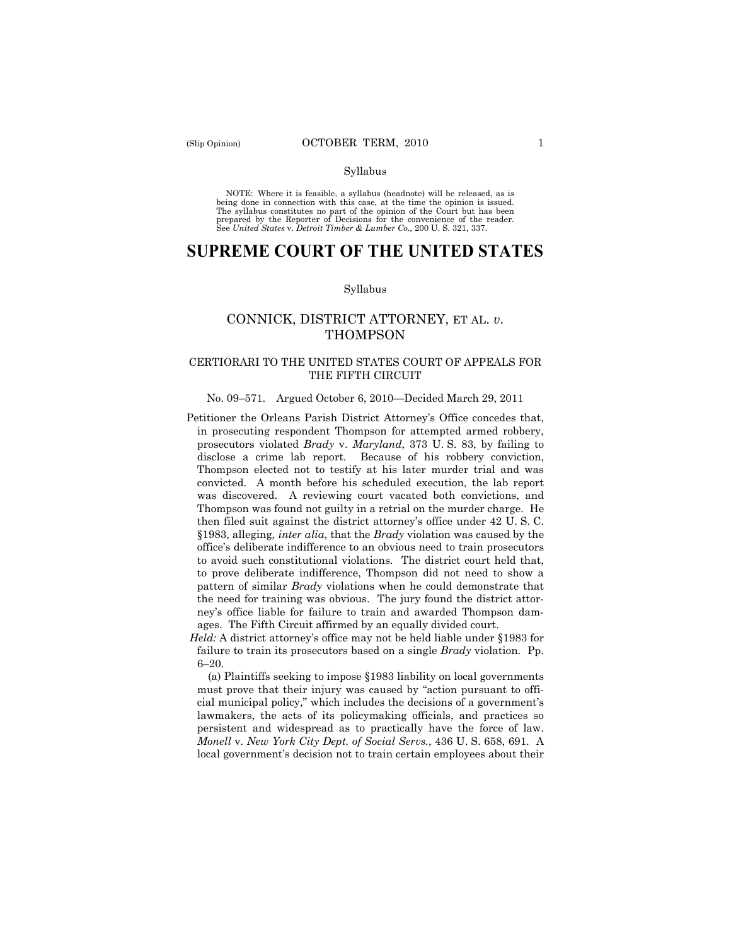#### Syllabus

NOTE: Where it is feasible, a syllabus (headnote) will be released, as is being done in connection with this case, at the time the opinion is issued. The syllabus constitutes no part of the opinion of the Court but has been<br>prepared by the Reporter of Decisions for the convenience of the reader.<br>See United States v. Detroit Timber & Lumber Co., 200 U. S. 321, 337.

# **SUPREME COURT OF THE UNITED STATES**

#### Syllabus

# CONNICK, DISTRICT ATTORNEY, ET AL. *v*. **THOMPSON**

# CERTIORARI TO THE UNITED STATES COURT OF APPEALS FOR THE FIFTH CIRCUIT

## No. 09–571. Argued October 6, 2010—Decided March 29, 2011

Petitioner the Orleans Parish District Attorney's Office concedes that, in prosecuting respondent Thompson for attempted armed robbery, prosecutors violated *Brady* v. *Maryland*, 373 U. S. 83, by failing to disclose a crime lab report. Because of his robbery conviction, Thompson elected not to testify at his later murder trial and was convicted. A month before his scheduled execution, the lab report was discovered. A reviewing court vacated both convictions, and Thompson was found not guilty in a retrial on the murder charge. He then filed suit against the district attorney's office under 42 U. S. C. §1983, alleging*, inter alia*, that the *Brady* violation was caused by the office's deliberate indifference to an obvious need to train prosecutors to avoid such constitutional violations. The district court held that, to prove deliberate indifference, Thompson did not need to show a pattern of similar *Brady* violations when he could demonstrate that the need for training was obvious. The jury found the district attorney's office liable for failure to train and awarded Thompson damages. The Fifth Circuit affirmed by an equally divided court.

*Held:* A district attorney's office may not be held liable under §1983 for failure to train its prosecutors based on a single *Brady* violation. Pp. 6–20.

(a) Plaintiffs seeking to impose §1983 liability on local governments must prove that their injury was caused by "action pursuant to official municipal policy," which includes the decisions of a government's lawmakers, the acts of its policymaking officials, and practices so persistent and widespread as to practically have the force of law. *Monell* v. *New York City Dept. of Social Servs.*, 436 U. S. 658, 691. A local government's decision not to train certain employees about their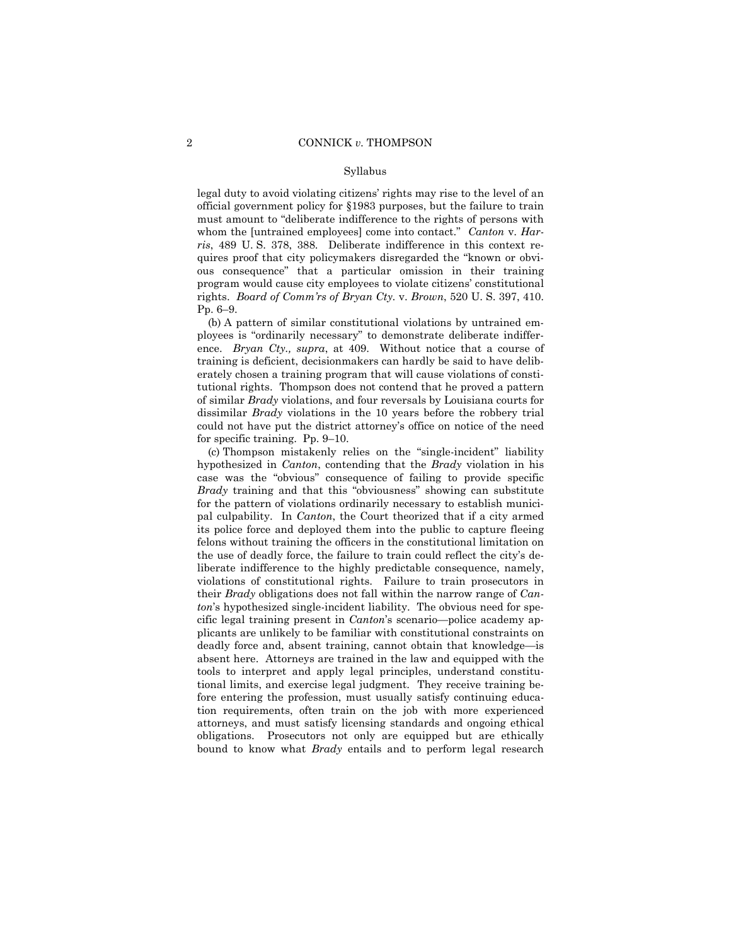#### Syllabus

legal duty to avoid violating citizens' rights may rise to the level of an official government policy for §1983 purposes, but the failure to train must amount to "deliberate indifference to the rights of persons with whom the [untrained employees] come into contact." *Canton* v. *Harris*, 489 U. S. 378, 388. Deliberate indifference in this context requires proof that city policymakers disregarded the "known or obvious consequence" that a particular omission in their training program would cause city employees to violate citizens' constitutional rights. *Board of Comm'rs of Bryan Cty.* v. *Brown*, 520 U. S. 397, 410. Pp. 6–9.

(b) A pattern of similar constitutional violations by untrained employees is "ordinarily necessary" to demonstrate deliberate indifference. *Bryan Cty., supra*, at 409. Without notice that a course of training is deficient, decisionmakers can hardly be said to have deliberately chosen a training program that will cause violations of constitutional rights. Thompson does not contend that he proved a pattern of similar *Brady* violations, and four reversals by Louisiana courts for dissimilar *Brady* violations in the 10 years before the robbery trial could not have put the district attorney's office on notice of the need for specific training. Pp. 9–10.

(c) Thompson mistakenly relies on the "single-incident" liability hypothesized in *Canton*, contending that the *Brady* violation in his case was the "obvious" consequence of failing to provide specific *Brady* training and that this "obviousness" showing can substitute for the pattern of violations ordinarily necessary to establish municipal culpability. In *Canton*, the Court theorized that if a city armed its police force and deployed them into the public to capture fleeing felons without training the officers in the constitutional limitation on the use of deadly force, the failure to train could reflect the city's deliberate indifference to the highly predictable consequence, namely, violations of constitutional rights. Failure to train prosecutors in their *Brady* obligations does not fall within the narrow range of *Canton*'s hypothesized single-incident liability. The obvious need for specific legal training present in *Canton*'s scenario—police academy applicants are unlikely to be familiar with constitutional constraints on deadly force and, absent training, cannot obtain that knowledge—is absent here. Attorneys are trained in the law and equipped with the tools to interpret and apply legal principles, understand constitutional limits, and exercise legal judgment. They receive training before entering the profession, must usually satisfy continuing education requirements, often train on the job with more experienced attorneys, and must satisfy licensing standards and ongoing ethical obligations. Prosecutors not only are equipped but are ethically bound to know what *Brady* entails and to perform legal research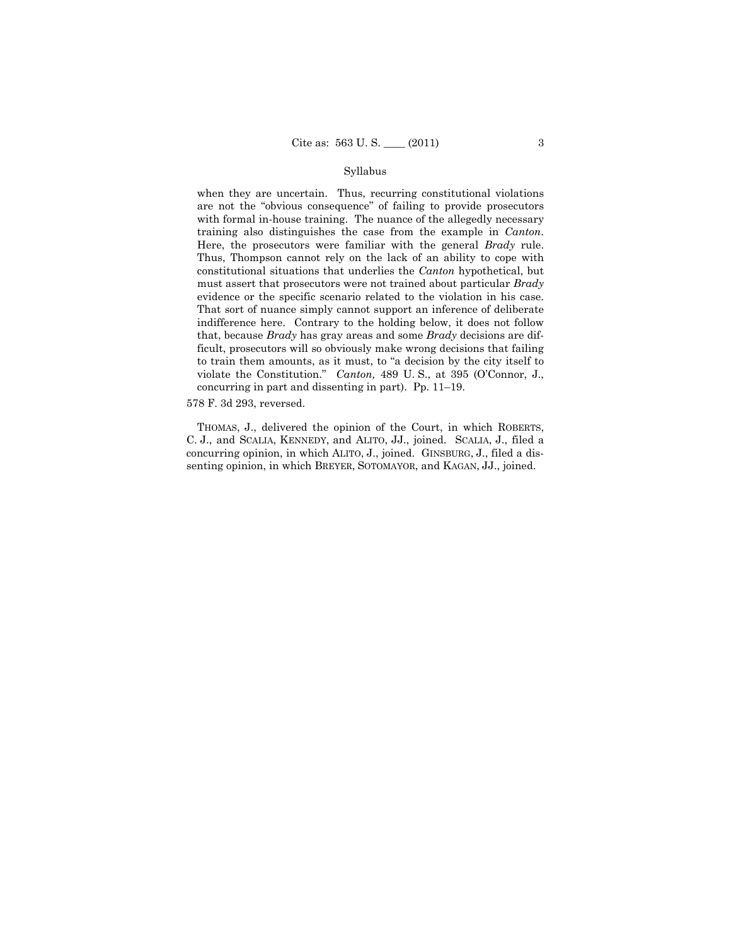# Syllabus

when they are uncertain. Thus, recurring constitutional violations are not the "obvious consequence" of failing to provide prosecutors with formal in-house training. The nuance of the allegedly necessary training also distinguishes the case from the example in *Canton*. Here, the prosecutors were familiar with the general *Brady* rule. Thus, Thompson cannot rely on the lack of an ability to cope with constitutional situations that underlies the *Canton* hypothetical, but must assert that prosecutors were not trained about particular *Brady* evidence or the specific scenario related to the violation in his case. That sort of nuance simply cannot support an inference of deliberate indifference here. Contrary to the holding below, it does not follow that, because *Brady* has gray areas and some *Brady* decisions are difficult, prosecutors will so obviously make wrong decisions that failing to train them amounts, as it must, to "a decision by the city itself to violate the Constitution." *Canton,* 489 U. S., at 395 (O'Connor, J., concurring in part and dissenting in part). Pp. 11–19.

# 578 F. 3d 293, reversed.

THOMAS, J., delivered the opinion of the Court, in which ROBERTS, C. J., and SCALIA, KENNEDY, and ALITO, JJ., joined. SCALIA, J., filed a concurring opinion, in which ALITO, J., joined. GINSBURG, J., filed a dissenting opinion, in which BREYER, SOTOMAYOR, and KAGAN, JJ., joined.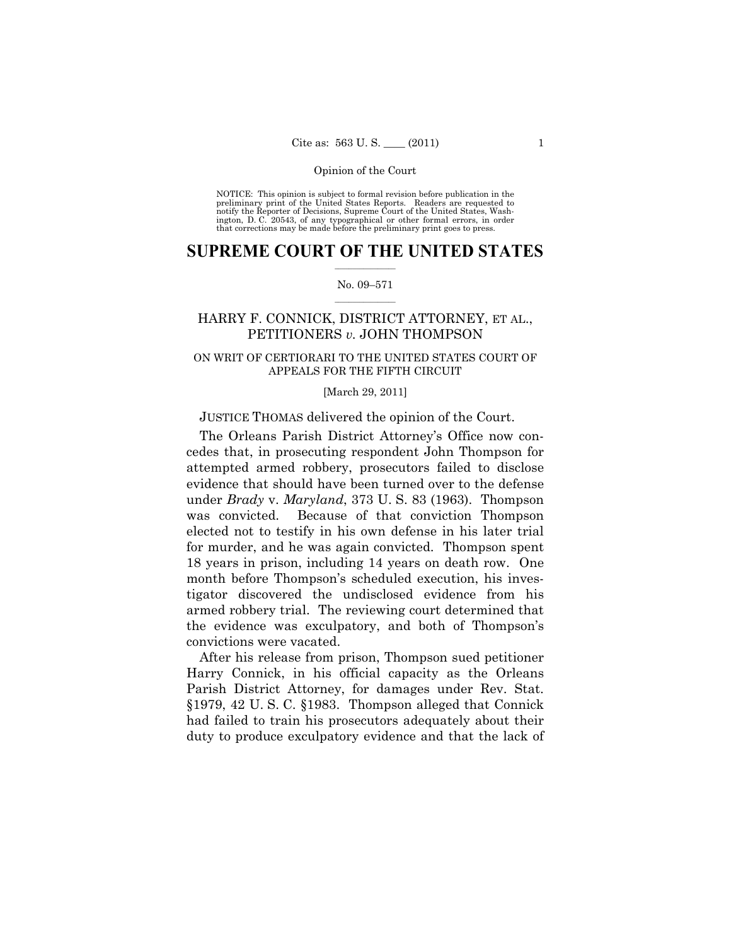NOTICE: This opinion is subject to formal revision before publication in the preliminary print of the United States Reports. Readers are requested to notify the Reporter of Decisions, Supreme Court of the United States, Washington, D. C. 20543, of any typographical or other formal errors, in order that corrections may be made before the preliminary print goes to press.

# $\frac{1}{2}$  ,  $\frac{1}{2}$  ,  $\frac{1}{2}$  ,  $\frac{1}{2}$  ,  $\frac{1}{2}$  ,  $\frac{1}{2}$  ,  $\frac{1}{2}$ **SUPREME COURT OF THE UNITED STATES**

# $\frac{1}{2}$  ,  $\frac{1}{2}$  ,  $\frac{1}{2}$  ,  $\frac{1}{2}$  ,  $\frac{1}{2}$  ,  $\frac{1}{2}$ No. 09–571

# HARRY F. CONNICK, DISTRICT ATTORNEY, ET AL., PETITIONERS *v.* JOHN THOMPSON

# ON WRIT OF CERTIORARI TO THE UNITED STATES COURT OF APPEALS FOR THE FIFTH CIRCUIT

# [March 29, 2011]

# JUSTICE THOMAS delivered the opinion of the Court.

The Orleans Parish District Attorney's Office now concedes that, in prosecuting respondent John Thompson for attempted armed robbery, prosecutors failed to disclose evidence that should have been turned over to the defense under *Brady* v. *Maryland*, 373 U. S. 83 (1963). Thompson was convicted. Because of that conviction Thompson elected not to testify in his own defense in his later trial for murder, and he was again convicted. Thompson spent 18 years in prison, including 14 years on death row. One month before Thompson's scheduled execution, his investigator discovered the undisclosed evidence from his armed robbery trial. The reviewing court determined that the evidence was exculpatory, and both of Thompson's convictions were vacated.

After his release from prison, Thompson sued petitioner Harry Connick, in his official capacity as the Orleans Parish District Attorney, for damages under Rev. Stat. §1979, 42 U. S. C. §1983. Thompson alleged that Connick had failed to train his prosecutors adequately about their duty to produce exculpatory evidence and that the lack of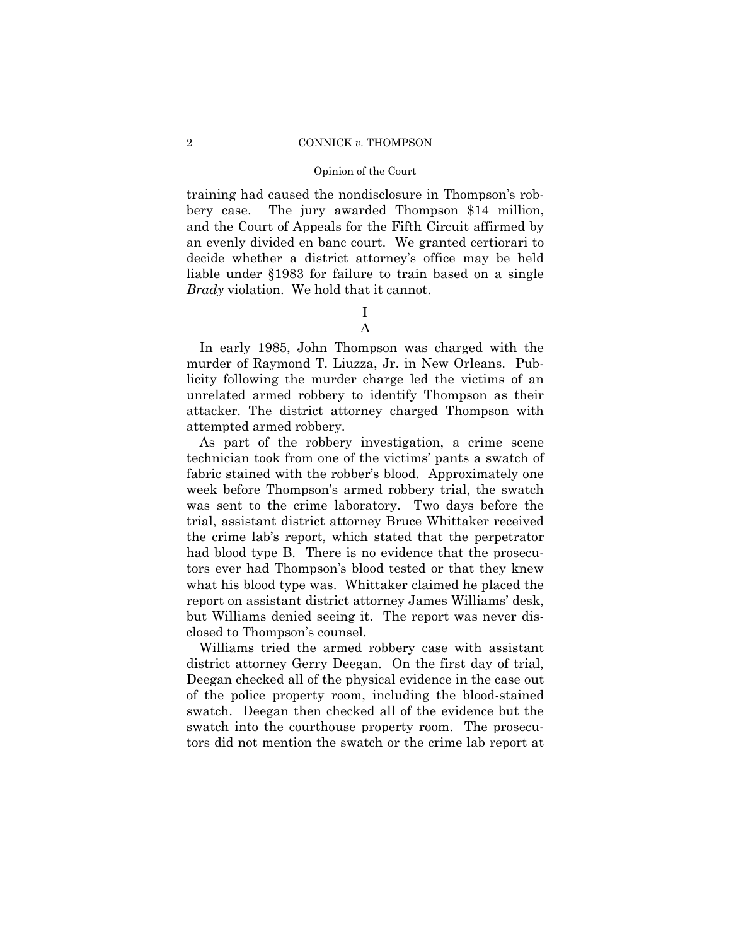## 2 CONNICK *v.* THOMPSON

# Opinion of the Court

training had caused the nondisclosure in Thompson's robbery case. The jury awarded Thompson \$14 million, and the Court of Appeals for the Fifth Circuit affirmed by an evenly divided en banc court. We granted certiorari to decide whether a district attorney's office may be held liable under §1983 for failure to train based on a single *Brady* violation. We hold that it cannot.

# I A

In early 1985, John Thompson was charged with the murder of Raymond T. Liuzza, Jr. in New Orleans. Publicity following the murder charge led the victims of an unrelated armed robbery to identify Thompson as their attacker. The district attorney charged Thompson with attempted armed robbery.

As part of the robbery investigation, a crime scene technician took from one of the victims' pants a swatch of fabric stained with the robber's blood. Approximately one week before Thompson's armed robbery trial, the swatch was sent to the crime laboratory. Two days before the trial, assistant district attorney Bruce Whittaker received the crime lab's report, which stated that the perpetrator had blood type B. There is no evidence that the prosecutors ever had Thompson's blood tested or that they knew what his blood type was. Whittaker claimed he placed the report on assistant district attorney James Williams' desk, but Williams denied seeing it. The report was never disclosed to Thompson's counsel.

Williams tried the armed robbery case with assistant district attorney Gerry Deegan. On the first day of trial, Deegan checked all of the physical evidence in the case out of the police property room, including the blood-stained swatch. Deegan then checked all of the evidence but the swatch into the courthouse property room. The prosecutors did not mention the swatch or the crime lab report at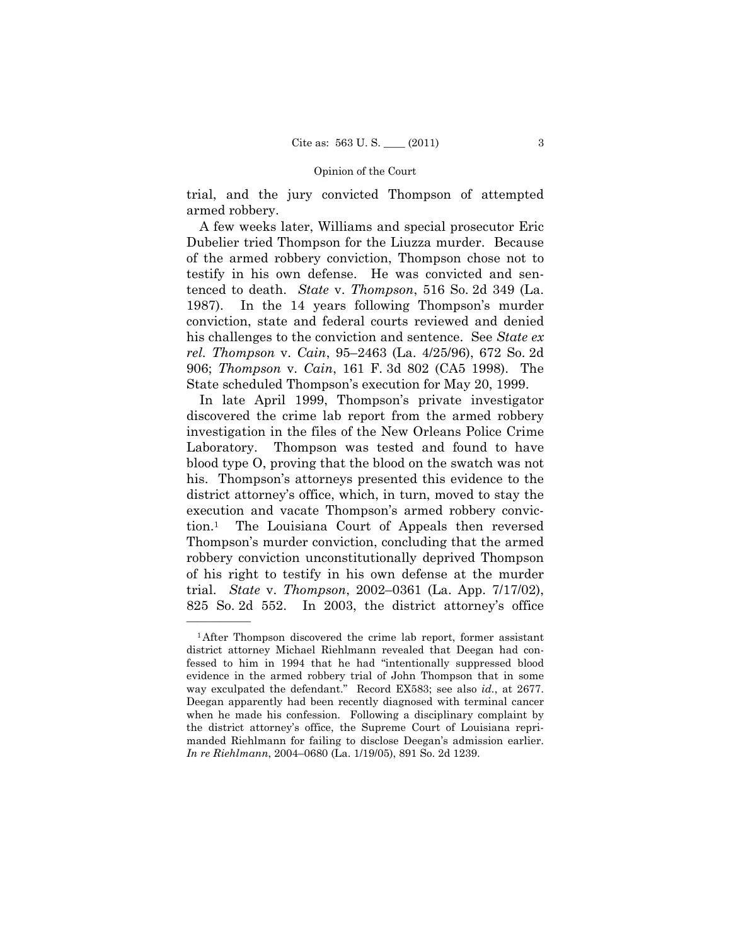trial, and the jury convicted Thompson of attempted armed robbery.

A few weeks later, Williams and special prosecutor Eric Dubelier tried Thompson for the Liuzza murder. Because of the armed robbery conviction, Thompson chose not to testify in his own defense. He was convicted and sentenced to death. *State* v. *Thompson*, 516 So. 2d 349 (La. 1987). In the 14 years following Thompson's murder conviction, state and federal courts reviewed and denied his challenges to the conviction and sentence. See *State ex rel. Thompson* v. *Cain*, 95–2463 (La. 4/25/96), 672 So. 2d 906; *Thompson* v. *Cain*, 161 F. 3d 802 (CA5 1998). The State scheduled Thompson's execution for May 20, 1999.

In late April 1999, Thompson's private investigator discovered the crime lab report from the armed robbery investigation in the files of the New Orleans Police Crime Laboratory. Thompson was tested and found to have blood type O, proving that the blood on the swatch was not his. Thompson's attorneys presented this evidence to the district attorney's office, which, in turn, moved to stay the execution and vacate Thompson's armed robbery conviction.1 The Louisiana Court of Appeals then reversed Thompson's murder conviction, concluding that the armed robbery conviction unconstitutionally deprived Thompson of his right to testify in his own defense at the murder trial. *State* v. *Thompson*, 2002–0361 (La. App. 7/17/02), 825 So. 2d 552. In 2003, the district attorney's office

<sup>1</sup>After Thompson discovered the crime lab report, former assistant district attorney Michael Riehlmann revealed that Deegan had confessed to him in 1994 that he had "intentionally suppressed blood evidence in the armed robbery trial of John Thompson that in some way exculpated the defendant." Record EX583; see also *id.*, at 2677. Deegan apparently had been recently diagnosed with terminal cancer when he made his confession. Following a disciplinary complaint by the district attorney's office, the Supreme Court of Louisiana reprimanded Riehlmann for failing to disclose Deegan's admission earlier. *In re Riehlmann*, 2004–0680 (La. 1/19/05), 891 So. 2d 1239.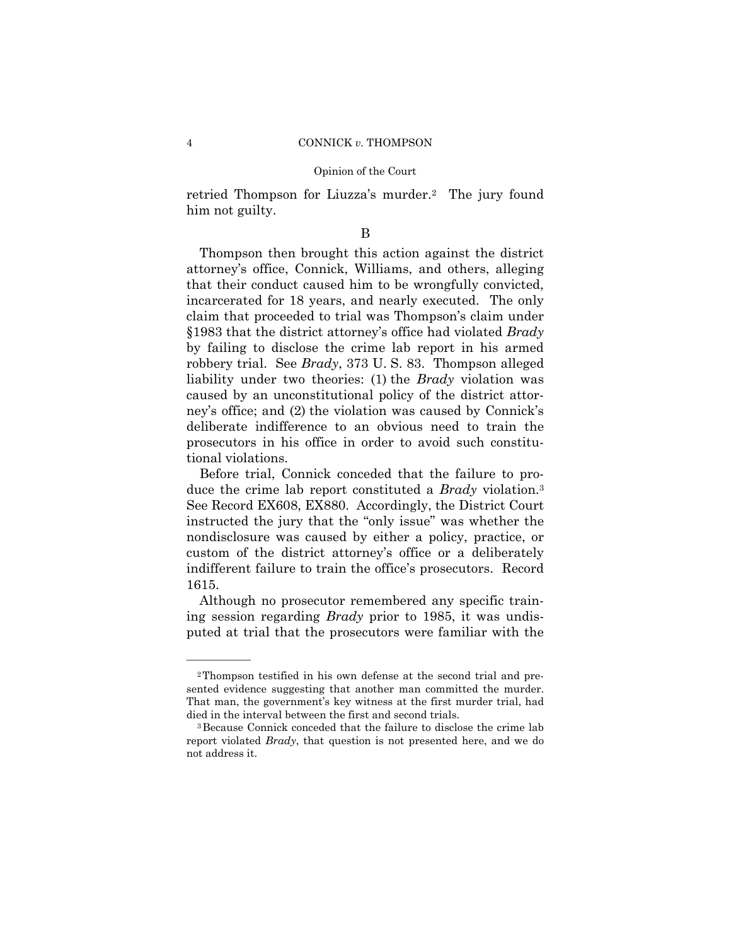retried Thompson for Liuzza's murder.<sup>2</sup> The jury found him not guilty.

# B

Thompson then brought this action against the district attorney's office, Connick, Williams, and others, alleging that their conduct caused him to be wrongfully convicted, incarcerated for 18 years, and nearly executed. The only claim that proceeded to trial was Thompson's claim under §1983 that the district attorney's office had violated *Brady* by failing to disclose the crime lab report in his armed robbery trial. See *Brady*, 373 U. S. 83. Thompson alleged liability under two theories: (1) the *Brady* violation was caused by an unconstitutional policy of the district attorney's office; and (2) the violation was caused by Connick's deliberate indifference to an obvious need to train the prosecutors in his office in order to avoid such constitutional violations.

Before trial, Connick conceded that the failure to produce the crime lab report constituted a *Brady* violation.3 See Record EX608, EX880. Accordingly, the District Court instructed the jury that the "only issue" was whether the nondisclosure was caused by either a policy, practice, or custom of the district attorney's office or a deliberately indifferent failure to train the office's prosecutors. Record 1615.

Although no prosecutor remembered any specific training session regarding *Brady* prior to 1985, it was undisputed at trial that the prosecutors were familiar with the

<sup>2</sup>Thompson testified in his own defense at the second trial and presented evidence suggesting that another man committed the murder. That man, the government's key witness at the first murder trial, had died in the interval between the first and second trials.<br><sup>3</sup>Because Connick conceded that the failure to disclose the crime lab

report violated *Brady*, that question is not presented here, and we do not address it.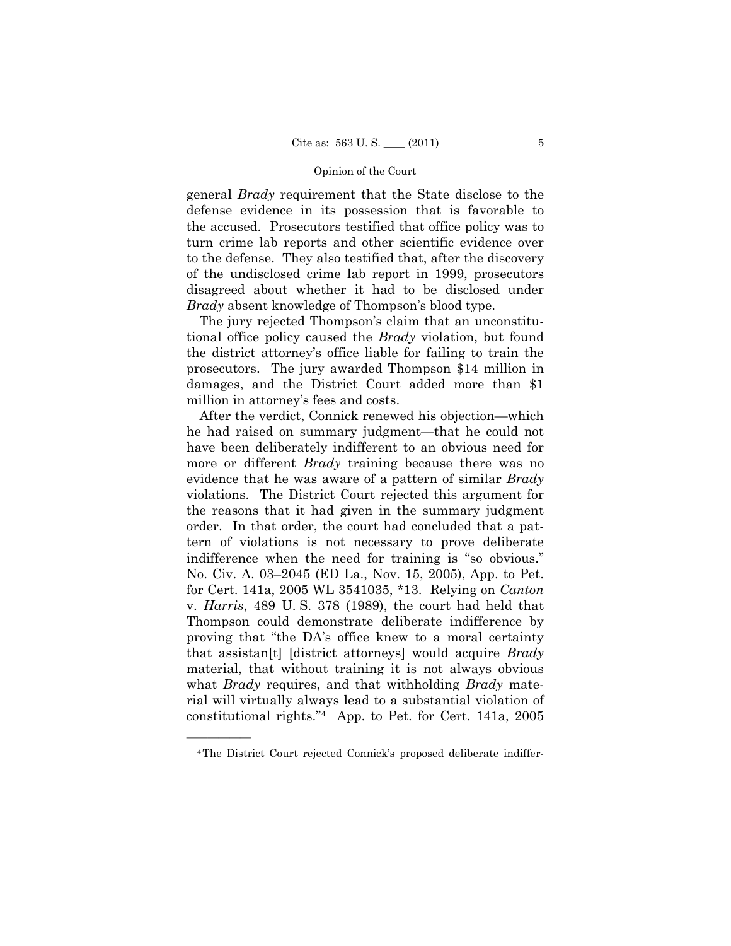general *Brady* requirement that the State disclose to the defense evidence in its possession that is favorable to the accused. Prosecutors testified that office policy was to turn crime lab reports and other scientific evidence over to the defense. They also testified that, after the discovery of the undisclosed crime lab report in 1999, prosecutors disagreed about whether it had to be disclosed under *Brady* absent knowledge of Thompson's blood type.

The jury rejected Thompson's claim that an unconstitutional office policy caused the *Brady* violation, but found the district attorney's office liable for failing to train the prosecutors. The jury awarded Thompson \$14 million in damages, and the District Court added more than \$1 million in attorney's fees and costs.

After the verdict, Connick renewed his objection—which he had raised on summary judgment—that he could not have been deliberately indifferent to an obvious need for more or different *Brady* training because there was no evidence that he was aware of a pattern of similar *Brady*  violations. The District Court rejected this argument for the reasons that it had given in the summary judgment order. In that order, the court had concluded that a pattern of violations is not necessary to prove deliberate indifference when the need for training is "so obvious." No. Civ. A. 03–2045 (ED La., Nov. 15, 2005), App. to Pet. for Cert. 141a, 2005 WL 3541035, \*13. Relying on *Canton*  v. *Harris*, 489 U. S. 378 (1989), the court had held that Thompson could demonstrate deliberate indifference by proving that "the DA's office knew to a moral certainty that assistan[t] [district attorneys] would acquire *Brady* material, that without training it is not always obvious what *Brady* requires, and that withholding *Brady* material will virtually always lead to a substantial violation of constitutional rights."4 App. to Pet. for Cert. 141a, 2005

<sup>4</sup>The District Court rejected Connick's proposed deliberate indiffer-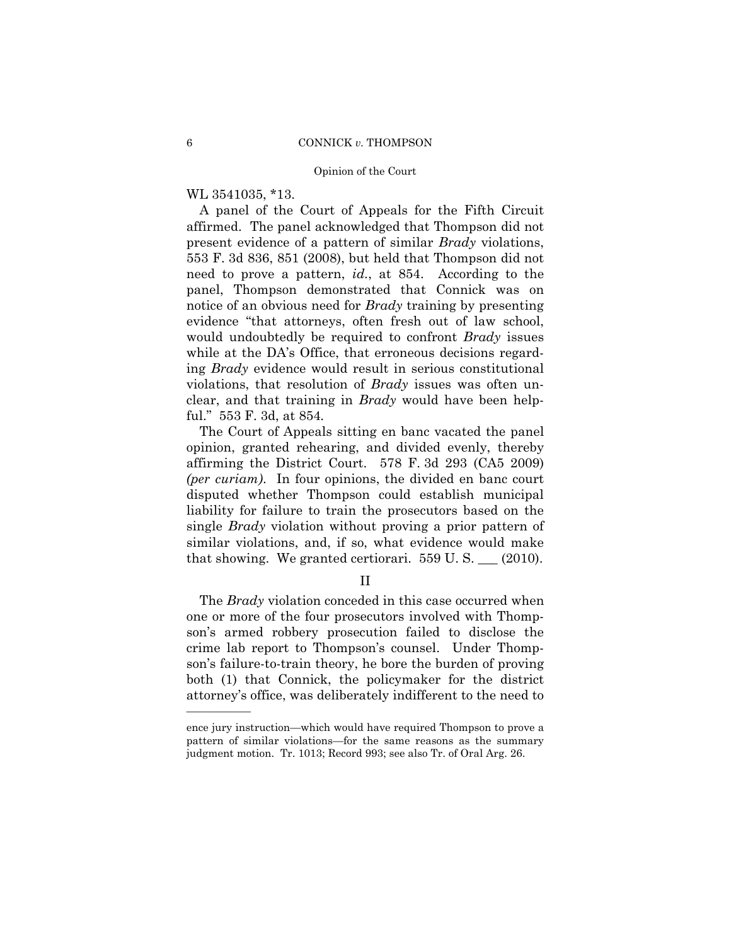# WL 3541035, \*13.

——————

A panel of the Court of Appeals for the Fifth Circuit affirmed. The panel acknowledged that Thompson did not present evidence of a pattern of similar *Brady* violations, 553 F. 3d 836, 851 (2008), but held that Thompson did not need to prove a pattern, *id.*, at 854. According to the panel, Thompson demonstrated that Connick was on notice of an obvious need for *Brady* training by presenting evidence "that attorneys, often fresh out of law school, would undoubtedly be required to confront *Brady* issues while at the DA's Office, that erroneous decisions regarding *Brady* evidence would result in serious constitutional violations, that resolution of *Brady* issues was often unclear, and that training in *Brady* would have been helpful." 553 F. 3d, at 854*.* 

The Court of Appeals sitting en banc vacated the panel opinion, granted rehearing, and divided evenly, thereby affirming the District Court. 578 F. 3d 293 (CA5 2009) *(per curiam)*. In four opinions, the divided en banc court disputed whether Thompson could establish municipal liability for failure to train the prosecutors based on the single *Brady* violation without proving a prior pattern of similar violations, and, if so, what evidence would make that showing. We granted certiorari. 559 U. S. \_\_\_ (2010).

II

The *Brady* violation conceded in this case occurred when one or more of the four prosecutors involved with Thompson's armed robbery prosecution failed to disclose the crime lab report to Thompson's counsel. Under Thompson's failure-to-train theory, he bore the burden of proving both (1) that Connick, the policymaker for the district attorney's office, was deliberately indifferent to the need to

ence jury instruction—which would have required Thompson to prove a pattern of similar violations—for the same reasons as the summary judgment motion. Tr. 1013; Record 993; see also Tr. of Oral Arg. 26.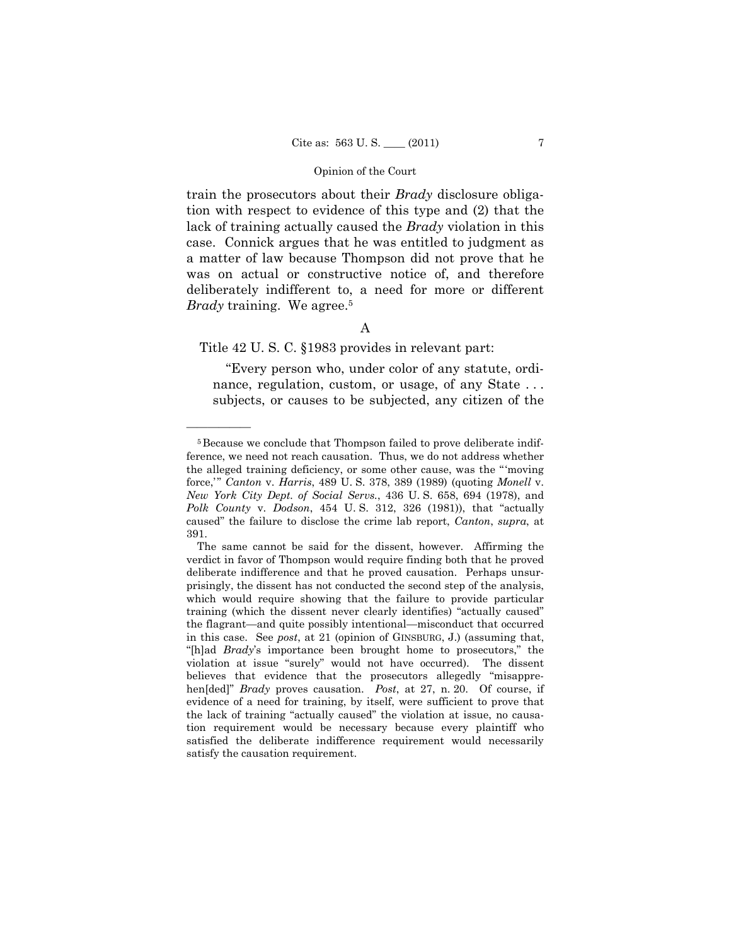train the prosecutors about their *Brady* disclosure obligation with respect to evidence of this type and (2) that the lack of training actually caused the *Brady* violation in this case. Connick argues that he was entitled to judgment as a matter of law because Thompson did not prove that he was on actual or constructive notice of, and therefore deliberately indifferent to, a need for more or different *Brady* training. We agree.5

# A

Title 42 U. S. C. §1983 provides in relevant part:

——————

"Every person who, under color of any statute, ordinance, regulation, custom, or usage, of any State . . . subjects, or causes to be subjected, any citizen of the

<sup>5</sup>Because we conclude that Thompson failed to prove deliberate indifference, we need not reach causation. Thus, we do not address whether the alleged training deficiency, or some other cause, was the " 'moving force,' " *Canton* v. *Harris*, 489 U. S. 378, 389 (1989) (quoting *Monell* v. *New York City Dept. of Social Servs.*, 436 U. S. 658, 694 (1978), and *Polk County* v. *Dodson*, 454 U. S. 312, 326 (1981)), that "actually caused" the failure to disclose the crime lab report, *Canton*, *supra*, at 391.

The same cannot be said for the dissent, however. Affirming the verdict in favor of Thompson would require finding both that he proved deliberate indifference and that he proved causation. Perhaps unsurprisingly, the dissent has not conducted the second step of the analysis, which would require showing that the failure to provide particular training (which the dissent never clearly identifies) "actually caused" the flagrant—and quite possibly intentional—misconduct that occurred in this case. See *post*, at 21 (opinion of GINSBURG, J.) (assuming that, "[h]ad *Brady*'s importance been brought home to prosecutors," the violation at issue "surely" would not have occurred). The dissent believes that evidence that the prosecutors allegedly "misapprehen[ded]" *Brady* proves causation. *Post*, at 27, n. 20. Of course, if evidence of a need for training, by itself, were sufficient to prove that the lack of training "actually caused" the violation at issue, no causation requirement would be necessary because every plaintiff who satisfied the deliberate indifference requirement would necessarily satisfy the causation requirement.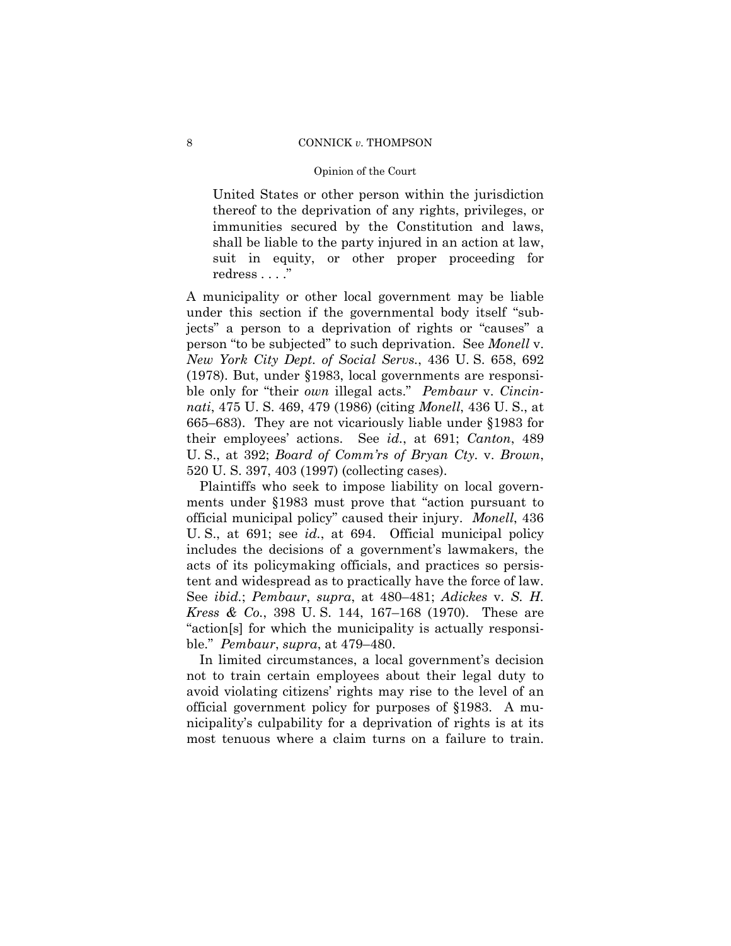# 8 CONNICK *v*. THOMPSON

# Opinion of the Court

United States or other person within the jurisdiction thereof to the deprivation of any rights, privileges, or immunities secured by the Constitution and laws, shall be liable to the party injured in an action at law, suit in equity, or other proper proceeding for redress . . . ."

A municipality or other local government may be liable under this section if the governmental body itself "subjects" a person to a deprivation of rights or "causes" a person "to be subjected" to such deprivation. See *Monell* v. *New York City Dept. of Social Servs.*, 436 U. S. 658, 692 (1978). But, under §1983, local governments are responsible only for "their *own* illegal acts." *Pembaur* v. *Cincinnati*, 475 U. S. 469, 479 (1986) (citing *Monell*, 436 U. S., at 665–683). They are not vicariously liable under §1983 for their employees' actions. See *id.*, at 691; *Canton*, 489 U. S., at 392; *Board of Comm'rs of Bryan Cty.* v. *Brown*, 520 U. S. 397, 403 (1997) (collecting cases).

Plaintiffs who seek to impose liability on local governments under §1983 must prove that "action pursuant to official municipal policy" caused their injury. *Monell*, 436 U. S., at 691; see *id.*, at 694. Official municipal policy includes the decisions of a government's lawmakers, the acts of its policymaking officials, and practices so persistent and widespread as to practically have the force of law. See *ibid.*; *Pembaur*, *supra*, at 480–481; *Adickes* v. *S. H. Kress & Co.*, 398 U. S. 144, 167–168 (1970). These are "action[s] for which the municipality is actually responsible." *Pembaur*, *supra*, at 479–480.

In limited circumstances, a local government's decision not to train certain employees about their legal duty to avoid violating citizens' rights may rise to the level of an official government policy for purposes of §1983. A municipality's culpability for a deprivation of rights is at its most tenuous where a claim turns on a failure to train.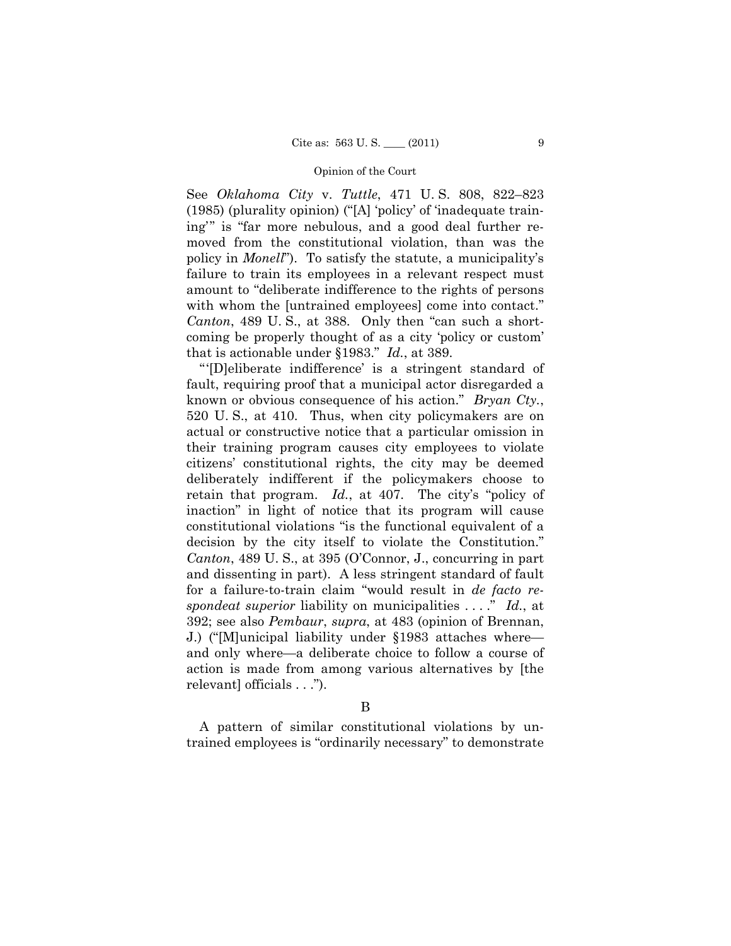See *Oklahoma City* v. *Tuttle*, 471 U. S. 808, 822–823 (1985) (plurality opinion) ("[A] 'policy' of 'inadequate training'" is "far more nebulous, and a good deal further removed from the constitutional violation, than was the policy in *Monell*"). To satisfy the statute, a municipality's failure to train its employees in a relevant respect must amount to "deliberate indifference to the rights of persons with whom the funtrained employees come into contact." *Canton*, 489 U. S., at 388. Only then "can such a shortcoming be properly thought of as a city 'policy or custom' that is actionable under §1983." *Id.*, at 389.

 "'[D]eliberate indifference' is a stringent standard of fault, requiring proof that a municipal actor disregarded a known or obvious consequence of his action." *Bryan Cty.*, 520 U. S., at 410. Thus, when city policymakers are on actual or constructive notice that a particular omission in their training program causes city employees to violate citizens' constitutional rights, the city may be deemed deliberately indifferent if the policymakers choose to retain that program. *Id.*, at 407. The city's "policy of inaction" in light of notice that its program will cause constitutional violations "is the functional equivalent of a decision by the city itself to violate the Constitution." *Canton*, 489 U. S., at 395 (O'Connor, J., concurring in part and dissenting in part). A less stringent standard of fault for a failure-to-train claim "would result in *de facto respondeat superior* liability on municipalities . . . ." *Id.*, at 392; see also *Pembaur*, *supra*, at 483 (opinion of Brennan, J.) ("[M]unicipal liability under §1983 attaches where and only where—a deliberate choice to follow a course of action is made from among various alternatives by [the relevant] officials . . .").

# B

A pattern of similar constitutional violations by untrained employees is "ordinarily necessary" to demonstrate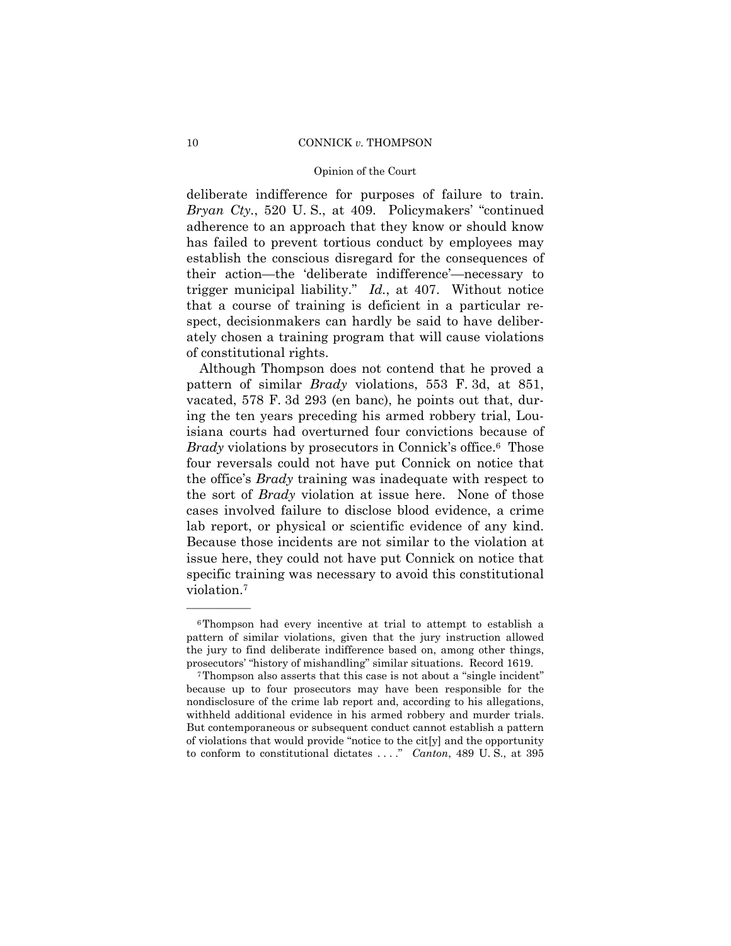#### 10 **CONNICK** *v*. THOMPSON

# Opinion of the Court

deliberate indifference for purposes of failure to train. *Bryan Cty.*, 520 U. S., at 409. Policymakers' "continued adherence to an approach that they know or should know has failed to prevent tortious conduct by employees may establish the conscious disregard for the consequences of their action—the 'deliberate indifference'—necessary to trigger municipal liability." *Id.*, at 407. Without notice that a course of training is deficient in a particular respect, decisionmakers can hardly be said to have deliberately chosen a training program that will cause violations of constitutional rights.

Although Thompson does not contend that he proved a pattern of similar *Brady* violations, 553 F. 3d, at 851, vacated, 578 F. 3d 293 (en banc), he points out that, during the ten years preceding his armed robbery trial, Louisiana courts had overturned four convictions because of *Brady* violations by prosecutors in Connick's office.<sup>6</sup> Those four reversals could not have put Connick on notice that the office's *Brady* training was inadequate with respect to the sort of *Brady* violation at issue here. None of those cases involved failure to disclose blood evidence, a crime lab report, or physical or scientific evidence of any kind. Because those incidents are not similar to the violation at issue here, they could not have put Connick on notice that specific training was necessary to avoid this constitutional violation.7

<sup>6</sup>Thompson had every incentive at trial to attempt to establish a pattern of similar violations, given that the jury instruction allowed the jury to find deliberate indifference based on, among other things, prosecutors' "history of mishandling" similar situations. Record 1619. 7Thompson also asserts that this case is not about a "single incident"

because up to four prosecutors may have been responsible for the nondisclosure of the crime lab report and, according to his allegations, withheld additional evidence in his armed robbery and murder trials. But contemporaneous or subsequent conduct cannot establish a pattern of violations that would provide "notice to the cit[y] and the opportunity to conform to constitutional dictates . . . ." *Canton*, 489 U. S., at 395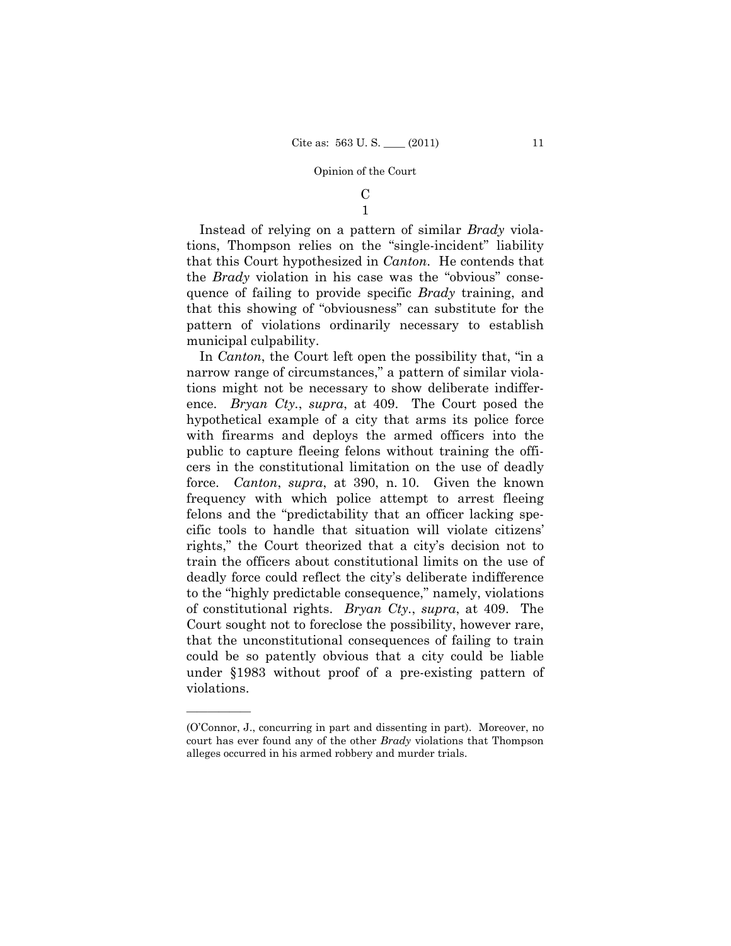# $\mathcal{C}$ 1

Instead of relying on a pattern of similar *Brady* violations, Thompson relies on the "single-incident" liability that this Court hypothesized in *Canton*. He contends that the *Brady* violation in his case was the "obvious" consequence of failing to provide specific *Brady* training, and that this showing of "obviousness" can substitute for the pattern of violations ordinarily necessary to establish municipal culpability.

In *Canton*, the Court left open the possibility that, "in a narrow range of circumstances," a pattern of similar violations might not be necessary to show deliberate indifference. *Bryan Cty.*, *supra*, at 409. The Court posed the hypothetical example of a city that arms its police force with firearms and deploys the armed officers into the public to capture fleeing felons without training the officers in the constitutional limitation on the use of deadly force. *Canton*, *supra*, at 390, n. 10. Given the known frequency with which police attempt to arrest fleeing felons and the "predictability that an officer lacking specific tools to handle that situation will violate citizens' rights," the Court theorized that a city's decision not to train the officers about constitutional limits on the use of deadly force could reflect the city's deliberate indifference to the "highly predictable consequence," namely, violations of constitutional rights. *Bryan Cty.*, *supra*, at 409. The Court sought not to foreclose the possibility, however rare, that the unconstitutional consequences of failing to train could be so patently obvious that a city could be liable under §1983 without proof of a pre-existing pattern of violations.

<sup>(</sup>O'Connor, J., concurring in part and dissenting in part). Moreover, no court has ever found any of the other *Brady* violations that Thompson alleges occurred in his armed robbery and murder trials.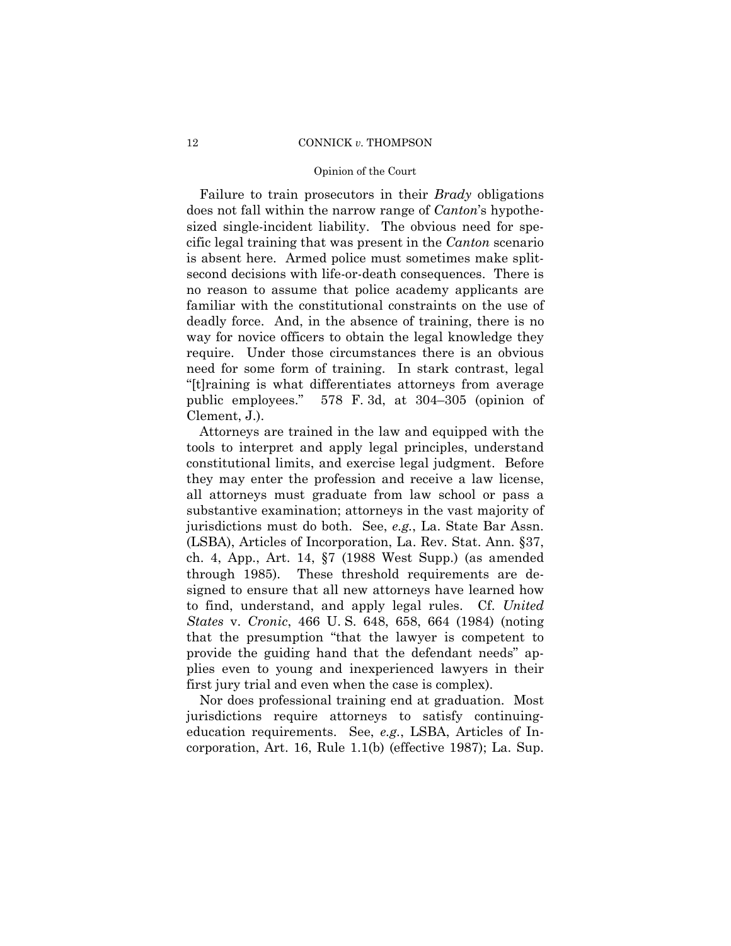## 12 CONNICK *v.* THOMPSON

# Opinion of the Court

Failure to train prosecutors in their *Brady* obligations does not fall within the narrow range of *Canton*'s hypothesized single-incident liability. The obvious need for specific legal training that was present in the *Canton* scenario is absent here. Armed police must sometimes make splitsecond decisions with life-or-death consequences. There is no reason to assume that police academy applicants are familiar with the constitutional constraints on the use of deadly force. And, in the absence of training, there is no way for novice officers to obtain the legal knowledge they require. Under those circumstances there is an obvious need for some form of training. In stark contrast, legal "[t]raining is what differentiates attorneys from average public employees." 578 F. 3d, at 304–305 (opinion of Clement, J.).

Attorneys are trained in the law and equipped with the tools to interpret and apply legal principles, understand constitutional limits, and exercise legal judgment. Before they may enter the profession and receive a law license, all attorneys must graduate from law school or pass a substantive examination; attorneys in the vast majority of jurisdictions must do both. See, *e.g.*, La. State Bar Assn. (LSBA), Articles of Incorporation, La. Rev. Stat. Ann. §37, ch. 4, App., Art. 14, §7 (1988 West Supp.) (as amended through 1985). These threshold requirements are designed to ensure that all new attorneys have learned how to find, understand, and apply legal rules. Cf. *United States* v. *Cronic*, 466 U. S. 648, 658, 664 (1984) (noting that the presumption "that the lawyer is competent to provide the guiding hand that the defendant needs" applies even to young and inexperienced lawyers in their first jury trial and even when the case is complex).

Nor does professional training end at graduation. Most jurisdictions require attorneys to satisfy continuingeducation requirements. See, *e.g.*, LSBA, Articles of Incorporation, Art. 16, Rule 1.1(b) (effective 1987); La. Sup.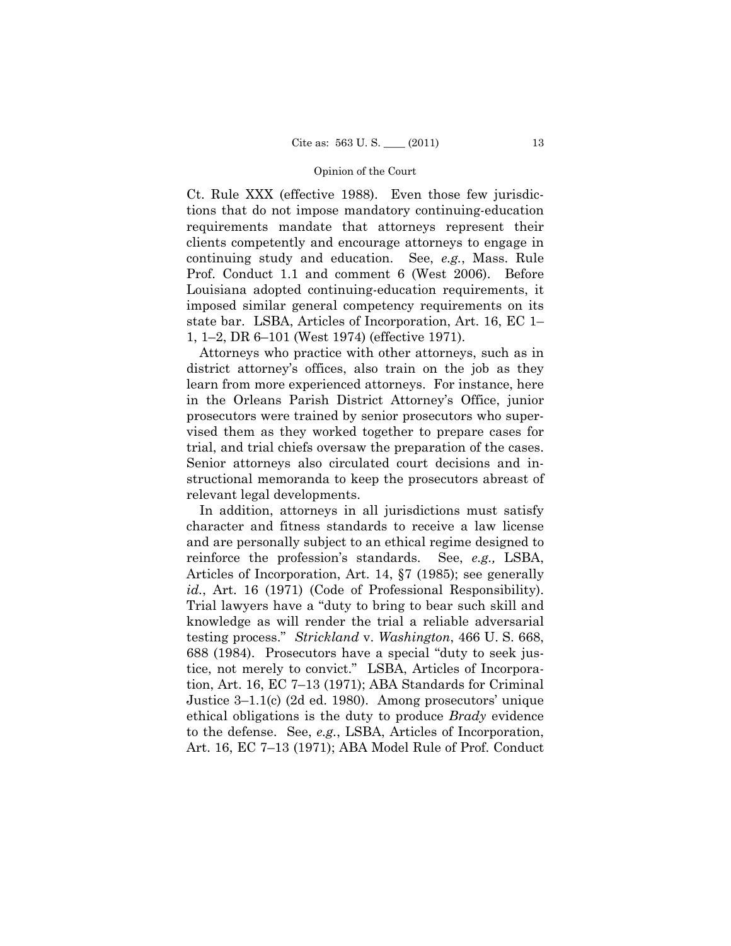Ct. Rule XXX (effective 1988). Even those few jurisdictions that do not impose mandatory continuing-education requirements mandate that attorneys represent their clients competently and encourage attorneys to engage in continuing study and education. See, *e.g.*, Mass. Rule Prof. Conduct 1.1 and comment 6 (West 2006). Before Louisiana adopted continuing-education requirements, it imposed similar general competency requirements on its state bar. LSBA, Articles of Incorporation, Art. 16, EC 1– 1, 1–2, DR 6–101 (West 1974) (effective 1971).

Attorneys who practice with other attorneys, such as in district attorney's offices, also train on the job as they learn from more experienced attorneys. For instance, here in the Orleans Parish District Attorney's Office, junior prosecutors were trained by senior prosecutors who supervised them as they worked together to prepare cases for trial, and trial chiefs oversaw the preparation of the cases. Senior attorneys also circulated court decisions and instructional memoranda to keep the prosecutors abreast of relevant legal developments.

In addition, attorneys in all jurisdictions must satisfy character and fitness standards to receive a law license and are personally subject to an ethical regime designed to reinforce the profession's standards. See, *e.g.,* LSBA, Articles of Incorporation, Art. 14, §7 (1985); see generally *id.*, Art. 16 (1971) (Code of Professional Responsibility). Trial lawyers have a "duty to bring to bear such skill and knowledge as will render the trial a reliable adversarial testing process." *Strickland* v. *Washington*, 466 U. S. 668, 688 (1984). Prosecutors have a special "duty to seek justice, not merely to convict." LSBA, Articles of Incorporation, Art. 16, EC 7–13 (1971); ABA Standards for Criminal Justice 3–1.1(c) (2d ed. 1980). Among prosecutors' unique ethical obligations is the duty to produce *Brady* evidence to the defense. See, *e.g.*, LSBA, Articles of Incorporation, Art. 16, EC 7–13 (1971); ABA Model Rule of Prof. Conduct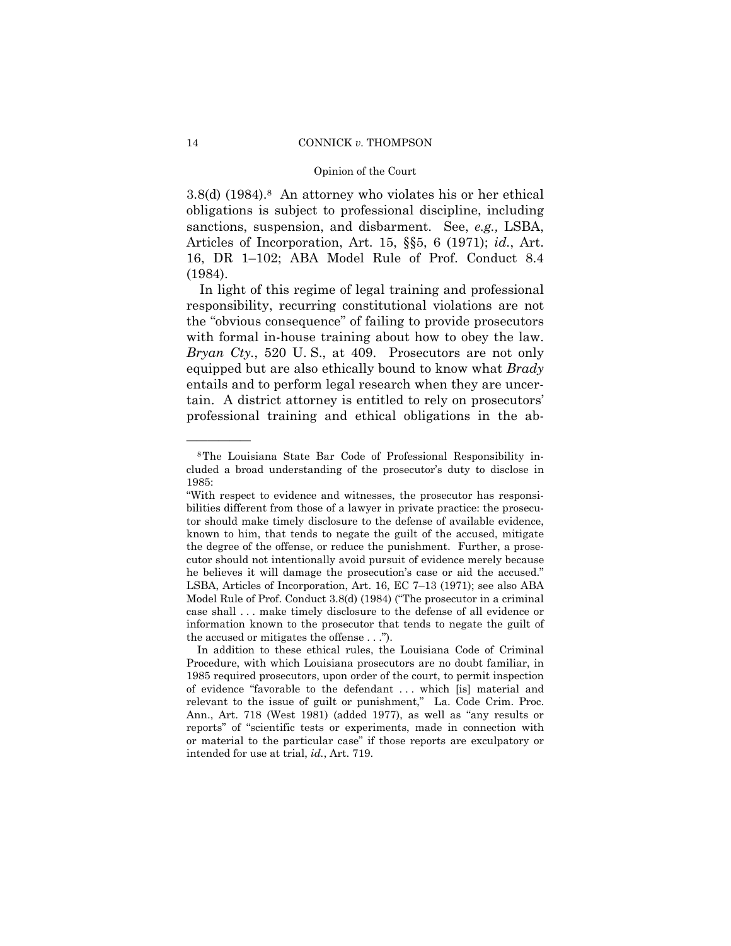3.8(d) (1984).8 An attorney who violates his or her ethical obligations is subject to professional discipline, including sanctions, suspension, and disbarment. See, *e.g.,* LSBA, Articles of Incorporation, Art. 15, §§5, 6 (1971); *id.*, Art. 16, DR 1–102; ABA Model Rule of Prof. Conduct 8.4 (1984).

In light of this regime of legal training and professional responsibility, recurring constitutional violations are not the "obvious consequence" of failing to provide prosecutors with formal in-house training about how to obey the law. *Bryan Cty.*, 520 U. S., at 409. Prosecutors are not only equipped but are also ethically bound to know what *Brady* entails and to perform legal research when they are uncertain. A district attorney is entitled to rely on prosecutors' professional training and ethical obligations in the ab-

<sup>8</sup>The Louisiana State Bar Code of Professional Responsibility included a broad understanding of the prosecutor's duty to disclose in 1985:

<sup>&</sup>quot;With respect to evidence and witnesses, the prosecutor has responsibilities different from those of a lawyer in private practice: the prosecutor should make timely disclosure to the defense of available evidence, known to him, that tends to negate the guilt of the accused, mitigate the degree of the offense, or reduce the punishment. Further, a prosecutor should not intentionally avoid pursuit of evidence merely because he believes it will damage the prosecution's case or aid the accused." LSBA, Articles of Incorporation, Art. 16, EC 7–13 (1971); see also ABA Model Rule of Prof. Conduct 3.8(d) (1984) ("The prosecutor in a criminal case shall . . . make timely disclosure to the defense of all evidence or information known to the prosecutor that tends to negate the guilt of the accused or mitigates the offense . . .").

In addition to these ethical rules, the Louisiana Code of Criminal Procedure, with which Louisiana prosecutors are no doubt familiar, in 1985 required prosecutors, upon order of the court, to permit inspection of evidence "favorable to the defendant . . . which [is] material and relevant to the issue of guilt or punishment," La. Code Crim. Proc. Ann., Art. 718 (West 1981) (added 1977), as well as "any results or reports" of "scientific tests or experiments, made in connection with or material to the particular case" if those reports are exculpatory or intended for use at trial, *id.*, Art. 719.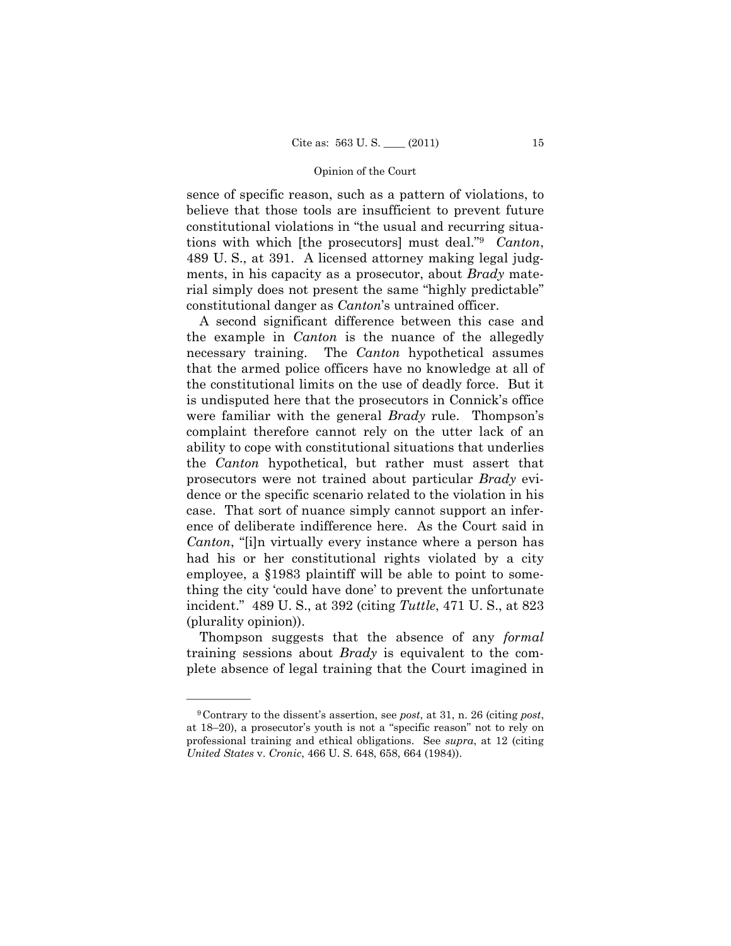sence of specific reason, such as a pattern of violations, to believe that those tools are insufficient to prevent future constitutional violations in "the usual and recurring situations with which [the prosecutors] must deal."9 *Canton*, 489 U. S., at 391. A licensed attorney making legal judgments, in his capacity as a prosecutor, about *Brady* material simply does not present the same "highly predictable" constitutional danger as *Canton*'s untrained officer.

A second significant difference between this case and the example in *Canton* is the nuance of the allegedly necessary training. The *Canton* hypothetical assumes that the armed police officers have no knowledge at all of the constitutional limits on the use of deadly force. But it is undisputed here that the prosecutors in Connick's office were familiar with the general *Brady* rule. Thompson's complaint therefore cannot rely on the utter lack of an ability to cope with constitutional situations that underlies the *Canton* hypothetical, but rather must assert that prosecutors were not trained about particular *Brady* evidence or the specific scenario related to the violation in his case. That sort of nuance simply cannot support an inference of deliberate indifference here. As the Court said in *Canton*, "[i]n virtually every instance where a person has had his or her constitutional rights violated by a city employee, a §1983 plaintiff will be able to point to something the city 'could have done' to prevent the unfortunate incident." 489 U. S., at 392 (citing *Tuttle*, 471 U. S., at 823 (plurality opinion)).

Thompson suggests that the absence of any *formal*  training sessions about *Brady* is equivalent to the complete absence of legal training that the Court imagined in

<sup>9</sup>Contrary to the dissent's assertion, see *post*, at 31, n. 26 (citing *post*, at 18–20), a prosecutor's youth is not a "specific reason" not to rely on professional training and ethical obligations. See *supra*, at 12 (citing *United States* v. *Cronic*, 466 U. S. 648, 658, 664 (1984)).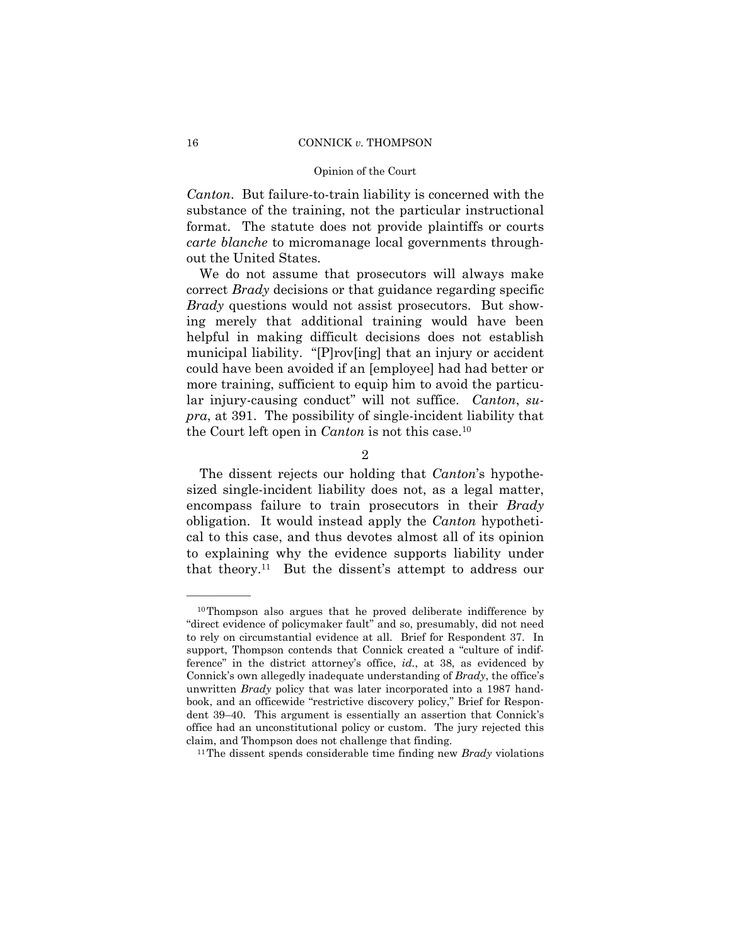# 16 CONNICK *v.* THOMPSON

# Opinion of the Court

*Canton*. But failure-to-train liability is concerned with the substance of the training, not the particular instructional format. The statute does not provide plaintiffs or courts *carte blanche* to micromanage local governments throughout the United States.

We do not assume that prosecutors will always make correct *Brady* decisions or that guidance regarding specific *Brady* questions would not assist prosecutors. But showing merely that additional training would have been helpful in making difficult decisions does not establish municipal liability. "[P]rov[ing] that an injury or accident could have been avoided if an [employee] had had better or more training, sufficient to equip him to avoid the particular injury-causing conduct" will not suffice. *Canton*, *supra*, at 391. The possibility of single-incident liability that the Court left open in *Canton* is not this case.10

2

The dissent rejects our holding that *Canton*'s hypothesized single-incident liability does not, as a legal matter, encompass failure to train prosecutors in their *Brady*  obligation. It would instead apply the *Canton* hypothetical to this case, and thus devotes almost all of its opinion to explaining why the evidence supports liability under that theory.11 But the dissent's attempt to address our

<sup>10</sup>Thompson also argues that he proved deliberate indifference by "direct evidence of policymaker fault" and so, presumably, did not need to rely on circumstantial evidence at all. Brief for Respondent 37. In support, Thompson contends that Connick created a "culture of indifference" in the district attorney's office, *id.*, at 38, as evidenced by Connick's own allegedly inadequate understanding of *Brady*, the office's unwritten *Brady* policy that was later incorporated into a 1987 handbook, and an officewide "restrictive discovery policy," Brief for Respondent 39–40. This argument is essentially an assertion that Connick's office had an unconstitutional policy or custom. The jury rejected this claim, and Thompson does not challenge that finding. 11The dissent spends considerable time finding new *Brady* violations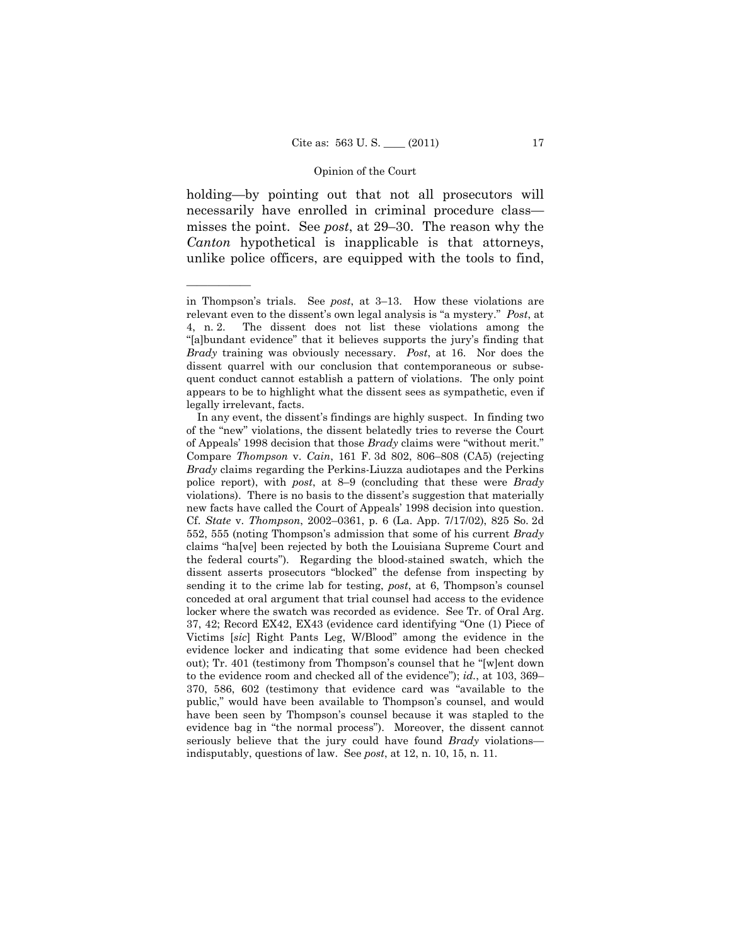holding—by pointing out that not all prosecutors will necessarily have enrolled in criminal procedure class misses the point. See *post*, at 29–30. The reason why the *Canton* hypothetical is inapplicable is that attorneys, unlike police officers, are equipped with the tools to find,

in Thompson's trials. See *post*, at 3–13. How these violations are relevant even to the dissent's own legal analysis is "a mystery." *Post*, at 4, n. 2. The dissent does not list these violations among the "[a]bundant evidence" that it believes supports the jury's finding that *Brady* training was obviously necessary. *Post*, at 16. Nor does the dissent quarrel with our conclusion that contemporaneous or subsequent conduct cannot establish a pattern of violations. The only point appears to be to highlight what the dissent sees as sympathetic, even if legally irrelevant, facts.

In any event, the dissent's findings are highly suspect. In finding two of the "new" violations, the dissent belatedly tries to reverse the Court of Appeals' 1998 decision that those *Brady* claims were "without merit." Compare *Thompson* v. *Cain*, 161 F. 3d 802, 806–808 (CA5) (rejecting *Brady* claims regarding the Perkins-Liuzza audiotapes and the Perkins police report), with *post*, at 8–9 (concluding that these were *Brady* violations). There is no basis to the dissent's suggestion that materially new facts have called the Court of Appeals' 1998 decision into question. Cf. *State* v. *Thompson*, 2002–0361, p. 6 (La. App. 7/17/02), 825 So. 2d 552, 555 (noting Thompson's admission that some of his current *Brady* claims "ha[ve] been rejected by both the Louisiana Supreme Court and the federal courts"). Regarding the blood-stained swatch, which the dissent asserts prosecutors "blocked" the defense from inspecting by sending it to the crime lab for testing, *post*, at 6, Thompson's counsel conceded at oral argument that trial counsel had access to the evidence locker where the swatch was recorded as evidence. See Tr. of Oral Arg. 37, 42; Record EX42, EX43 (evidence card identifying "One (1) Piece of Victims [*sic*] Right Pants Leg, W/Blood" among the evidence in the evidence locker and indicating that some evidence had been checked out); Tr. 401 (testimony from Thompson's counsel that he "[w]ent down to the evidence room and checked all of the evidence"); *id.*, at 103, 369– 370, 586, 602 (testimony that evidence card was "available to the public," would have been available to Thompson's counsel, and would have been seen by Thompson's counsel because it was stapled to the evidence bag in "the normal process"). Moreover, the dissent cannot seriously believe that the jury could have found *Brady* violations indisputably, questions of law. See *post*, at 12, n. 10, 15, n. 11.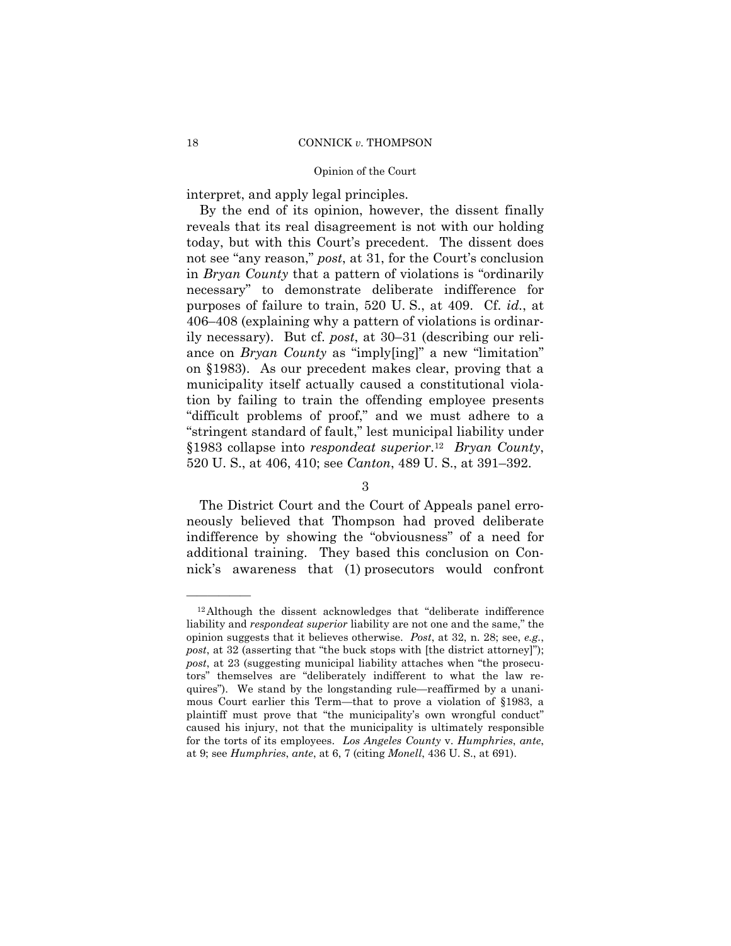interpret, and apply legal principles.

By the end of its opinion, however, the dissent finally reveals that its real disagreement is not with our holding today, but with this Court's precedent. The dissent does not see "any reason," *post*, at 31, for the Court's conclusion in *Bryan County* that a pattern of violations is "ordinarily necessary" to demonstrate deliberate indifference for purposes of failure to train, 520 U. S., at 409. Cf. *id.*, at 406–408 (explaining why a pattern of violations is ordinarily necessary). But cf. *post*, at 30–31 (describing our reliance on *Bryan County* as "imply[ing]" a new "limitation" on §1983). As our precedent makes clear, proving that a municipality itself actually caused a constitutional violation by failing to train the offending employee presents "difficult problems of proof," and we must adhere to a "stringent standard of fault," lest municipal liability under §1983 collapse into *respondeat superior*.12 *Bryan County*, 520 U. S., at 406, 410; see *Canton*, 489 U. S., at 391–392.

# 3

The District Court and the Court of Appeals panel erroneously believed that Thompson had proved deliberate indifference by showing the "obviousness" of a need for additional training. They based this conclusion on Connick's awareness that (1) prosecutors would confront

<sup>12</sup>Although the dissent acknowledges that "deliberate indifference liability and *respondeat superior* liability are not one and the same," the opinion suggests that it believes otherwise. *Post*, at 32, n. 28; see, *e.g.*, *post*, at 32 (asserting that "the buck stops with [the district attorney]"); *post*, at 23 (suggesting municipal liability attaches when "the prosecutors" themselves are "deliberately indifferent to what the law requires"). We stand by the longstanding rule—reaffirmed by a unanimous Court earlier this Term—that to prove a violation of §1983, a plaintiff must prove that "the municipality's own wrongful conduct" caused his injury, not that the municipality is ultimately responsible for the torts of its employees. *Los Angeles County* v. *Humphries*, *ante*, at 9; see *Humphries*, *ante*, at 6, 7 (citing *Monell*, 436 U. S., at 691).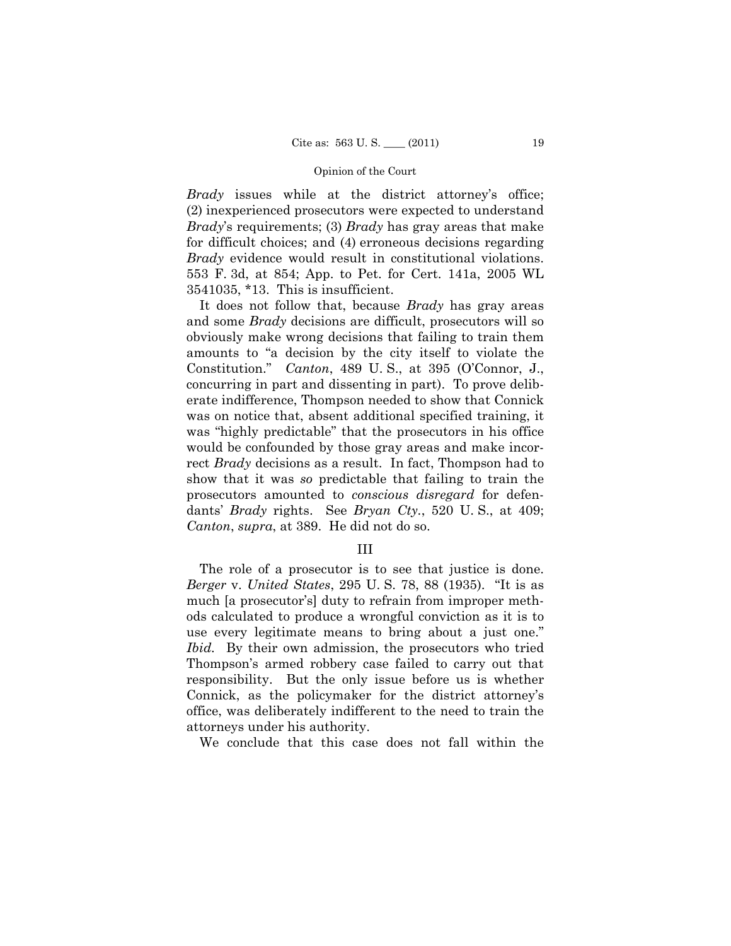*Brady* issues while at the district attorney's office; (2) inexperienced prosecutors were expected to understand *Brady*'s requirements; (3) *Brady* has gray areas that make for difficult choices; and (4) erroneous decisions regarding *Brady* evidence would result in constitutional violations. 553 F. 3d, at 854; App. to Pet. for Cert. 141a, 2005 WL 3541035, \*13. This is insufficient.

It does not follow that, because *Brady* has gray areas and some *Brady* decisions are difficult, prosecutors will so obviously make wrong decisions that failing to train them amounts to "a decision by the city itself to violate the Constitution." *Canton*, 489 U. S., at 395 (O'Connor, J., concurring in part and dissenting in part). To prove deliberate indifference, Thompson needed to show that Connick was on notice that, absent additional specified training, it was "highly predictable" that the prosecutors in his office would be confounded by those gray areas and make incorrect *Brady* decisions as a result. In fact, Thompson had to show that it was *so* predictable that failing to train the prosecutors amounted to *conscious disregard* for defendants' *Brady* rights. See *Bryan Cty.*, 520 U. S., at 409; *Canton*, *supra*, at 389. He did not do so.

III

The role of a prosecutor is to see that justice is done. *Berger* v. *United States*, 295 U. S. 78, 88 (1935). "It is as much [a prosecutor's] duty to refrain from improper methods calculated to produce a wrongful conviction as it is to use every legitimate means to bring about a just one." *Ibid.* By their own admission, the prosecutors who tried Thompson's armed robbery case failed to carry out that responsibility. But the only issue before us is whether Connick, as the policymaker for the district attorney's office, was deliberately indifferent to the need to train the attorneys under his authority.

We conclude that this case does not fall within the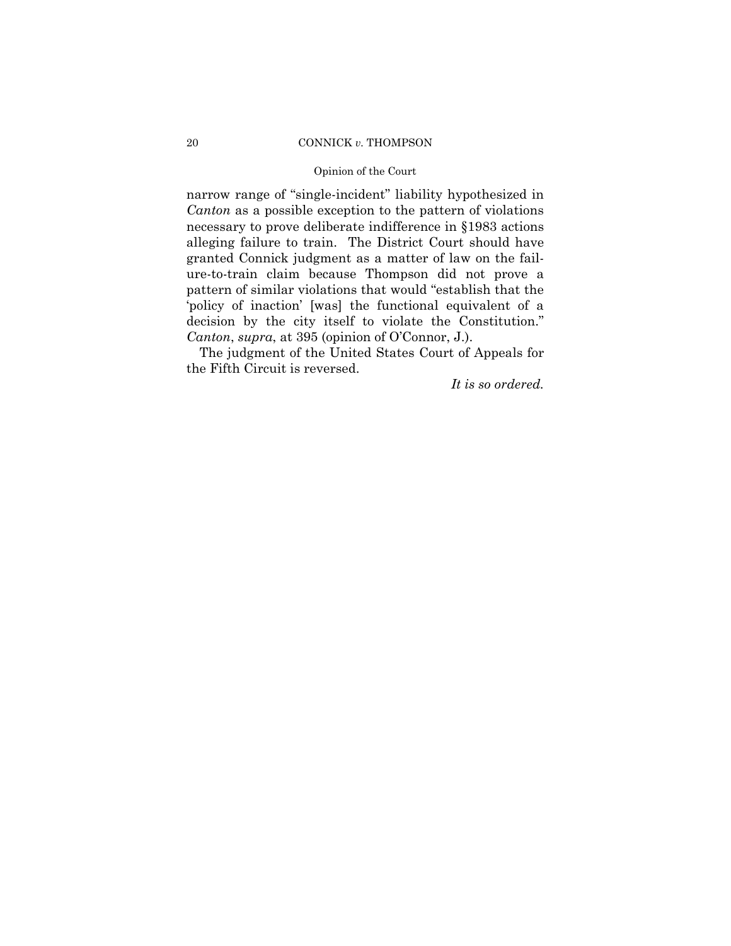# 20 CONNICK *v.* THOMPSON

# Opinion of the Court

narrow range of "single-incident" liability hypothesized in *Canton* as a possible exception to the pattern of violations necessary to prove deliberate indifference in §1983 actions alleging failure to train. The District Court should have granted Connick judgment as a matter of law on the failure-to-train claim because Thompson did not prove a pattern of similar violations that would "establish that the 'policy of inaction' [was] the functional equivalent of a decision by the city itself to violate the Constitution." *Canton*, *supra*, at 395 (opinion of O'Connor, J.).

The judgment of the United States Court of Appeals for the Fifth Circuit is reversed.

*It is so ordered.*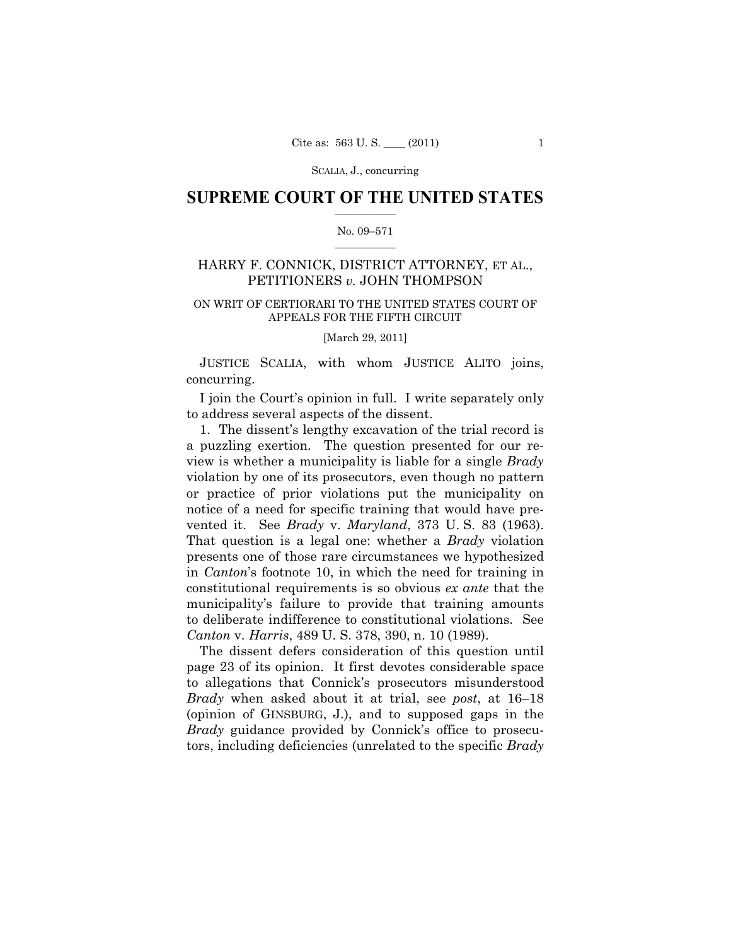# $\frac{1}{2}$  ,  $\frac{1}{2}$  ,  $\frac{1}{2}$  ,  $\frac{1}{2}$  ,  $\frac{1}{2}$  ,  $\frac{1}{2}$  ,  $\frac{1}{2}$ **SUPREME COURT OF THE UNITED STATES**

# $\frac{1}{2}$  ,  $\frac{1}{2}$  ,  $\frac{1}{2}$  ,  $\frac{1}{2}$  ,  $\frac{1}{2}$  ,  $\frac{1}{2}$ No. 09–571

# HARRY F. CONNICK, DISTRICT ATTORNEY, ET AL., PETITIONERS *v.* JOHN THOMPSON

# ON WRIT OF CERTIORARI TO THE UNITED STATES COURT OF APPEALS FOR THE FIFTH CIRCUIT

[March 29, 2011]

JUSTICE SCALIA, with whom JUSTICE ALITO joins, concurring.

I join the Court's opinion in full. I write separately only to address several aspects of the dissent.

1. The dissent's lengthy excavation of the trial record is a puzzling exertion. The question presented for our review is whether a municipality is liable for a single *Brady* violation by one of its prosecutors, even though no pattern or practice of prior violations put the municipality on notice of a need for specific training that would have prevented it. See *Brady* v. *Maryland*, 373 U. S. 83 (1963). That question is a legal one: whether a *Brady* violation presents one of those rare circumstances we hypothesized in *Canton*'s footnote 10, in which the need for training in constitutional requirements is so obvious *ex ante* that the municipality's failure to provide that training amounts to deliberate indifference to constitutional violations. See *Canton* v. *Harris*, 489 U. S. 378, 390, n. 10 (1989).

The dissent defers consideration of this question until page 23 of its opinion. It first devotes considerable space to allegations that Connick's prosecutors misunderstood *Brady* when asked about it at trial, see *post*, at 16–18 (opinion of GINSBURG, J.), and to supposed gaps in the *Brady* guidance provided by Connick's office to prosecutors, including deficiencies (unrelated to the specific *Brady*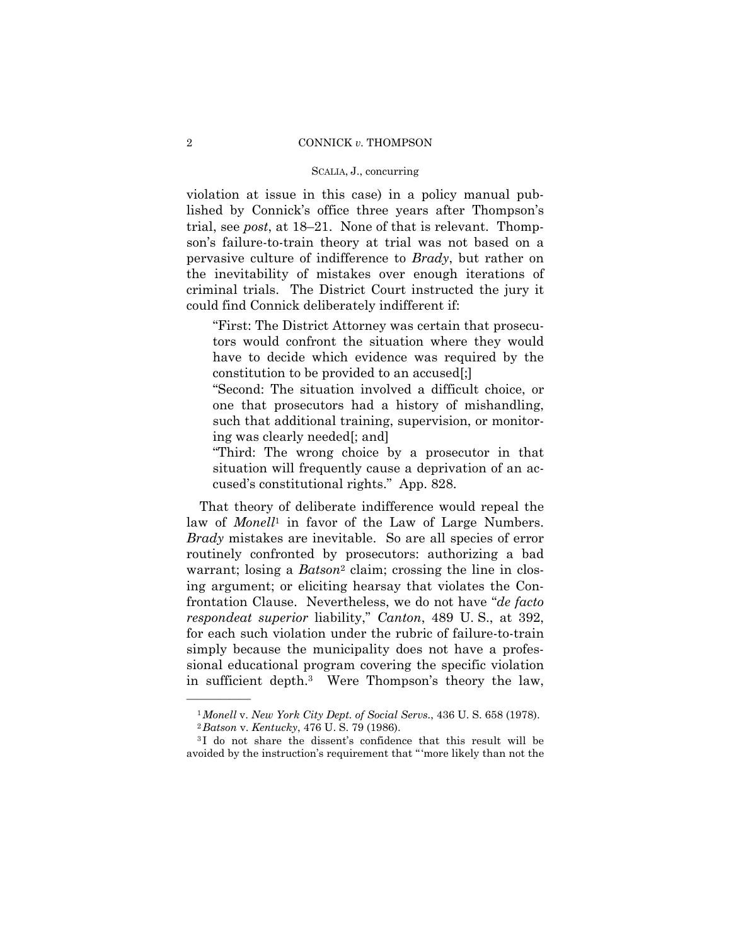## 2 CONNICK *v.* THOMPSON

# SCALIA, J., concurring

violation at issue in this case) in a policy manual published by Connick's office three years after Thompson's trial, see *post*, at 18–21. None of that is relevant. Thompson's failure-to-train theory at trial was not based on a pervasive culture of indifference to *Brady*, but rather on the inevitability of mistakes over enough iterations of criminal trials. The District Court instructed the jury it could find Connick deliberately indifferent if:

"First: The District Attorney was certain that prosecutors would confront the situation where they would have to decide which evidence was required by the constitution to be provided to an accused[;]

"Second: The situation involved a difficult choice, or one that prosecutors had a history of mishandling, such that additional training, supervision, or monitoring was clearly needed[; and]

"Third: The wrong choice by a prosecutor in that situation will frequently cause a deprivation of an accused's constitutional rights." App. 828.

That theory of deliberate indifference would repeal the law of *Monell*1 in favor of the Law of Large Numbers. *Brady* mistakes are inevitable. So are all species of error routinely confronted by prosecutors: authorizing a bad warrant; losing a *Batson*<sup>2</sup> claim; crossing the line in closing argument; or eliciting hearsay that violates the Confrontation Clause. Nevertheless, we do not have "*de facto respondeat superior* liability," *Canton*, 489 U. S., at 392, for each such violation under the rubric of failure-to-train simply because the municipality does not have a professional educational program covering the specific violation in sufficient depth.3 Were Thompson's theory the law,

<sup>1</sup>*Monell* v. *New York City Dept. of Social Servs.*, 436 U. S. 658 (1978). 2 *Batson* v. *Kentucky*, 476 U. S. 79 (1986). 3 I do not share the dissent's confidence that this result will be

avoided by the instruction's requirement that " 'more likely than not the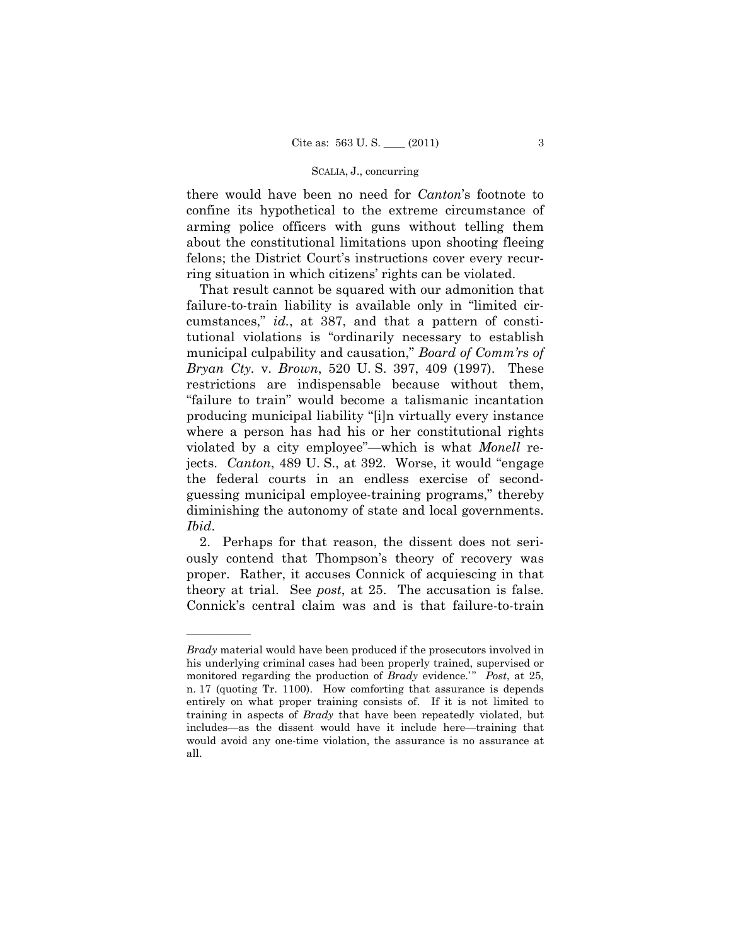there would have been no need for *Canton*'s footnote to confine its hypothetical to the extreme circumstance of arming police officers with guns without telling them about the constitutional limitations upon shooting fleeing felons; the District Court's instructions cover every recurring situation in which citizens' rights can be violated.

That result cannot be squared with our admonition that failure-to-train liability is available only in "limited circumstances," *id.*, at 387, and that a pattern of constitutional violations is "ordinarily necessary to establish municipal culpability and causation," *Board of Comm'rs of Bryan Cty.* v. *Brown*, 520 U. S. 397, 409 (1997). These restrictions are indispensable because without them, "failure to train" would become a talismanic incantation producing municipal liability "[i]n virtually every instance where a person has had his or her constitutional rights violated by a city employee"—which is what *Monell* rejects. *Canton*, 489 U. S., at 392. Worse, it would "engage the federal courts in an endless exercise of secondguessing municipal employee-training programs," thereby diminishing the autonomy of state and local governments. *Ibid*.

2. Perhaps for that reason, the dissent does not seriously contend that Thompson's theory of recovery was proper. Rather, it accuses Connick of acquiescing in that theory at trial. See *post*, at 25. The accusation is false. Connick's central claim was and is that failure-to-train

*Brady* material would have been produced if the prosecutors involved in his underlying criminal cases had been properly trained, supervised or monitored regarding the production of *Brady* evidence.'" *Post*, at 25, n. 17 (quoting Tr. 1100). How comforting that assurance is depends entirely on what proper training consists of. If it is not limited to training in aspects of *Brady* that have been repeatedly violated, but includes—as the dissent would have it include here—training that would avoid any one-time violation, the assurance is no assurance at all.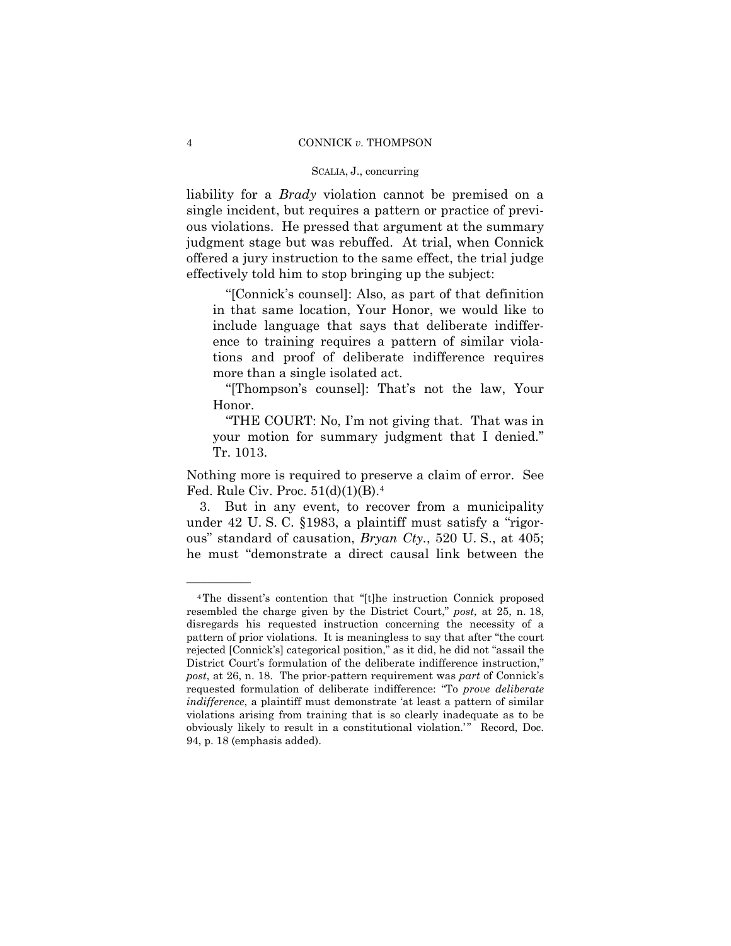liability for a *Brady* violation cannot be premised on a single incident, but requires a pattern or practice of previous violations. He pressed that argument at the summary judgment stage but was rebuffed. At trial, when Connick offered a jury instruction to the same effect, the trial judge effectively told him to stop bringing up the subject:

"[Connick's counsel]: Also, as part of that definition in that same location, Your Honor, we would like to include language that says that deliberate indifference to training requires a pattern of similar violations and proof of deliberate indifference requires more than a single isolated act.

"[Thompson's counsel]: That's not the law, Your Honor.

"THE COURT: No, I'm not giving that. That was in your motion for summary judgment that I denied." Tr. 1013.

Nothing more is required to preserve a claim of error. See Fed. Rule Civ. Proc.  $51(d)(1)(B).4$ 

3. But in any event, to recover from a municipality under 42 U. S. C. §1983, a plaintiff must satisfy a "rigorous" standard of causation, *Bryan Cty.*, 520 U. S., at 405; he must "demonstrate a direct causal link between the

<sup>4</sup>The dissent's contention that "[t]he instruction Connick proposed resembled the charge given by the District Court," *post*, at 25, n. 18, disregards his requested instruction concerning the necessity of a pattern of prior violations. It is meaningless to say that after "the court rejected [Connick's] categorical position," as it did, he did not "assail the District Court's formulation of the deliberate indifference instruction," *post*, at 26, n. 18. The prior-pattern requirement was *part* of Connick's requested formulation of deliberate indifference: "To *prove deliberate indifference*, a plaintiff must demonstrate 'at least a pattern of similar violations arising from training that is so clearly inadequate as to be obviously likely to result in a constitutional violation." Record, Doc. 94, p. 18 (emphasis added).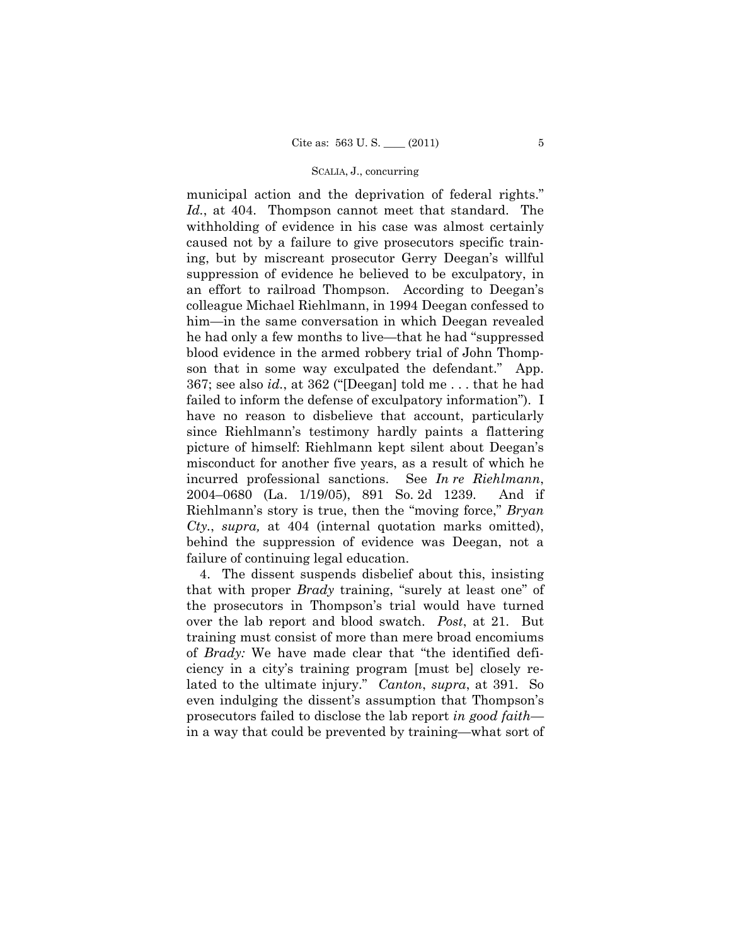municipal action and the deprivation of federal rights." *Id.*, at 404. Thompson cannot meet that standard. The withholding of evidence in his case was almost certainly caused not by a failure to give prosecutors specific training, but by miscreant prosecutor Gerry Deegan's willful suppression of evidence he believed to be exculpatory, in an effort to railroad Thompson. According to Deegan's colleague Michael Riehlmann, in 1994 Deegan confessed to him—in the same conversation in which Deegan revealed he had only a few months to live—that he had "suppressed blood evidence in the armed robbery trial of John Thompson that in some way exculpated the defendant." App. 367; see also *id.*, at 362 ("[Deegan] told me . . . that he had failed to inform the defense of exculpatory information"). I have no reason to disbelieve that account, particularly since Riehlmann's testimony hardly paints a flattering picture of himself: Riehlmann kept silent about Deegan's misconduct for another five years, as a result of which he incurred professional sanctions. See *In re Riehlmann*, 2004–0680 (La. 1/19/05), 891 So. 2d 1239. And if Riehlmann's story is true, then the "moving force," *Bryan Cty.*, *supra,* at 404 (internal quotation marks omitted), behind the suppression of evidence was Deegan, not a failure of continuing legal education.

4. The dissent suspends disbelief about this, insisting that with proper *Brady* training, "surely at least one" of the prosecutors in Thompson's trial would have turned over the lab report and blood swatch. *Post*, at 21. But training must consist of more than mere broad encomiums of *Brady:* We have made clear that "the identified deficiency in a city's training program [must be] closely related to the ultimate injury." *Canton*, *supra*, at 391. So even indulging the dissent's assumption that Thompson's prosecutors failed to disclose the lab report *in good faith* in a way that could be prevented by training—what sort of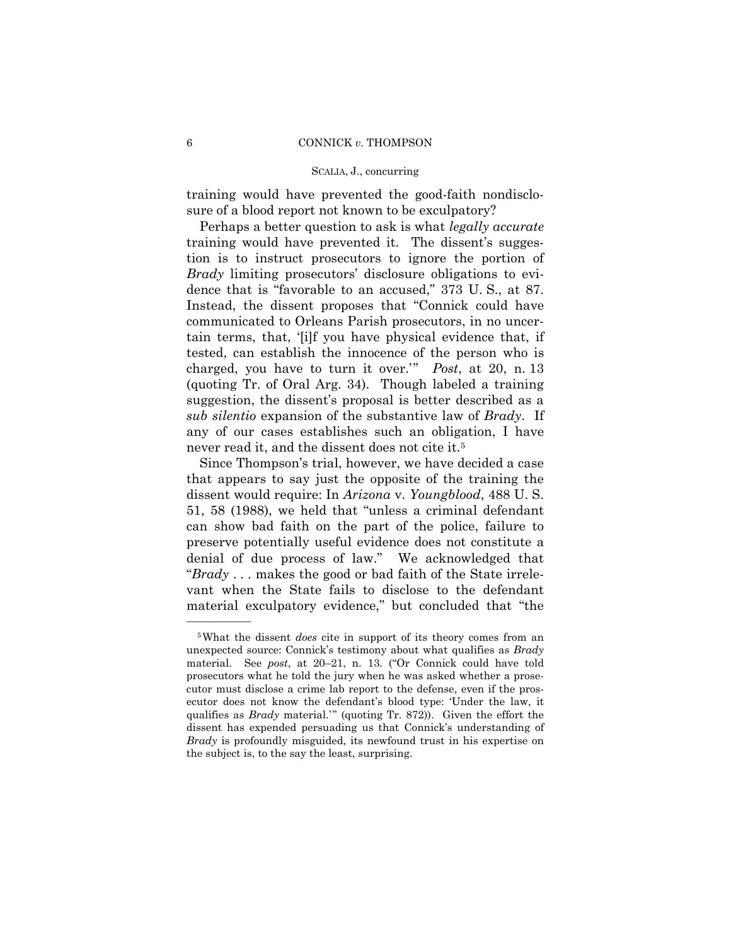training would have prevented the good-faith nondisclosure of a blood report not known to be exculpatory?

Perhaps a better question to ask is what *legally accurate*  training would have prevented it. The dissent's suggestion is to instruct prosecutors to ignore the portion of *Brady* limiting prosecutors' disclosure obligations to evidence that is "favorable to an accused," 373 U. S., at 87. Instead, the dissent proposes that "Connick could have communicated to Orleans Parish prosecutors, in no uncertain terms, that, '[i]f you have physical evidence that, if tested, can establish the innocence of the person who is charged, you have to turn it over.'" *Post*, at 20, n. 13 (quoting Tr. of Oral Arg. 34). Though labeled a training suggestion, the dissent's proposal is better described as a *sub silentio* expansion of the substantive law of *Brady*. If any of our cases establishes such an obligation, I have never read it, and the dissent does not cite it.5

Since Thompson's trial, however, we have decided a case that appears to say just the opposite of the training the dissent would require: In *Arizona* v. *Youngblood*, 488 U. S. 51, 58 (1988), we held that "unless a criminal defendant can show bad faith on the part of the police, failure to preserve potentially useful evidence does not constitute a denial of due process of law." We acknowledged that "*Brady* . . . makes the good or bad faith of the State irrelevant when the State fails to disclose to the defendant material exculpatory evidence," but concluded that "the

<sup>5</sup>What the dissent *does* cite in support of its theory comes from an unexpected source: Connick's testimony about what qualifies as *Brady* material. See *post*, at 20–21, n. 13*.* ("Or Connick could have told prosecutors what he told the jury when he was asked whether a prosecutor must disclose a crime lab report to the defense, even if the prosecutor does not know the defendant's blood type: 'Under the law, it qualifies as *Brady* material.'" (quoting Tr. 872)). Given the effort the dissent has expended persuading us that Connick's understanding of *Brady* is profoundly misguided, its newfound trust in his expertise on the subject is, to the say the least, surprising.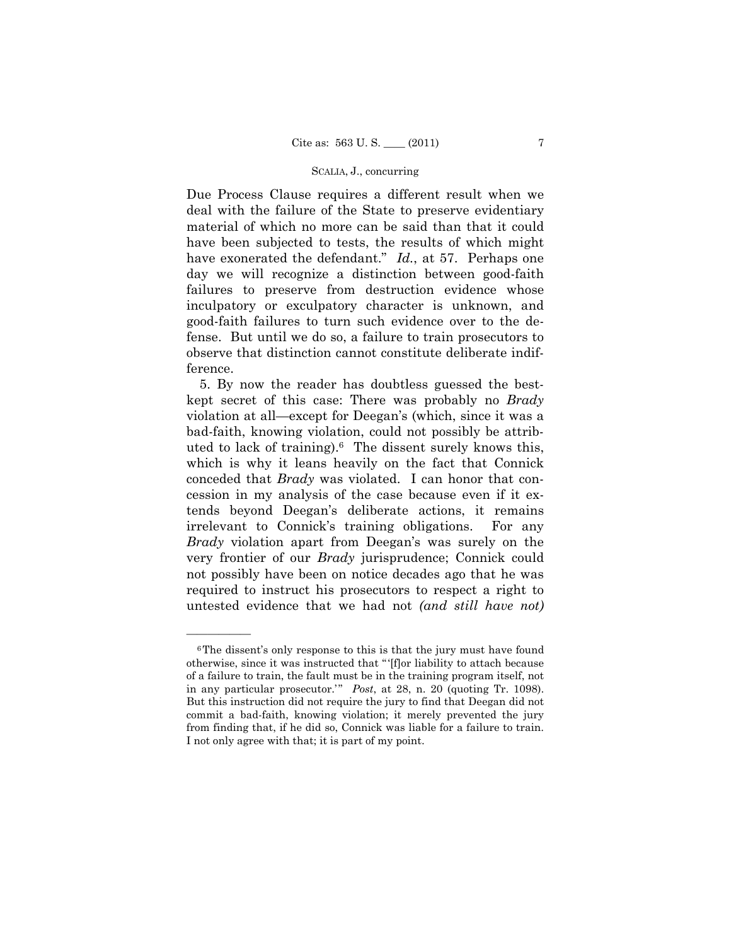Due Process Clause requires a different result when we deal with the failure of the State to preserve evidentiary material of which no more can be said than that it could have been subjected to tests, the results of which might have exonerated the defendant." *Id.*, at 57. Perhaps one day we will recognize a distinction between good-faith failures to preserve from destruction evidence whose inculpatory or exculpatory character is unknown, and good-faith failures to turn such evidence over to the defense. But until we do so, a failure to train prosecutors to observe that distinction cannot constitute deliberate indifference.

5. By now the reader has doubtless guessed the bestkept secret of this case: There was probably no *Brady* violation at all—except for Deegan's (which, since it was a bad-faith, knowing violation, could not possibly be attributed to lack of training).6 The dissent surely knows this, which is why it leans heavily on the fact that Connick conceded that *Brady* was violated. I can honor that concession in my analysis of the case because even if it extends beyond Deegan's deliberate actions, it remains irrelevant to Connick's training obligations. For any *Brady* violation apart from Deegan's was surely on the very frontier of our *Brady* jurisprudence; Connick could not possibly have been on notice decades ago that he was required to instruct his prosecutors to respect a right to untested evidence that we had not *(and still have not)* 

<sup>&</sup>lt;sup>6</sup>The dissent's only response to this is that the jury must have found otherwise, since it was instructed that " '[f]or liability to attach because of a failure to train, the fault must be in the training program itself, not in any particular prosecutor.'" *Post*, at 28, n. 20 (quoting Tr. 1098). But this instruction did not require the jury to find that Deegan did not commit a bad-faith, knowing violation; it merely prevented the jury from finding that, if he did so, Connick was liable for a failure to train. I not only agree with that; it is part of my point.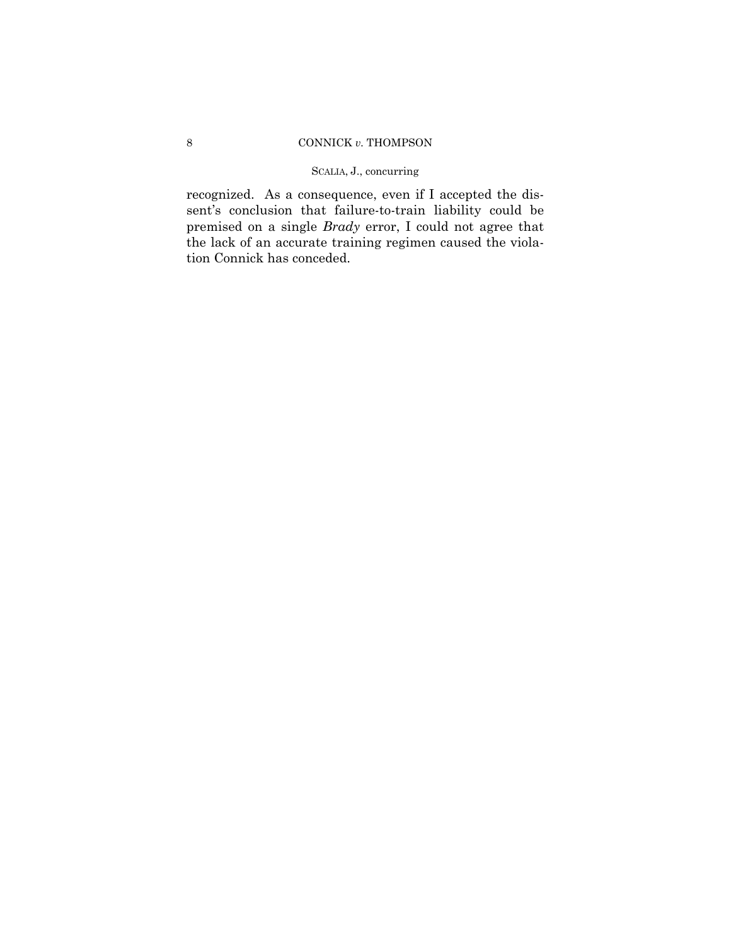recognized. As a consequence, even if I accepted the dissent's conclusion that failure-to-train liability could be premised on a single *Brady* error, I could not agree that the lack of an accurate training regimen caused the violation Connick has conceded.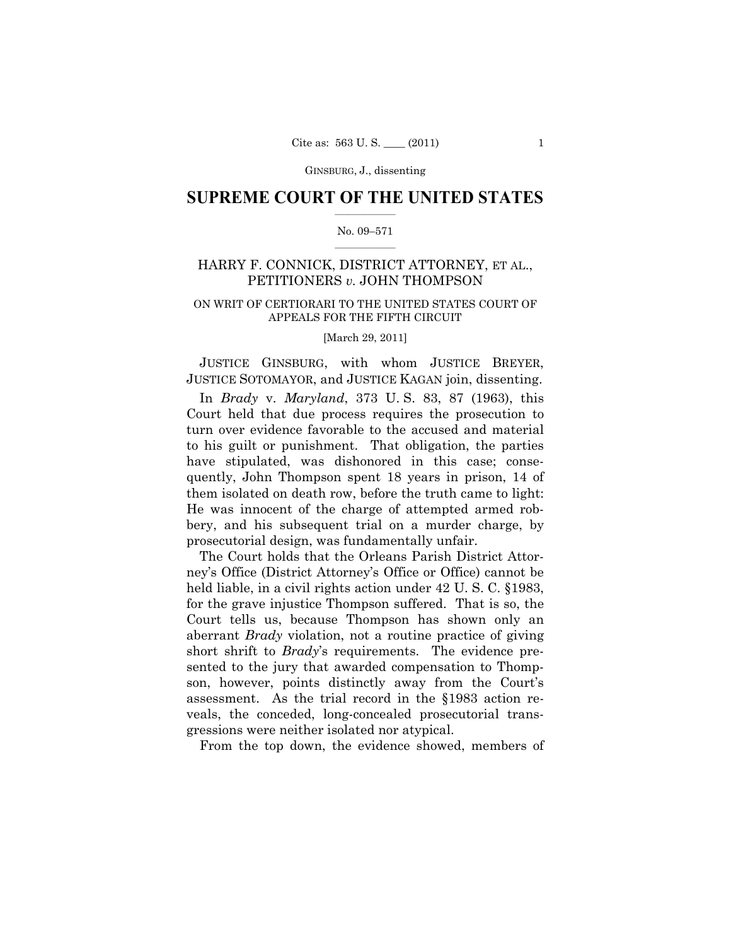# $\frac{1}{2}$  ,  $\frac{1}{2}$  ,  $\frac{1}{2}$  ,  $\frac{1}{2}$  ,  $\frac{1}{2}$  ,  $\frac{1}{2}$  ,  $\frac{1}{2}$ **SUPREME COURT OF THE UNITED STATES**

# $\frac{1}{2}$  ,  $\frac{1}{2}$  ,  $\frac{1}{2}$  ,  $\frac{1}{2}$  ,  $\frac{1}{2}$  ,  $\frac{1}{2}$ No. 09–571

# HARRY F. CONNICK, DISTRICT ATTORNEY, ET AL., PETITIONERS *v.* JOHN THOMPSON

# ON WRIT OF CERTIORARI TO THE UNITED STATES COURT OF APPEALS FOR THE FIFTH CIRCUIT

# [March 29, 2011]

JUSTICE GINSBURG, with whom JUSTICE BREYER, JUSTICE SOTOMAYOR, and JUSTICE KAGAN join, dissenting.

In *Brady* v. *Maryland*, 373 U. S. 83, 87 (1963), this Court held that due process requires the prosecution to turn over evidence favorable to the accused and material to his guilt or punishment. That obligation, the parties have stipulated, was dishonored in this case; consequently, John Thompson spent 18 years in prison, 14 of them isolated on death row, before the truth came to light: He was innocent of the charge of attempted armed robbery, and his subsequent trial on a murder charge, by prosecutorial design, was fundamentally unfair.

The Court holds that the Orleans Parish District Attorney's Office (District Attorney's Office or Office) cannot be held liable, in a civil rights action under 42 U.S.C. §1983, for the grave injustice Thompson suffered. That is so, the Court tells us, because Thompson has shown only an aberrant *Brady* violation, not a routine practice of giving short shrift to *Brady*'s requirements. The evidence presented to the jury that awarded compensation to Thompson, however, points distinctly away from the Court's assessment. As the trial record in the §1983 action reveals, the conceded, long-concealed prosecutorial transgressions were neither isolated nor atypical.

From the top down, the evidence showed, members of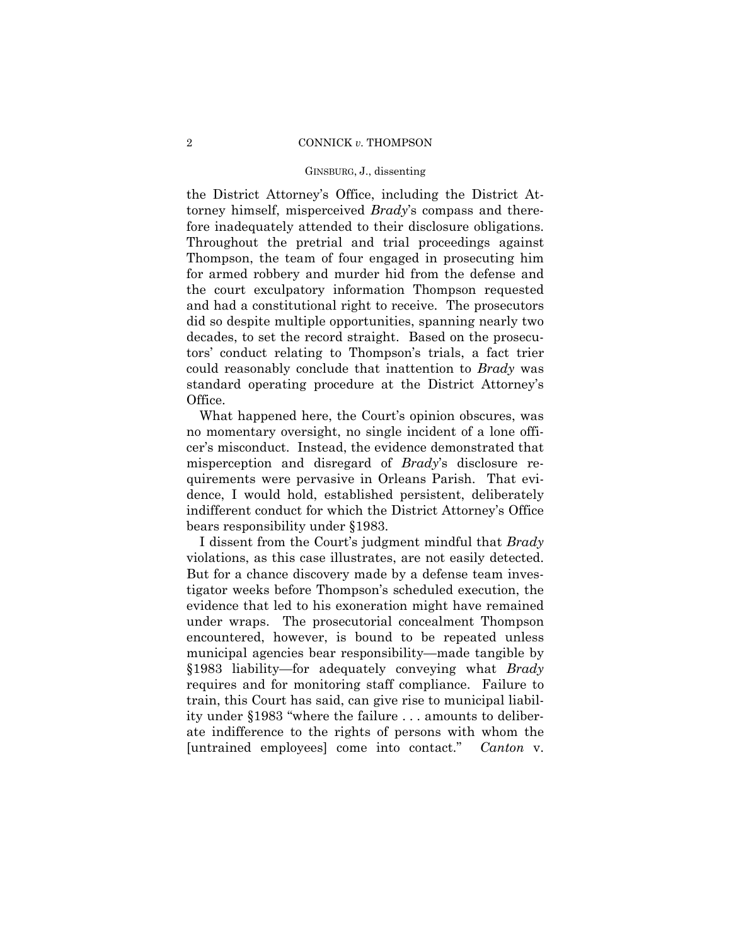## 2 CONNICK *v.* THOMPSON

# GINSBURG, J., dissenting

the District Attorney's Office, including the District Attorney himself, misperceived *Brady*'s compass and therefore inadequately attended to their disclosure obligations. Throughout the pretrial and trial proceedings against Thompson, the team of four engaged in prosecuting him for armed robbery and murder hid from the defense and the court exculpatory information Thompson requested and had a constitutional right to receive. The prosecutors did so despite multiple opportunities, spanning nearly two decades, to set the record straight. Based on the prosecutors' conduct relating to Thompson's trials, a fact trier could reasonably conclude that inattention to *Brady* was standard operating procedure at the District Attorney's Office.

What happened here, the Court's opinion obscures, was no momentary oversight, no single incident of a lone officer's misconduct. Instead, the evidence demonstrated that misperception and disregard of *Brady*'s disclosure requirements were pervasive in Orleans Parish. That evidence, I would hold, established persistent, deliberately indifferent conduct for which the District Attorney's Office bears responsibility under §1983.

I dissent from the Court's judgment mindful that *Brady* violations, as this case illustrates, are not easily detected. But for a chance discovery made by a defense team investigator weeks before Thompson's scheduled execution, the evidence that led to his exoneration might have remained under wraps. The prosecutorial concealment Thompson encountered, however, is bound to be repeated unless municipal agencies bear responsibility—made tangible by §1983 liability—for adequately conveying what *Brady*  requires and for monitoring staff compliance. Failure to train, this Court has said, can give rise to municipal liability under §1983 "where the failure . . . amounts to deliberate indifference to the rights of persons with whom the [untrained employees] come into contact." *Canton* v.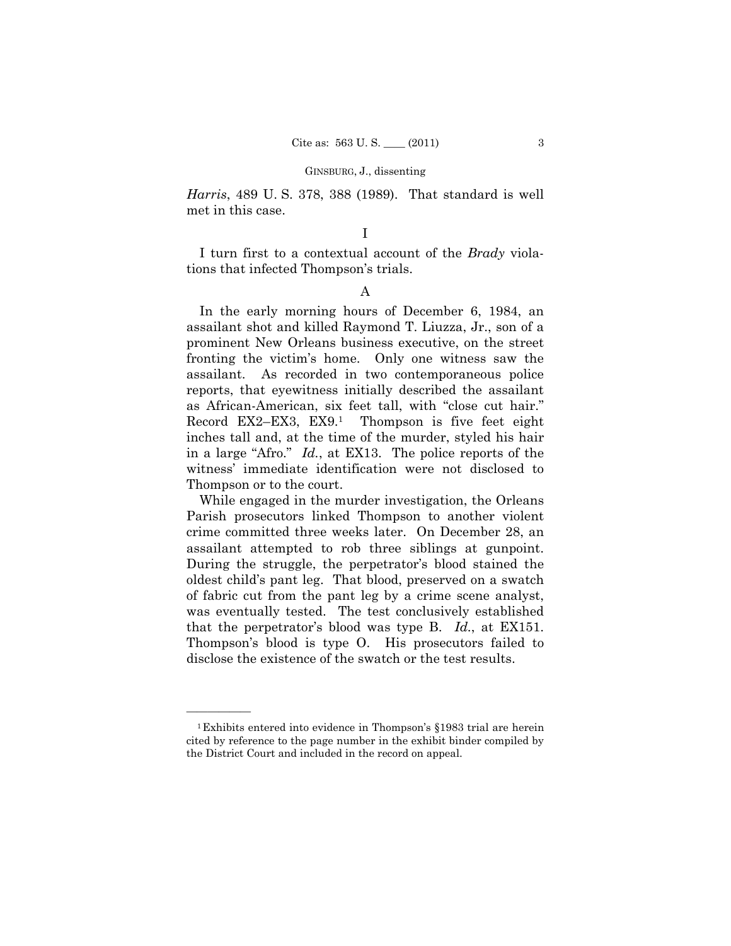*Harris*, 489 U. S. 378, 388 (1989). That standard is well met in this case.

# I

I turn first to a contextual account of the *Brady* violations that infected Thompson's trials.

# A

In the early morning hours of December 6, 1984, an assailant shot and killed Raymond T. Liuzza, Jr., son of a prominent New Orleans business executive, on the street fronting the victim's home. Only one witness saw the assailant. As recorded in two contemporaneous police reports, that eyewitness initially described the assailant as African-American, six feet tall, with "close cut hair." Record EX2–EX3, EX9.<sup>1</sup> Thompson is five feet eight inches tall and, at the time of the murder, styled his hair in a large "Afro." *Id.*, at EX13. The police reports of the witness' immediate identification were not disclosed to Thompson or to the court.

While engaged in the murder investigation, the Orleans Parish prosecutors linked Thompson to another violent crime committed three weeks later. On December 28, an assailant attempted to rob three siblings at gunpoint. During the struggle, the perpetrator's blood stained the oldest child's pant leg. That blood, preserved on a swatch of fabric cut from the pant leg by a crime scene analyst, was eventually tested. The test conclusively established that the perpetrator's blood was type B. *Id.*, at EX151. Thompson's blood is type O. His prosecutors failed to disclose the existence of the swatch or the test results.

<sup>1</sup>Exhibits entered into evidence in Thompson's §1983 trial are herein cited by reference to the page number in the exhibit binder compiled by the District Court and included in the record on appeal.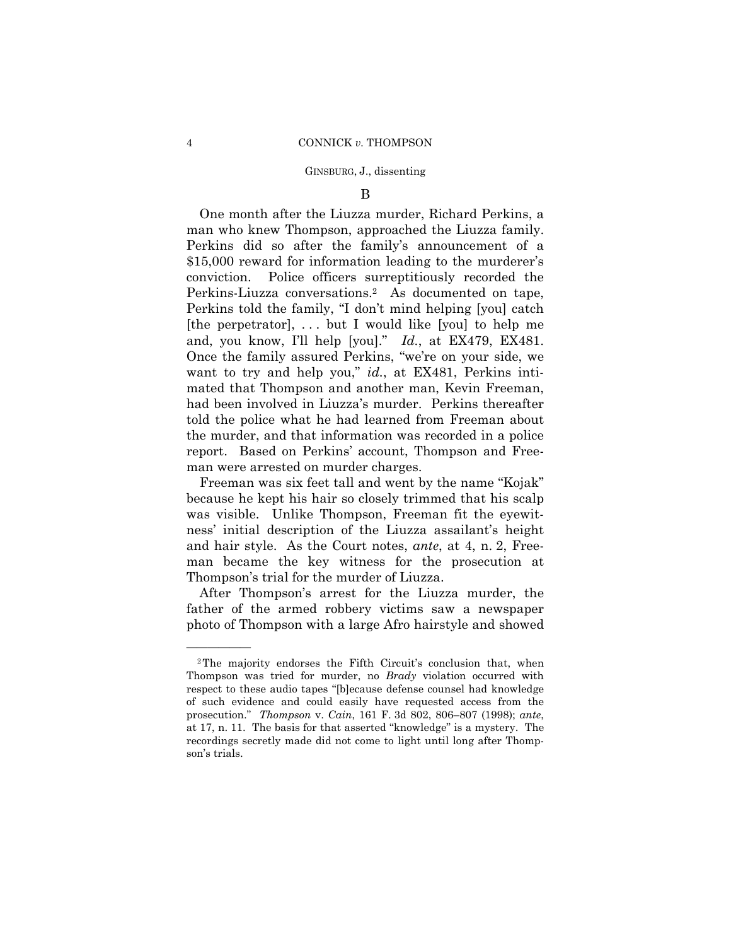# B

One month after the Liuzza murder, Richard Perkins, a man who knew Thompson, approached the Liuzza family. Perkins did so after the family's announcement of a \$15,000 reward for information leading to the murderer's conviction. Police officers surreptitiously recorded the Perkins-Liuzza conversations.2 As documented on tape, Perkins told the family, "I don't mind helping [you] catch [the perpetrator], . . . but I would like [you] to help me and, you know, I'll help [you]." *Id.*, at EX479, EX481. Once the family assured Perkins, "we're on your side, we want to try and help you," *id.*, at EX481, Perkins intimated that Thompson and another man, Kevin Freeman, had been involved in Liuzza's murder. Perkins thereafter told the police what he had learned from Freeman about the murder, and that information was recorded in a police report. Based on Perkins' account, Thompson and Freeman were arrested on murder charges.

Freeman was six feet tall and went by the name "Kojak" because he kept his hair so closely trimmed that his scalp was visible. Unlike Thompson, Freeman fit the eyewitness' initial description of the Liuzza assailant's height and hair style. As the Court notes, *ante*, at 4, n. 2, Freeman became the key witness for the prosecution at Thompson's trial for the murder of Liuzza.

After Thompson's arrest for the Liuzza murder, the father of the armed robbery victims saw a newspaper photo of Thompson with a large Afro hairstyle and showed

<sup>2</sup>The majority endorses the Fifth Circuit's conclusion that, when Thompson was tried for murder, no *Brady* violation occurred with respect to these audio tapes "[b]ecause defense counsel had knowledge of such evidence and could easily have requested access from the prosecution." *Thompson* v. *Cain*, 161 F. 3d 802, 806–807 (1998); *ante*, at 17, n. 11. The basis for that asserted "knowledge" is a mystery. The recordings secretly made did not come to light until long after Thompson's trials.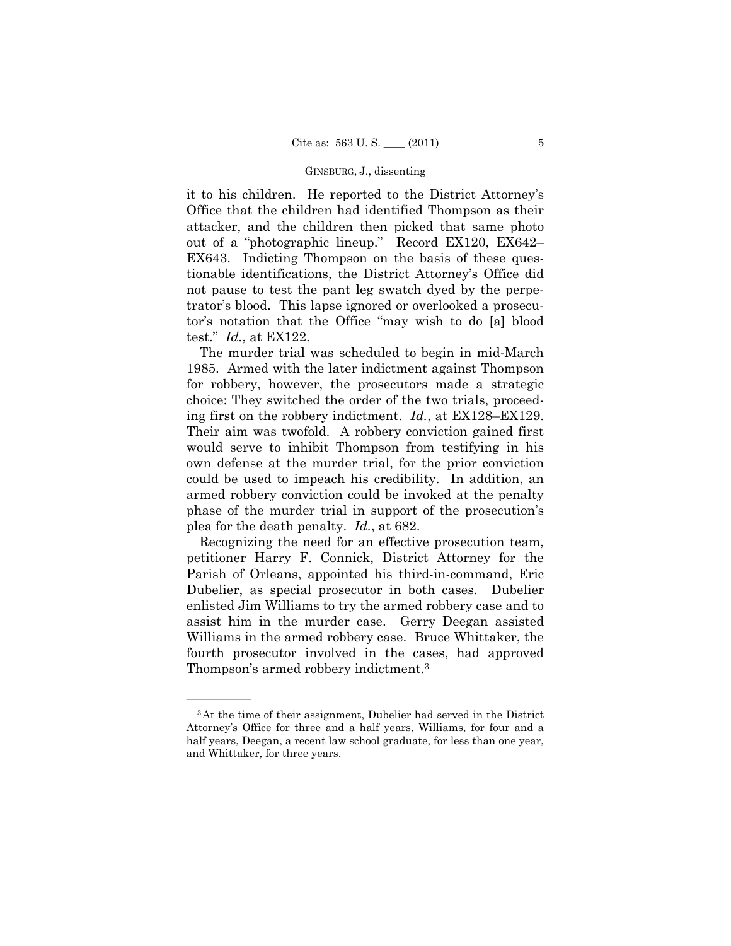it to his children. He reported to the District Attorney's Office that the children had identified Thompson as their attacker, and the children then picked that same photo out of a "photographic lineup." Record EX120, EX642– EX643. Indicting Thompson on the basis of these questionable identifications, the District Attorney's Office did not pause to test the pant leg swatch dyed by the perpetrator's blood. This lapse ignored or overlooked a prosecutor's notation that the Office "may wish to do [a] blood test." *Id.*, at EX122.

The murder trial was scheduled to begin in mid-March 1985. Armed with the later indictment against Thompson for robbery, however, the prosecutors made a strategic choice: They switched the order of the two trials, proceeding first on the robbery indictment. *Id.*, at EX128–EX129. Their aim was twofold. A robbery conviction gained first would serve to inhibit Thompson from testifying in his own defense at the murder trial, for the prior conviction could be used to impeach his credibility. In addition, an armed robbery conviction could be invoked at the penalty phase of the murder trial in support of the prosecution's plea for the death penalty. *Id.*, at 682.

Recognizing the need for an effective prosecution team, petitioner Harry F. Connick, District Attorney for the Parish of Orleans, appointed his third-in-command, Eric Dubelier, as special prosecutor in both cases. Dubelier enlisted Jim Williams to try the armed robbery case and to assist him in the murder case. Gerry Deegan assisted Williams in the armed robbery case. Bruce Whittaker, the fourth prosecutor involved in the cases, had approved Thompson's armed robbery indictment.3

<sup>3</sup>At the time of their assignment, Dubelier had served in the District Attorney's Office for three and a half years, Williams, for four and a half years, Deegan, a recent law school graduate, for less than one year, and Whittaker, for three years.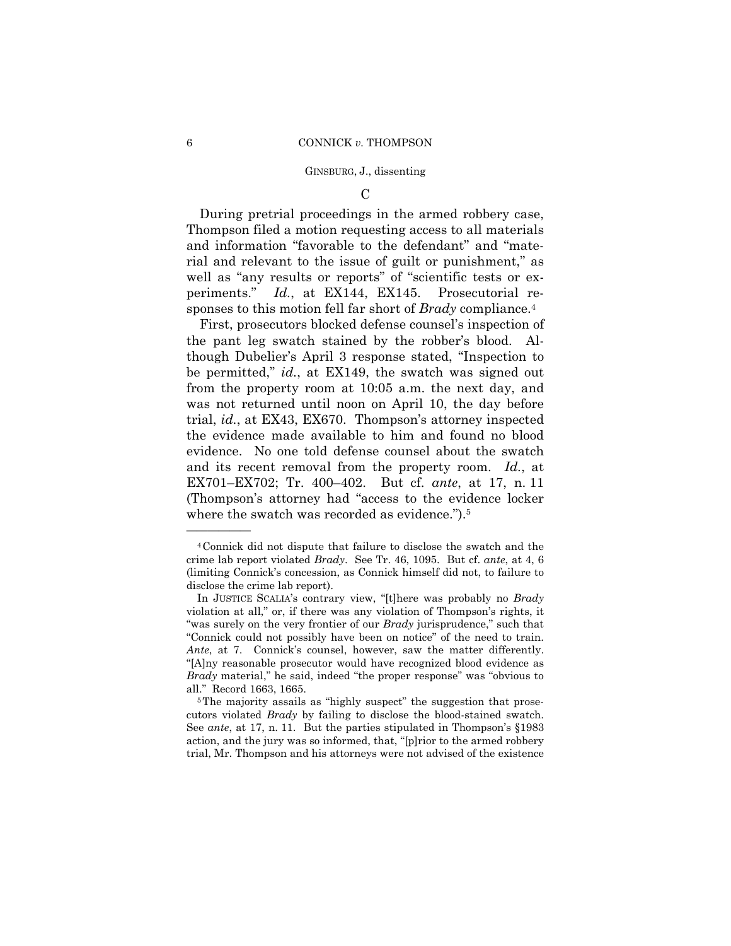$\Gamma$ 

During pretrial proceedings in the armed robbery case, Thompson filed a motion requesting access to all materials and information "favorable to the defendant" and "material and relevant to the issue of guilt or punishment," as well as "any results or reports" of "scientific tests or experiments." *Id.*, at EX144, EX145. Prosecutorial responses to this motion fell far short of *Brady* compliance.4

First, prosecutors blocked defense counsel's inspection of the pant leg swatch stained by the robber's blood. Although Dubelier's April 3 response stated, "Inspection to be permitted," *id.*, at EX149, the swatch was signed out from the property room at 10:05 a.m. the next day, and was not returned until noon on April 10, the day before trial, *id.*, at EX43, EX670. Thompson's attorney inspected the evidence made available to him and found no blood evidence. No one told defense counsel about the swatch and its recent removal from the property room. *Id.*, at EX701–EX702; Tr. 400–402. But cf. *ante*, at 17, n. 11 (Thompson's attorney had "access to the evidence locker where the swatch was recorded as evidence.").<sup>5</sup>

<sup>4</sup>Connick did not dispute that failure to disclose the swatch and the crime lab report violated *Brady*. See Tr. 46, 1095. But cf. *ante*, at 4, 6 (limiting Connick's concession, as Connick himself did not, to failure to disclose the crime lab report).

In JUSTICE SCALIA's contrary view, "[t]here was probably no *Brady* violation at all," or, if there was any violation of Thompson's rights, it "was surely on the very frontier of our *Brady* jurisprudence," such that "Connick could not possibly have been on notice" of the need to train. *Ante*, at 7. Connick's counsel, however, saw the matter differently. "[A]ny reasonable prosecutor would have recognized blood evidence as *Brady* material," he said, indeed "the proper response" was "obvious to

<sup>&</sup>lt;sup>5</sup>The majority assails as "highly suspect" the suggestion that prosecutors violated *Brady* by failing to disclose the blood-stained swatch. See *ante*, at 17, n. 11. But the parties stipulated in Thompson's §1983 action, and the jury was so informed, that, "[p]rior to the armed robbery trial, Mr. Thompson and his attorneys were not advised of the existence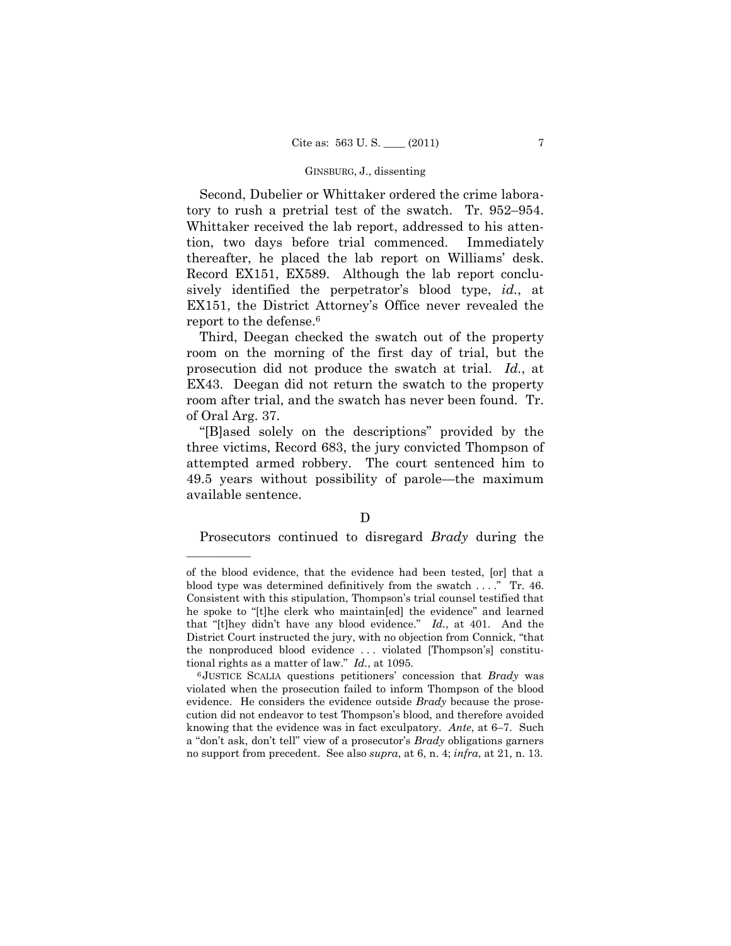Second, Dubelier or Whittaker ordered the crime laboratory to rush a pretrial test of the swatch. Tr. 952–954. Whittaker received the lab report, addressed to his attention, two days before trial commenced. Immediately thereafter, he placed the lab report on Williams' desk. Record EX151, EX589. Although the lab report conclusively identified the perpetrator's blood type, *id.*, at EX151, the District Attorney's Office never revealed the report to the defense.6

Third, Deegan checked the swatch out of the property room on the morning of the first day of trial, but the prosecution did not produce the swatch at trial. *Id.*, at EX43. Deegan did not return the swatch to the property room after trial, and the swatch has never been found. Tr. of Oral Arg. 37.

"[B]ased solely on the descriptions" provided by the three victims, Record 683, the jury convicted Thompson of attempted armed robbery. The court sentenced him to 49.5 years without possibility of parole—the maximum available sentence.

——————

Prosecutors continued to disregard *Brady* during the

D

of the blood evidence, that the evidence had been tested, [or] that a blood type was determined definitively from the swatch . . . ." Tr. 46. Consistent with this stipulation, Thompson's trial counsel testified that he spoke to "[t]he clerk who maintain[ed] the evidence" and learned that "[t]hey didn't have any blood evidence." *Id.*, at 401. And the District Court instructed the jury, with no objection from Connick, "that the nonproduced blood evidence . . . violated [Thompson's] constitutional rights as a matter of law." *Id.*, at 1095.<br><sup>6</sup> JUSTICE SCALIA questions petitioners' concession that *Brady* was

violated when the prosecution failed to inform Thompson of the blood evidence. He considers the evidence outside *Brady* because the prosecution did not endeavor to test Thompson's blood, and therefore avoided knowing that the evidence was in fact exculpatory. *Ante*, at 6–7. Such a "don't ask, don't tell" view of a prosecutor's *Brady* obligations garners no support from precedent. See also *supra*, at 6, n. 4; *infra*, at 21, n. 13.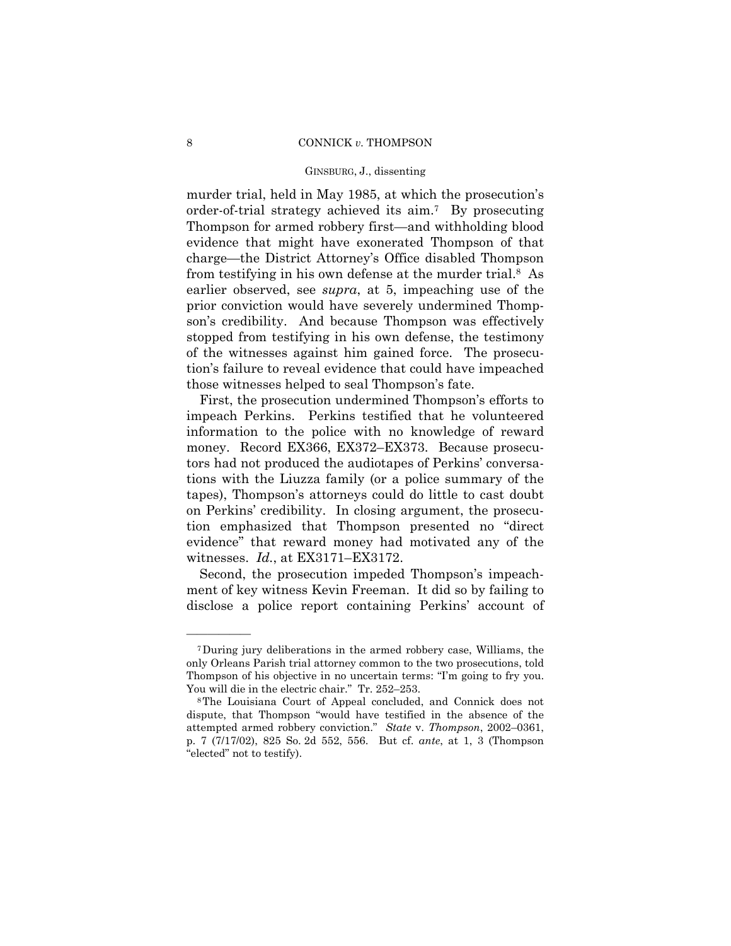## 8 CONNICK *v*. THOMPSON

# GINSBURG, J., dissenting

murder trial, held in May 1985, at which the prosecution's order-of-trial strategy achieved its aim.7 By prosecuting Thompson for armed robbery first—and withholding blood evidence that might have exonerated Thompson of that charge—the District Attorney's Office disabled Thompson from testifying in his own defense at the murder trial.8 As earlier observed, see *supra*, at 5, impeaching use of the prior conviction would have severely undermined Thompson's credibility. And because Thompson was effectively stopped from testifying in his own defense, the testimony of the witnesses against him gained force. The prosecution's failure to reveal evidence that could have impeached those witnesses helped to seal Thompson's fate.

First, the prosecution undermined Thompson's efforts to impeach Perkins. Perkins testified that he volunteered information to the police with no knowledge of reward money. Record EX366, EX372–EX373. Because prosecutors had not produced the audiotapes of Perkins' conversations with the Liuzza family (or a police summary of the tapes), Thompson's attorneys could do little to cast doubt on Perkins' credibility. In closing argument, the prosecution emphasized that Thompson presented no "direct evidence" that reward money had motivated any of the witnesses. *Id.*, at EX3171–EX3172.

Second, the prosecution impeded Thompson's impeachment of key witness Kevin Freeman. It did so by failing to disclose a police report containing Perkins' account of

<sup>7</sup>During jury deliberations in the armed robbery case, Williams, the only Orleans Parish trial attorney common to the two prosecutions, told Thompson of his objective in no uncertain terms: "I'm going to fry you. You will die in the electric chair." Tr. 252–253.<br><sup>8</sup>The Louisiana Court of Appeal concluded, and Connick does not

dispute, that Thompson "would have testified in the absence of the attempted armed robbery conviction." *State* v. *Thompson*, 2002–0361, p. 7 (7/17/02), 825 So. 2d 552, 556. But cf. *ante*, at 1, 3 (Thompson "elected" not to testify).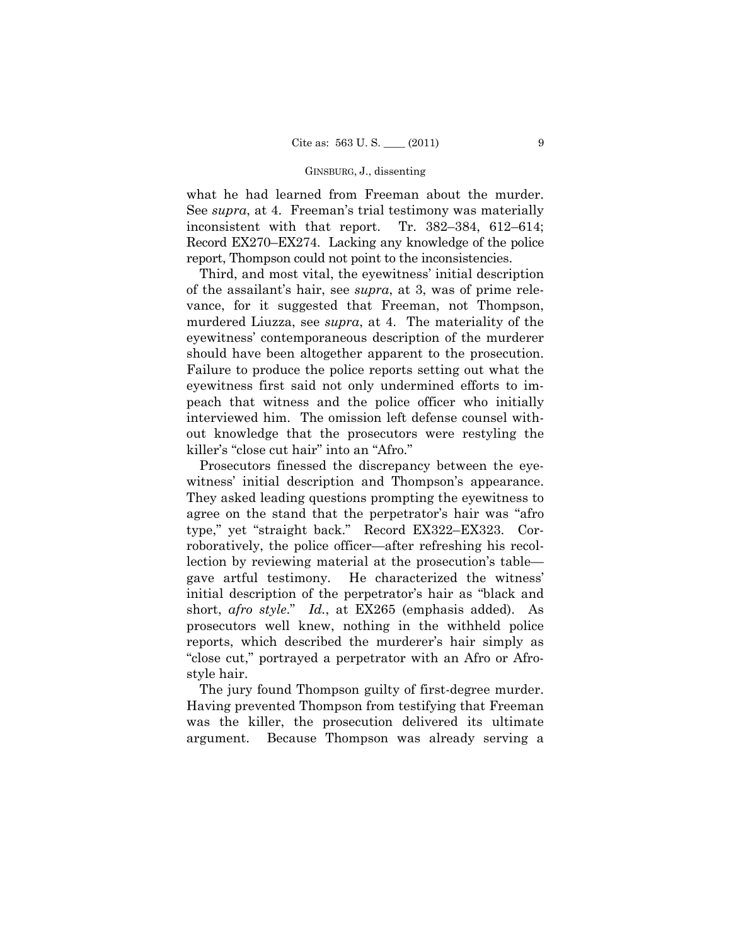what he had learned from Freeman about the murder. See *supra*, at 4. Freeman's trial testimony was materially inconsistent with that report. Tr. 382–384, 612–614; Record EX270–EX274. Lacking any knowledge of the police report, Thompson could not point to the inconsistencies.

Third, and most vital, the eyewitness' initial description of the assailant's hair, see *supra*, at 3, was of prime relevance, for it suggested that Freeman, not Thompson, murdered Liuzza, see *supra*, at 4. The materiality of the eyewitness' contemporaneous description of the murderer should have been altogether apparent to the prosecution. Failure to produce the police reports setting out what the eyewitness first said not only undermined efforts to impeach that witness and the police officer who initially interviewed him. The omission left defense counsel without knowledge that the prosecutors were restyling the killer's "close cut hair" into an "Afro."

Prosecutors finessed the discrepancy between the eyewitness' initial description and Thompson's appearance. They asked leading questions prompting the eyewitness to agree on the stand that the perpetrator's hair was "afro type," yet "straight back." Record EX322–EX323. Corroboratively, the police officer—after refreshing his recollection by reviewing material at the prosecution's table gave artful testimony. He characterized the witness' initial description of the perpetrator's hair as "black and short, *afro style*." *Id.*, at EX265 (emphasis added). As prosecutors well knew, nothing in the withheld police reports, which described the murderer's hair simply as "close cut," portrayed a perpetrator with an Afro or Afrostyle hair.

The jury found Thompson guilty of first-degree murder. Having prevented Thompson from testifying that Freeman was the killer, the prosecution delivered its ultimate argument. Because Thompson was already serving a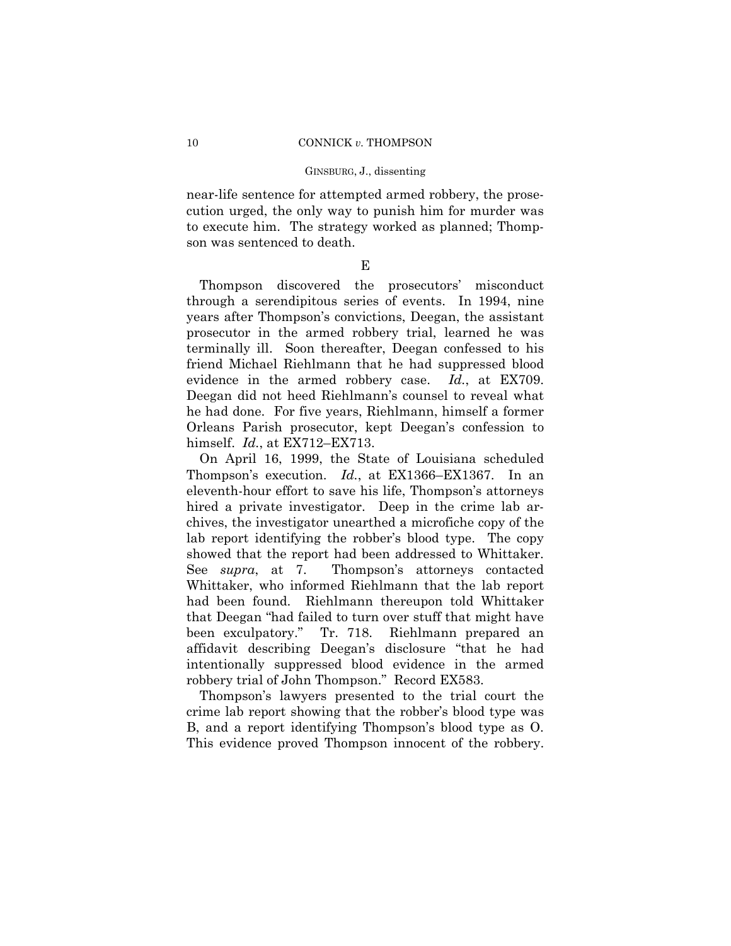near-life sentence for attempted armed robbery, the prosecution urged, the only way to punish him for murder was to execute him. The strategy worked as planned; Thompson was sentenced to death.

E

Thompson discovered the prosecutors' misconduct through a serendipitous series of events. In 1994, nine years after Thompson's convictions, Deegan, the assistant prosecutor in the armed robbery trial, learned he was terminally ill. Soon thereafter, Deegan confessed to his friend Michael Riehlmann that he had suppressed blood evidence in the armed robbery case. *Id.*, at EX709. Deegan did not heed Riehlmann's counsel to reveal what he had done. For five years, Riehlmann, himself a former Orleans Parish prosecutor, kept Deegan's confession to himself. *Id.*, at EX712–EX713.

On April 16, 1999, the State of Louisiana scheduled Thompson's execution. *Id.*, at EX1366–EX1367. In an eleventh-hour effort to save his life, Thompson's attorneys hired a private investigator. Deep in the crime lab archives, the investigator unearthed a microfiche copy of the lab report identifying the robber's blood type. The copy showed that the report had been addressed to Whittaker. See *supra*, at 7. Thompson's attorneys contacted Whittaker, who informed Riehlmann that the lab report had been found. Riehlmann thereupon told Whittaker that Deegan "had failed to turn over stuff that might have been exculpatory." Tr. 718. Riehlmann prepared an affidavit describing Deegan's disclosure "that he had intentionally suppressed blood evidence in the armed robbery trial of John Thompson." Record EX583.

Thompson's lawyers presented to the trial court the crime lab report showing that the robber's blood type was B, and a report identifying Thompson's blood type as O. This evidence proved Thompson innocent of the robbery.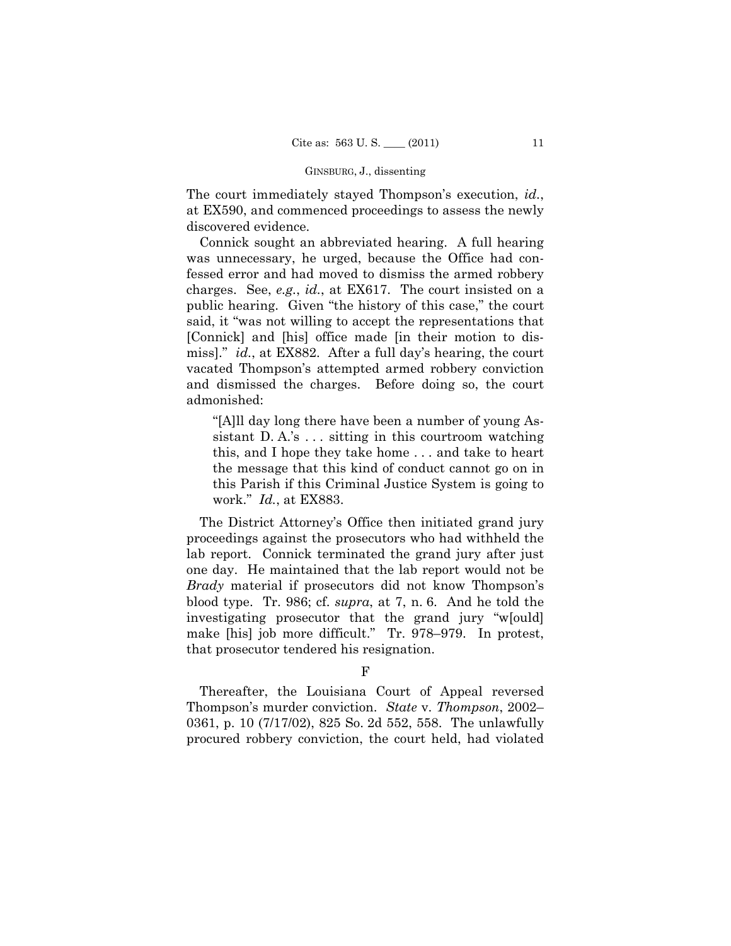The court immediately stayed Thompson's execution, *id.*, at EX590, and commenced proceedings to assess the newly discovered evidence.

Connick sought an abbreviated hearing. A full hearing was unnecessary, he urged, because the Office had confessed error and had moved to dismiss the armed robbery charges. See, *e.g.*, *id.*, at EX617. The court insisted on a public hearing. Given "the history of this case," the court said, it "was not willing to accept the representations that [Connick] and [his] office made [in their motion to dismiss]." *id.*, at EX882. After a full day's hearing, the court vacated Thompson's attempted armed robbery conviction and dismissed the charges. Before doing so, the court admonished:

"[A]ll day long there have been a number of young Assistant D. A.'s  $\dots$  sitting in this courtroom watching this, and I hope they take home . . . and take to heart the message that this kind of conduct cannot go on in this Parish if this Criminal Justice System is going to work." *Id.*, at EX883.

The District Attorney's Office then initiated grand jury proceedings against the prosecutors who had withheld the lab report. Connick terminated the grand jury after just one day. He maintained that the lab report would not be *Brady* material if prosecutors did not know Thompson's blood type. Tr. 986; cf. *supra*, at 7, n. 6. And he told the investigating prosecutor that the grand jury "w[ould] make [his] job more difficult." Tr. 978–979. In protest, that prosecutor tendered his resignation.

Thereafter, the Louisiana Court of Appeal reversed Thompson's murder conviction. *State* v. *Thompson*, 2002– 0361, p. 10 (7/17/02), 825 So. 2d 552, 558. The unlawfully procured robbery conviction, the court held, had violated

F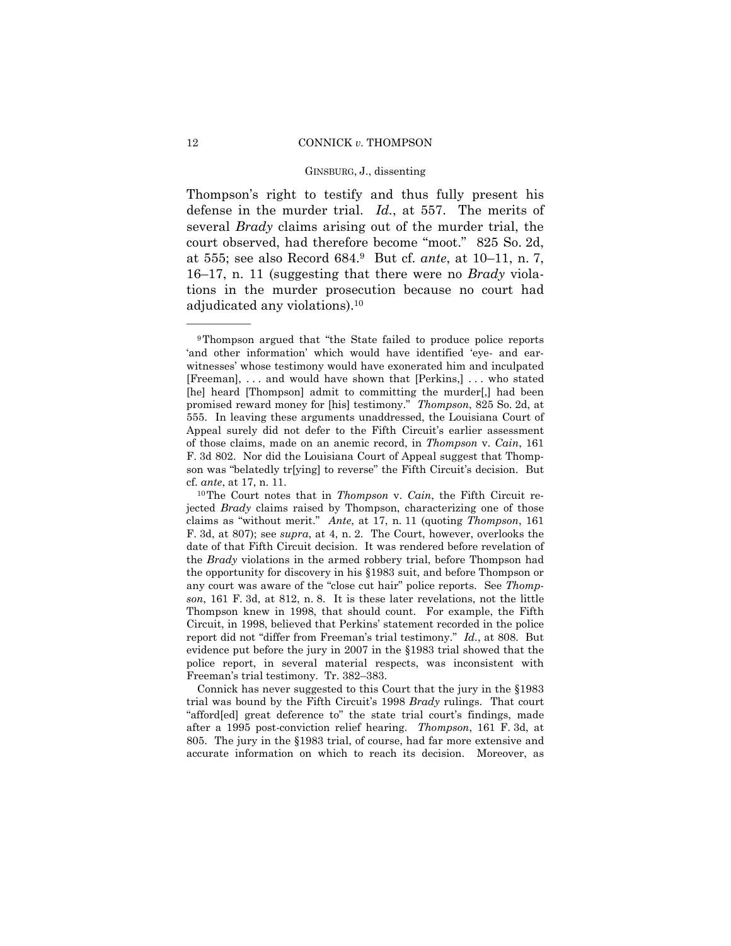Thompson's right to testify and thus fully present his defense in the murder trial. *Id.*, at 557. The merits of several *Brady* claims arising out of the murder trial, the court observed, had therefore become "moot." 825 So. 2d, at 555; see also Record 684.9 But cf. *ante*, at 10–11, n. 7, 16–17, n. 11 (suggesting that there were no *Brady* violations in the murder prosecution because no court had adjudicated any violations).10

<sup>9</sup>Thompson argued that "the State failed to produce police reports 'and other information' which would have identified 'eye- and earwitnesses' whose testimony would have exonerated him and inculpated [Freeman], . . . and would have shown that [Perkins,] . . . who stated [he] heard [Thompson] admit to committing the murder[,] had been promised reward money for [his] testimony." *Thompson*, 825 So. 2d, at 555. In leaving these arguments unaddressed, the Louisiana Court of Appeal surely did not defer to the Fifth Circuit's earlier assessment of those claims, made on an anemic record, in *Thompson* v. *Cain*, 161 F. 3d 802. Nor did the Louisiana Court of Appeal suggest that Thompson was "belatedly tr[ying] to reverse" the Fifth Circuit's decision. But cf. *ante*, at 17, n. 11. 10The Court notes that in *Thompson* v. *Cain*, the Fifth Circuit re-

jected *Brady* claims raised by Thompson, characterizing one of those claims as "without merit." *Ante*, at 17, n. 11 (quoting *Thompson*, 161 F. 3d, at 807); see *supra*, at 4, n. 2. The Court, however, overlooks the date of that Fifth Circuit decision. It was rendered before revelation of the *Brady* violations in the armed robbery trial, before Thompson had the opportunity for discovery in his §1983 suit, and before Thompson or any court was aware of the "close cut hair" police reports. See *Thompson*, 161 F. 3d, at 812, n. 8. It is these later revelations, not the little Thompson knew in 1998, that should count. For example, the Fifth Circuit, in 1998, believed that Perkins' statement recorded in the police report did not "differ from Freeman's trial testimony." *Id.*, at 808. But evidence put before the jury in 2007 in the §1983 trial showed that the police report, in several material respects, was inconsistent with Freeman's trial testimony. Tr. 382–383.

Connick has never suggested to this Court that the jury in the §1983 trial was bound by the Fifth Circuit's 1998 *Brady* rulings. That court "afford[ed] great deference to" the state trial court's findings, made after a 1995 post-conviction relief hearing. *Thompson*, 161 F. 3d, at 805. The jury in the §1983 trial, of course, had far more extensive and accurate information on which to reach its decision. Moreover, as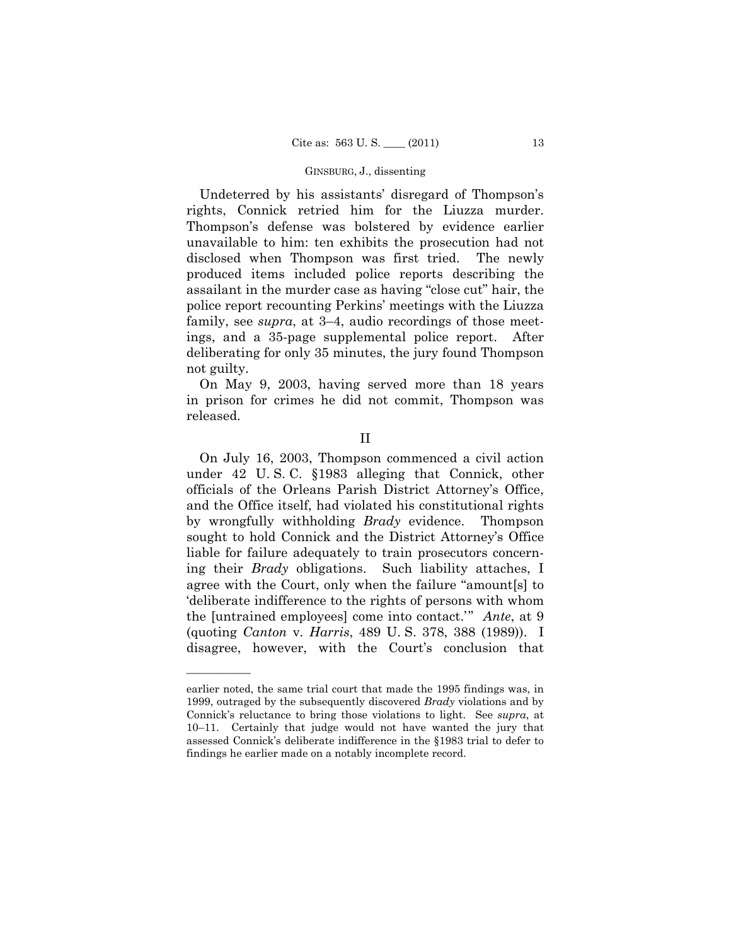Undeterred by his assistants' disregard of Thompson's rights, Connick retried him for the Liuzza murder. Thompson's defense was bolstered by evidence earlier unavailable to him: ten exhibits the prosecution had not disclosed when Thompson was first tried. The newly produced items included police reports describing the assailant in the murder case as having "close cut" hair, the police report recounting Perkins' meetings with the Liuzza family, see *supra*, at 3–4, audio recordings of those meetings, and a 35-page supplemental police report. After deliberating for only 35 minutes, the jury found Thompson not guilty.

On May 9, 2003, having served more than 18 years in prison for crimes he did not commit, Thompson was released.

On July 16, 2003, Thompson commenced a civil action under 42 U. S. C. §1983 alleging that Connick, other officials of the Orleans Parish District Attorney's Office, and the Office itself, had violated his constitutional rights by wrongfully withholding *Brady* evidence. Thompson sought to hold Connick and the District Attorney's Office liable for failure adequately to train prosecutors concerning their *Brady* obligations. Such liability attaches, I agree with the Court, only when the failure "amount[s] to 'deliberate indifference to the rights of persons with whom the [untrained employees] come into contact.'" *Ante*, at 9 (quoting *Canton* v. *Harris*, 489 U. S. 378, 388 (1989)). I disagree, however, with the Court's conclusion that

II

earlier noted, the same trial court that made the 1995 findings was, in 1999, outraged by the subsequently discovered *Brady* violations and by Connick's reluctance to bring those violations to light. See *supra*, at 10–11. Certainly that judge would not have wanted the jury that assessed Connick's deliberate indifference in the §1983 trial to defer to findings he earlier made on a notably incomplete record.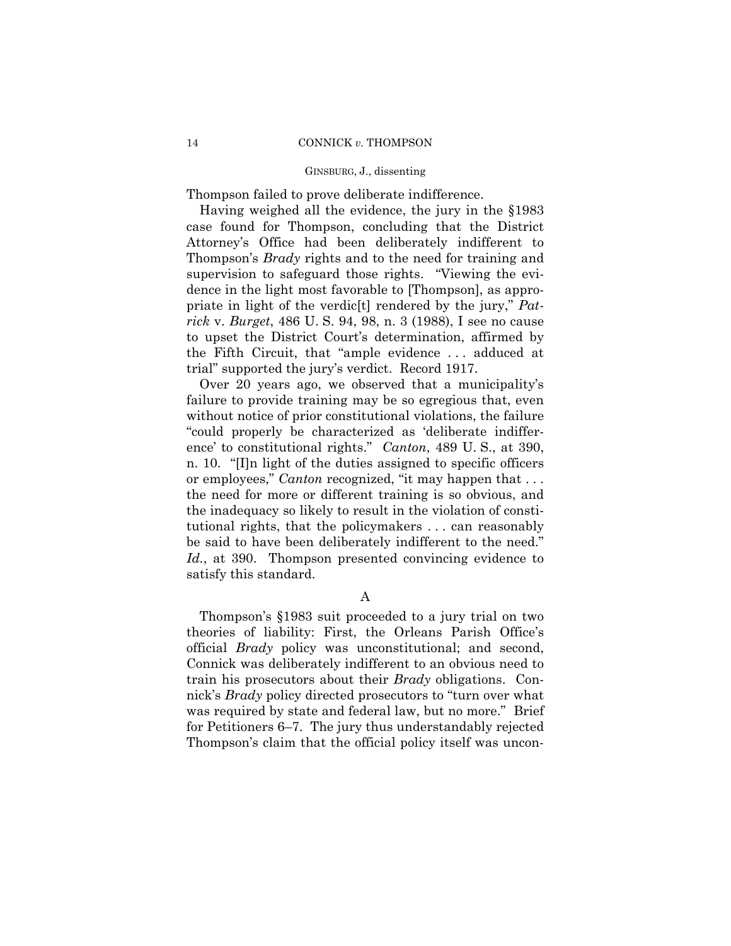Thompson failed to prove deliberate indifference.

Having weighed all the evidence, the jury in the §1983 case found for Thompson, concluding that the District Attorney's Office had been deliberately indifferent to Thompson's *Brady* rights and to the need for training and supervision to safeguard those rights. "Viewing the evidence in the light most favorable to [Thompson], as appropriate in light of the verdic[t] rendered by the jury," *Patrick* v. *Burget*, 486 U. S. 94, 98, n. 3 (1988), I see no cause to upset the District Court's determination, affirmed by the Fifth Circuit, that "ample evidence . . . adduced at trial" supported the jury's verdict. Record 1917.

Over 20 years ago, we observed that a municipality's failure to provide training may be so egregious that, even without notice of prior constitutional violations, the failure "could properly be characterized as 'deliberate indifference' to constitutional rights." *Canton*, 489 U. S., at 390, n. 10. "[I]n light of the duties assigned to specific officers or employees," *Canton* recognized, "it may happen that . . . the need for more or different training is so obvious, and the inadequacy so likely to result in the violation of constitutional rights, that the policymakers . . . can reasonably be said to have been deliberately indifferent to the need." *Id.*, at 390. Thompson presented convincing evidence to satisfy this standard.

A

Thompson's §1983 suit proceeded to a jury trial on two theories of liability: First, the Orleans Parish Office's official *Brady* policy was unconstitutional; and second, Connick was deliberately indifferent to an obvious need to train his prosecutors about their *Brady* obligations. Connick's *Brady* policy directed prosecutors to "turn over what was required by state and federal law, but no more." Brief for Petitioners 6–7. The jury thus understandably rejected Thompson's claim that the official policy itself was uncon-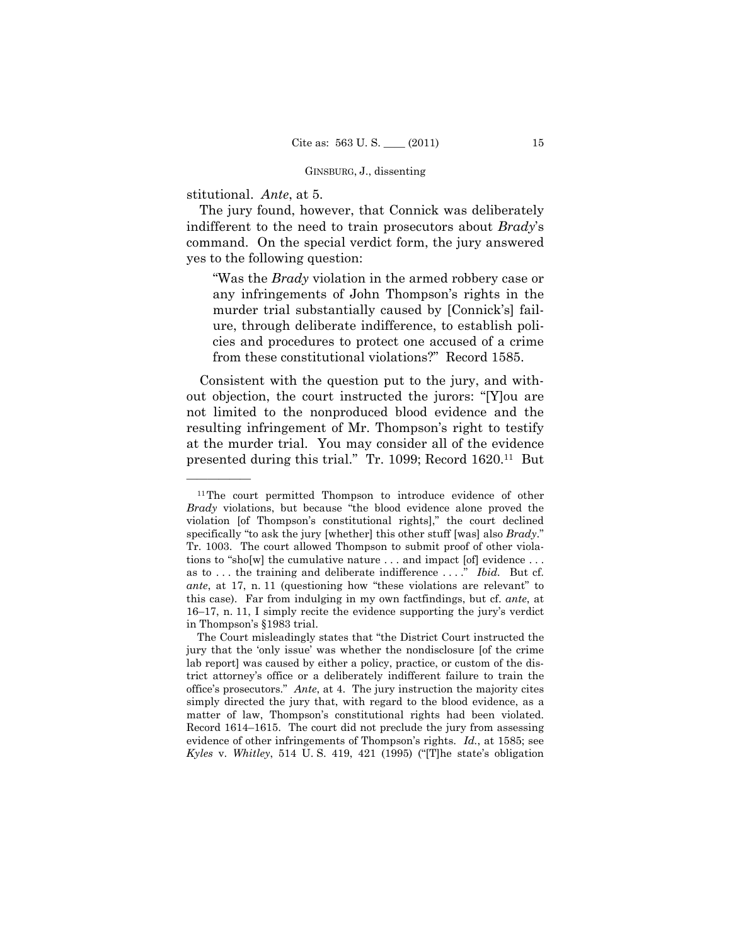stitutional. *Ante*, at 5.

——————

The jury found, however, that Connick was deliberately indifferent to the need to train prosecutors about *Brady*'s command. On the special verdict form, the jury answered yes to the following question:

"Was the *Brady* violation in the armed robbery case or any infringements of John Thompson's rights in the murder trial substantially caused by [Connick's] failure, through deliberate indifference, to establish policies and procedures to protect one accused of a crime from these constitutional violations?" Record 1585.

Consistent with the question put to the jury, and without objection, the court instructed the jurors: "[Y]ou are not limited to the nonproduced blood evidence and the resulting infringement of Mr. Thompson's right to testify at the murder trial. You may consider all of the evidence presented during this trial." Tr. 1099; Record 1620.11 But

<sup>&</sup>lt;sup>11</sup>The court permitted Thompson to introduce evidence of other *Brady* violations, but because "the blood evidence alone proved the violation [of Thompson's constitutional rights]," the court declined specifically "to ask the jury [whether] this other stuff [was] also *Brady*." Tr. 1003. The court allowed Thompson to submit proof of other violations to "sho[w] the cumulative nature . . . and impact [of] evidence . . . as to . . . the training and deliberate indifference . . . ." *Ibid.* But cf. *ante*, at 17, n. 11 (questioning how "these violations are relevant" to this case). Far from indulging in my own factfindings, but cf. *ante*, at 16–17, n. 11, I simply recite the evidence supporting the jury's verdict in Thompson's §1983 trial.

The Court misleadingly states that "the District Court instructed the jury that the 'only issue' was whether the nondisclosure [of the crime lab report] was caused by either a policy, practice, or custom of the district attorney's office or a deliberately indifferent failure to train the office's prosecutors." *Ante*, at 4. The jury instruction the majority cites simply directed the jury that, with regard to the blood evidence, as a matter of law, Thompson's constitutional rights had been violated. Record 1614–1615. The court did not preclude the jury from assessing evidence of other infringements of Thompson's rights. *Id.*, at 1585; see *Kyles* v. *Whitley*, 514 U. S. 419, 421 (1995) ("[T]he state's obligation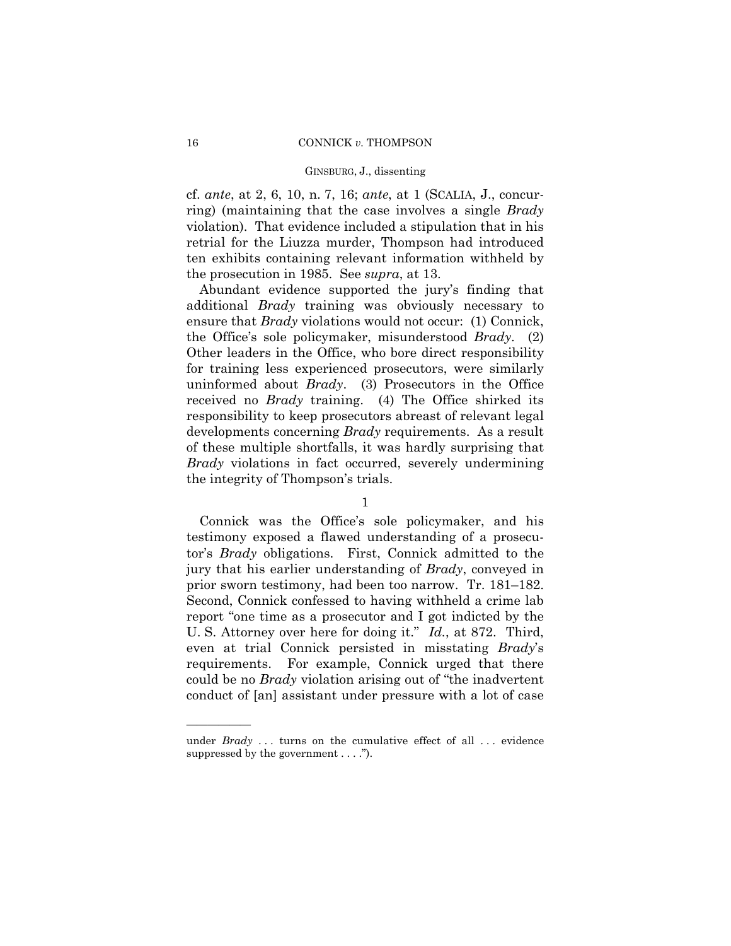#### 16 CONNICK *v.* THOMPSON

# GINSBURG, J., dissenting

cf. *ante*, at 2, 6, 10, n. 7, 16; *ante*, at 1 (SCALIA, J., concurring) (maintaining that the case involves a single *Brady*  violation). That evidence included a stipulation that in his retrial for the Liuzza murder, Thompson had introduced ten exhibits containing relevant information withheld by the prosecution in 1985. See *supra*, at 13.

Abundant evidence supported the jury's finding that additional *Brady* training was obviously necessary to ensure that *Brady* violations would not occur: (1) Connick, the Office's sole policymaker, misunderstood *Brady*. (2) Other leaders in the Office, who bore direct responsibility for training less experienced prosecutors, were similarly uninformed about *Brady*. (3) Prosecutors in the Office received no *Brady* training. (4) The Office shirked its responsibility to keep prosecutors abreast of relevant legal developments concerning *Brady* requirements. As a result of these multiple shortfalls, it was hardly surprising that *Brady* violations in fact occurred, severely undermining the integrity of Thompson's trials.

1

Connick was the Office's sole policymaker, and his testimony exposed a flawed understanding of a prosecutor's *Brady* obligations. First, Connick admitted to the jury that his earlier understanding of *Brady*, conveyed in prior sworn testimony, had been too narrow. Tr. 181–182. Second, Connick confessed to having withheld a crime lab report "one time as a prosecutor and I got indicted by the U. S. Attorney over here for doing it." *Id.*, at 872. Third, even at trial Connick persisted in misstating *Brady*'s requirements. For example, Connick urged that there could be no *Brady* violation arising out of "the inadvertent conduct of [an] assistant under pressure with a lot of case

under *Brady* ... turns on the cumulative effect of all ... evidence suppressed by the government . . . .").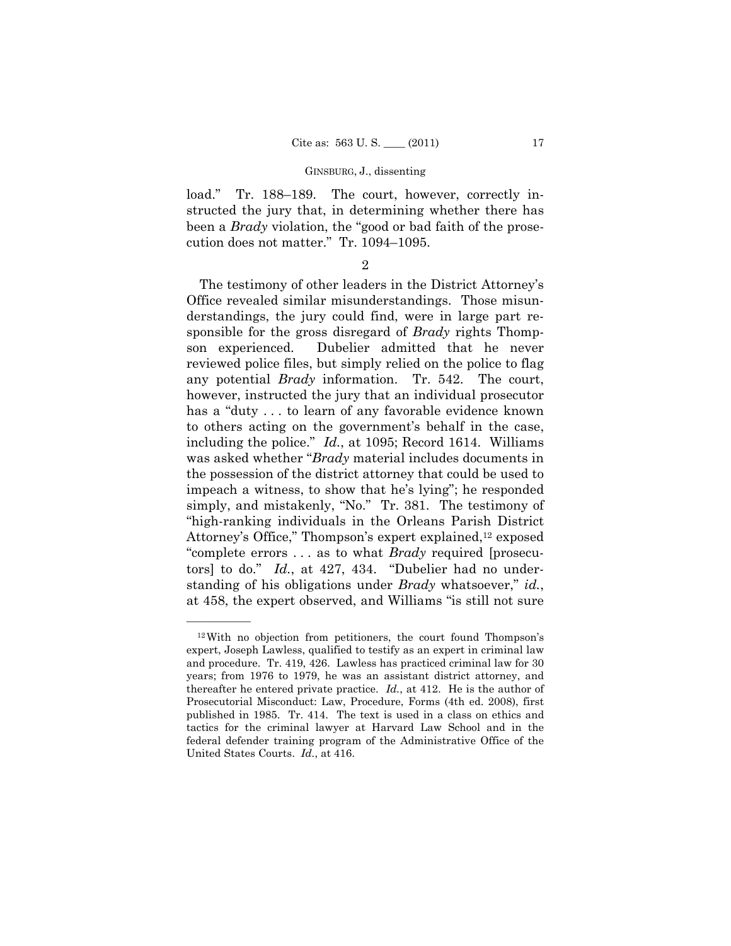load." Tr. 188–189. The court, however, correctly instructed the jury that, in determining whether there has been a *Brady* violation, the "good or bad faith of the prosecution does not matter." Tr. 1094–1095.

2

The testimony of other leaders in the District Attorney's Office revealed similar misunderstandings. Those misunderstandings, the jury could find, were in large part responsible for the gross disregard of *Brady* rights Thompson experienced. Dubelier admitted that he never reviewed police files, but simply relied on the police to flag any potential *Brady* information. Tr. 542. The court, however, instructed the jury that an individual prosecutor has a "duty ... to learn of any favorable evidence known to others acting on the government's behalf in the case, including the police." *Id.*, at 1095; Record 1614. Williams was asked whether "*Brady* material includes documents in the possession of the district attorney that could be used to impeach a witness, to show that he's lying"; he responded simply, and mistakenly, "No." Tr. 381. The testimony of "high-ranking individuals in the Orleans Parish District Attorney's Office," Thompson's expert explained,<sup>12</sup> exposed "complete errors . . . as to what *Brady* required [prosecutors] to do." *Id.*, at 427, 434. "Dubelier had no understanding of his obligations under *Brady* whatsoever," *id.*, at 458, the expert observed, and Williams "is still not sure

<sup>12</sup>With no objection from petitioners, the court found Thompson's expert, Joseph Lawless, qualified to testify as an expert in criminal law and procedure. Tr. 419, 426. Lawless has practiced criminal law for 30 years; from 1976 to 1979, he was an assistant district attorney, and thereafter he entered private practice. *Id.*, at 412. He is the author of Prosecutorial Misconduct: Law, Procedure, Forms (4th ed. 2008), first published in 1985. Tr. 414. The text is used in a class on ethics and tactics for the criminal lawyer at Harvard Law School and in the federal defender training program of the Administrative Office of the United States Courts. *Id.*, at 416.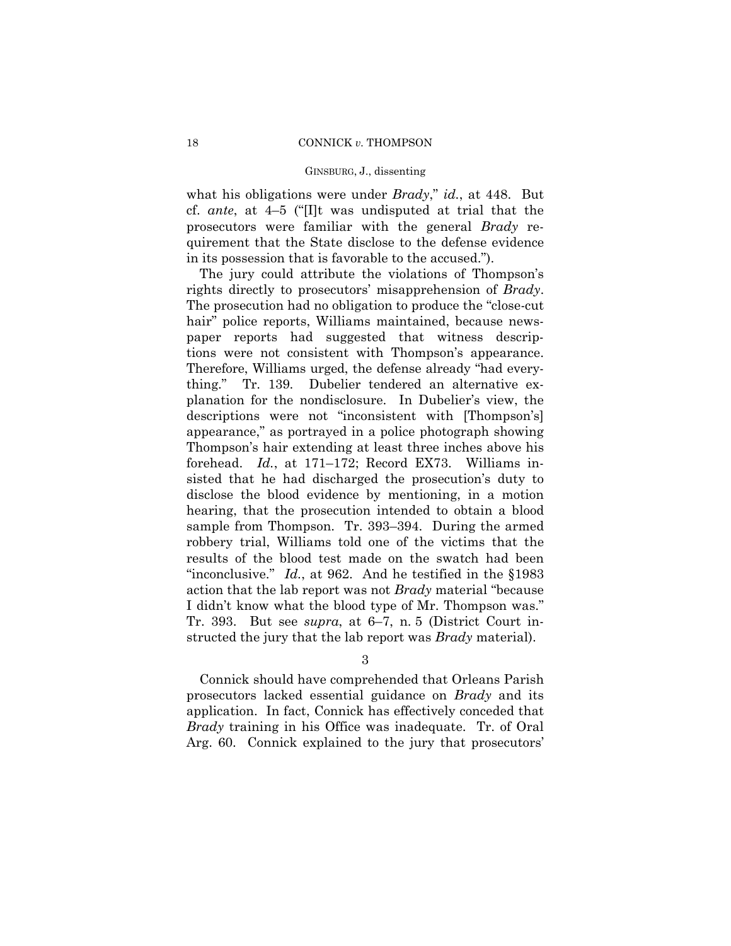what his obligations were under *Brady*," *id.*, at 448. But cf. *ante*, at 4–5 ("[I]t was undisputed at trial that the prosecutors were familiar with the general *Brady* requirement that the State disclose to the defense evidence in its possession that is favorable to the accused.").

The jury could attribute the violations of Thompson's rights directly to prosecutors' misapprehension of *Brady*. The prosecution had no obligation to produce the "close-cut hair" police reports, Williams maintained, because newspaper reports had suggested that witness descriptions were not consistent with Thompson's appearance. Therefore, Williams urged, the defense already "had everything." Tr. 139. Dubelier tendered an alternative explanation for the nondisclosure. In Dubelier's view, the descriptions were not "inconsistent with [Thompson's] appearance," as portrayed in a police photograph showing Thompson's hair extending at least three inches above his forehead. *Id.*, at 171–172; Record EX73. Williams insisted that he had discharged the prosecution's duty to disclose the blood evidence by mentioning, in a motion hearing, that the prosecution intended to obtain a blood sample from Thompson. Tr. 393–394. During the armed robbery trial, Williams told one of the victims that the results of the blood test made on the swatch had been "inconclusive." *Id.*, at 962. And he testified in the §1983 action that the lab report was not *Brady* material "because I didn't know what the blood type of Mr. Thompson was." Tr. 393. But see *supra*, at 6–7, n. 5 (District Court instructed the jury that the lab report was *Brady* material).

3

Connick should have comprehended that Orleans Parish prosecutors lacked essential guidance on *Brady* and its application. In fact, Connick has effectively conceded that *Brady* training in his Office was inadequate. Tr. of Oral Arg. 60. Connick explained to the jury that prosecutors'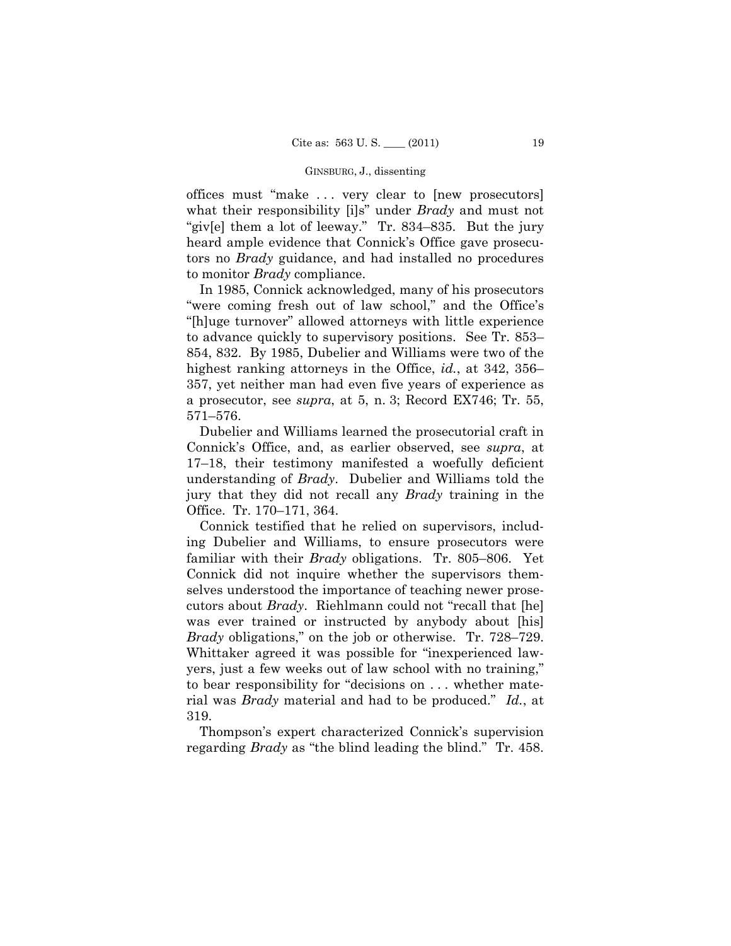offices must "make . . . very clear to [new prosecutors] what their responsibility [i]s" under *Brady* and must not "giv[e] them a lot of leeway." Tr. 834–835. But the jury heard ample evidence that Connick's Office gave prosecutors no *Brady* guidance, and had installed no procedures to monitor *Brady* compliance.

In 1985, Connick acknowledged, many of his prosecutors "were coming fresh out of law school," and the Office's "[h]uge turnover" allowed attorneys with little experience to advance quickly to supervisory positions. See Tr. 853– 854, 832. By 1985, Dubelier and Williams were two of the highest ranking attorneys in the Office, *id.*, at 342, 356– 357, yet neither man had even five years of experience as a prosecutor, see *supra*, at 5, n. 3; Record EX746; Tr. 55, 571–576.

Dubelier and Williams learned the prosecutorial craft in Connick's Office, and, as earlier observed, see *supra*, at 17–18, their testimony manifested a woefully deficient understanding of *Brady*. Dubelier and Williams told the jury that they did not recall any *Brady* training in the Office. Tr. 170–171, 364.

Connick testified that he relied on supervisors, including Dubelier and Williams, to ensure prosecutors were familiar with their *Brady* obligations. Tr. 805–806. Yet Connick did not inquire whether the supervisors themselves understood the importance of teaching newer prosecutors about *Brady*. Riehlmann could not "recall that [he] was ever trained or instructed by anybody about [his] *Brady* obligations," on the job or otherwise. Tr. 728–729. Whittaker agreed it was possible for "inexperienced lawyers, just a few weeks out of law school with no training," to bear responsibility for "decisions on . . . whether material was *Brady* material and had to be produced." *Id.*, at 319.

Thompson's expert characterized Connick's supervision regarding *Brady* as "the blind leading the blind." Tr. 458.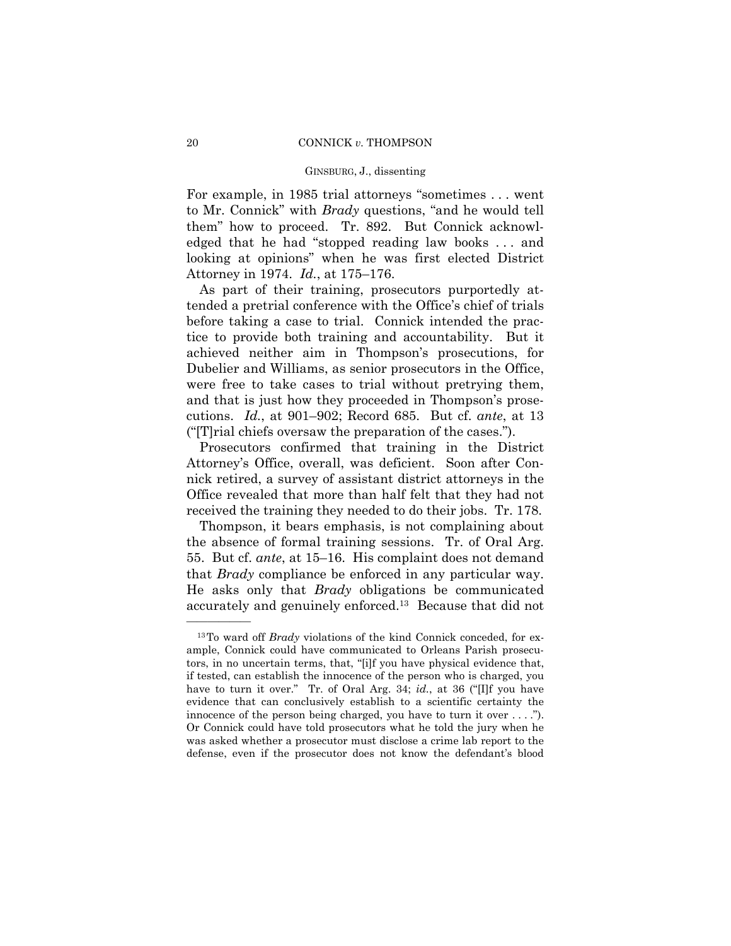For example, in 1985 trial attorneys "sometimes . . . went to Mr. Connick" with *Brady* questions, "and he would tell them" how to proceed. Tr. 892. But Connick acknowledged that he had "stopped reading law books . . . and looking at opinions" when he was first elected District Attorney in 1974. *Id.*, at 175–176.

As part of their training, prosecutors purportedly attended a pretrial conference with the Office's chief of trials before taking a case to trial. Connick intended the practice to provide both training and accountability. But it achieved neither aim in Thompson's prosecutions, for Dubelier and Williams, as senior prosecutors in the Office, were free to take cases to trial without pretrying them, and that is just how they proceeded in Thompson's prosecutions. *Id.*, at 901–902; Record 685. But cf. *ante*, at 13 ("[T]rial chiefs oversaw the preparation of the cases.").

Prosecutors confirmed that training in the District Attorney's Office, overall, was deficient. Soon after Connick retired, a survey of assistant district attorneys in the Office revealed that more than half felt that they had not received the training they needed to do their jobs. Tr. 178.

Thompson, it bears emphasis, is not complaining about the absence of formal training sessions. Tr. of Oral Arg. 55. But cf. *ante*, at 15–16. His complaint does not demand that *Brady* compliance be enforced in any particular way. He asks only that *Brady* obligations be communicated accurately and genuinely enforced.13 Because that did not

<sup>&</sup>lt;sup>13</sup>To ward off *Brady* violations of the kind Connick conceded, for example, Connick could have communicated to Orleans Parish prosecutors, in no uncertain terms, that, "[i]f you have physical evidence that, if tested, can establish the innocence of the person who is charged, you have to turn it over." Tr. of Oral Arg. 34; *id.*, at 36 ("[I]f you have evidence that can conclusively establish to a scientific certainty the innocence of the person being charged, you have to turn it over . . . ."). Or Connick could have told prosecutors what he told the jury when he was asked whether a prosecutor must disclose a crime lab report to the defense, even if the prosecutor does not know the defendant's blood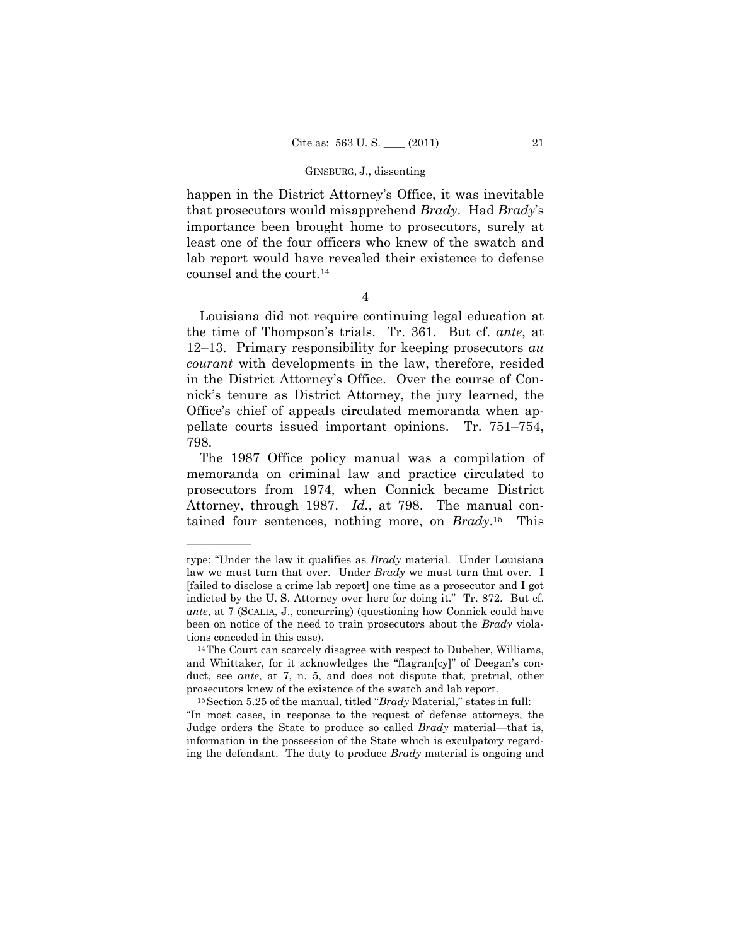happen in the District Attorney's Office, it was inevitable that prosecutors would misapprehend *Brady*. Had *Brady*'s importance been brought home to prosecutors, surely at least one of the four officers who knew of the swatch and lab report would have revealed their existence to defense counsel and the court.14

4

Louisiana did not require continuing legal education at the time of Thompson's trials. Tr. 361. But cf. *ante*, at 12–13. Primary responsibility for keeping prosecutors *au courant* with developments in the law, therefore, resided in the District Attorney's Office. Over the course of Connick's tenure as District Attorney, the jury learned, the Office's chief of appeals circulated memoranda when appellate courts issued important opinions. Tr. 751–754, 798.

The 1987 Office policy manual was a compilation of memoranda on criminal law and practice circulated to prosecutors from 1974, when Connick became District Attorney, through 1987. *Id.*, at 798. The manual contained four sentences, nothing more, on *Brady*.15 This

type: "Under the law it qualifies as *Brady* material. Under Louisiana law we must turn that over. Under *Brady* we must turn that over. I [failed to disclose a crime lab report] one time as a prosecutor and I got indicted by the U. S. Attorney over here for doing it." Tr. 872. But cf. *ante*, at 7 (SCALIA, J., concurring) (questioning how Connick could have been on notice of the need to train prosecutors about the *Brady* violations conceded in this case). 14The Court can scarcely disagree with respect to Dubelier, Williams,

and Whittaker, for it acknowledges the "flagran[cy]" of Deegan's conduct, see *ante*, at 7, n. 5, and does not dispute that, pretrial, other prosecutors knew of the existence of the swatch and lab report. 15Section 5.25 of the manual, titled "*Brady* Material," states in full:

<sup>&</sup>quot;In most cases, in response to the request of defense attorneys, the Judge orders the State to produce so called *Brady* material—that is, information in the possession of the State which is exculpatory regarding the defendant. The duty to produce *Brady* material is ongoing and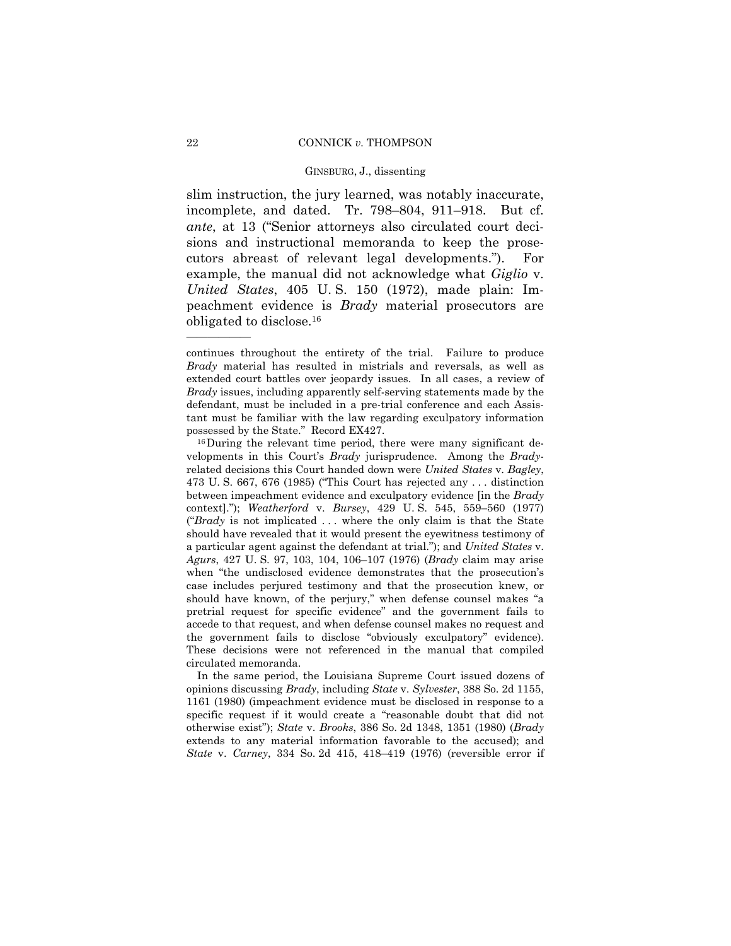slim instruction, the jury learned, was notably inaccurate, incomplete, and dated. Tr. 798–804, 911–918. But cf. *ante*, at 13 ("Senior attorneys also circulated court decisions and instructional memoranda to keep the prosecutors abreast of relevant legal developments."). For example, the manual did not acknowledge what *Giglio* v. *United States*, 405 U. S. 150 (1972), made plain: Impeachment evidence is *Brady* material prosecutors are obligated to disclose.16

In the same period, the Louisiana Supreme Court issued dozens of opinions discussing *Brady*, including *State* v. *Sylvester*, 388 So. 2d 1155, 1161 (1980) (impeachment evidence must be disclosed in response to a specific request if it would create a "reasonable doubt that did not otherwise exist"); *State* v. *Brooks*, 386 So. 2d 1348, 1351 (1980) (*Brady* extends to any material information favorable to the accused); and *State* v. *Carney*, 334 So. 2d 415, 418–419 (1976) (reversible error if

continues throughout the entirety of the trial. Failure to produce *Brady* material has resulted in mistrials and reversals, as well as extended court battles over jeopardy issues. In all cases, a review of *Brady* issues, including apparently self-serving statements made by the defendant, must be included in a pre-trial conference and each Assistant must be familiar with the law regarding exculpatory information possessed by the State." Record EX427.<br><sup>16</sup>During the relevant time period, there were many significant de-

velopments in this Court's *Brady* jurisprudence. Among the *Brady*related decisions this Court handed down were *United States* v. *Bagley*, 473 U. S. 667, 676 (1985) ("This Court has rejected any . . . distinction between impeachment evidence and exculpatory evidence [in the *Brady* context]."); *Weatherford* v. *Bursey*, 429 U. S. 545, 559–560 (1977) ("*Brady* is not implicated . . . where the only claim is that the State should have revealed that it would present the eyewitness testimony of a particular agent against the defendant at trial."); and *United States* v. *Agurs*, 427 U. S. 97, 103, 104, 106–107 (1976) (*Brady* claim may arise when "the undisclosed evidence demonstrates that the prosecution's case includes perjured testimony and that the prosecution knew, or should have known, of the perjury," when defense counsel makes "a pretrial request for specific evidence" and the government fails to accede to that request, and when defense counsel makes no request and the government fails to disclose "obviously exculpatory" evidence). These decisions were not referenced in the manual that compiled circulated memoranda.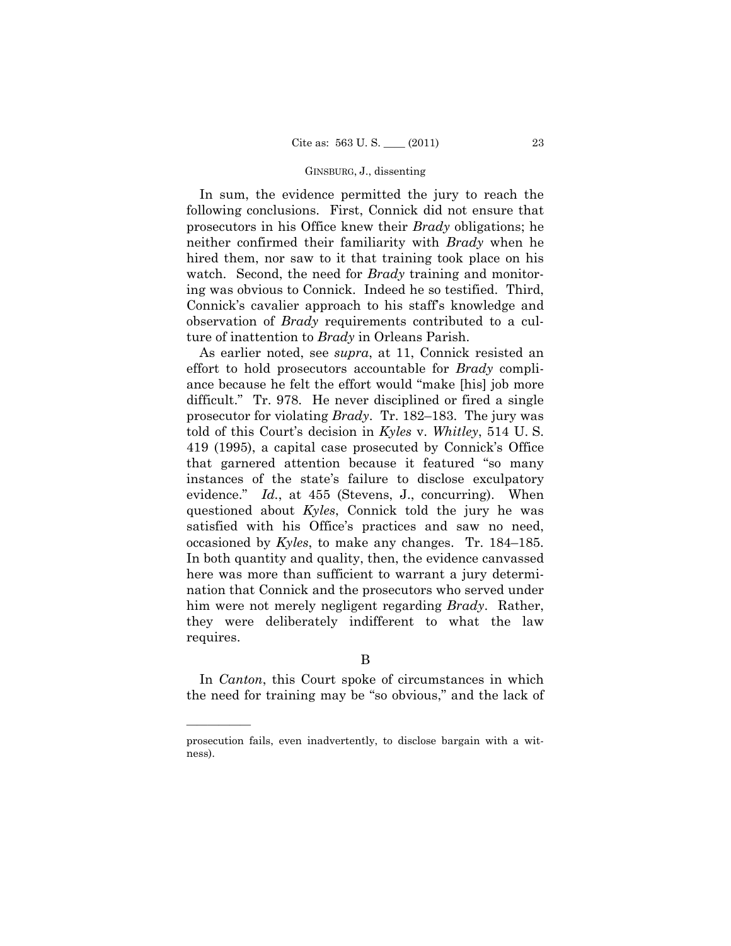In sum, the evidence permitted the jury to reach the following conclusions. First, Connick did not ensure that prosecutors in his Office knew their *Brady* obligations; he neither confirmed their familiarity with *Brady* when he hired them, nor saw to it that training took place on his watch. Second, the need for *Brady* training and monitoring was obvious to Connick. Indeed he so testified. Third, Connick's cavalier approach to his staff's knowledge and observation of *Brady* requirements contributed to a culture of inattention to *Brady* in Orleans Parish.

As earlier noted, see *supra*, at 11, Connick resisted an effort to hold prosecutors accountable for *Brady* compliance because he felt the effort would "make [his] job more difficult." Tr. 978. He never disciplined or fired a single prosecutor for violating *Brady*. Tr. 182–183. The jury was told of this Court's decision in *Kyles* v. *Whitley*, 514 U. S. 419 (1995), a capital case prosecuted by Connick's Office that garnered attention because it featured "so many instances of the state's failure to disclose exculpatory evidence." *Id.*, at 455 (Stevens, J., concurring). When questioned about *Kyles*, Connick told the jury he was satisfied with his Office's practices and saw no need, occasioned by *Kyles*, to make any changes. Tr. 184–185. In both quantity and quality, then, the evidence canvassed here was more than sufficient to warrant a jury determination that Connick and the prosecutors who served under him were not merely negligent regarding *Brady*. Rather, they were deliberately indifferent to what the law requires.

B

In *Canton*, this Court spoke of circumstances in which the need for training may be "so obvious," and the lack of

prosecution fails, even inadvertently, to disclose bargain with a witness).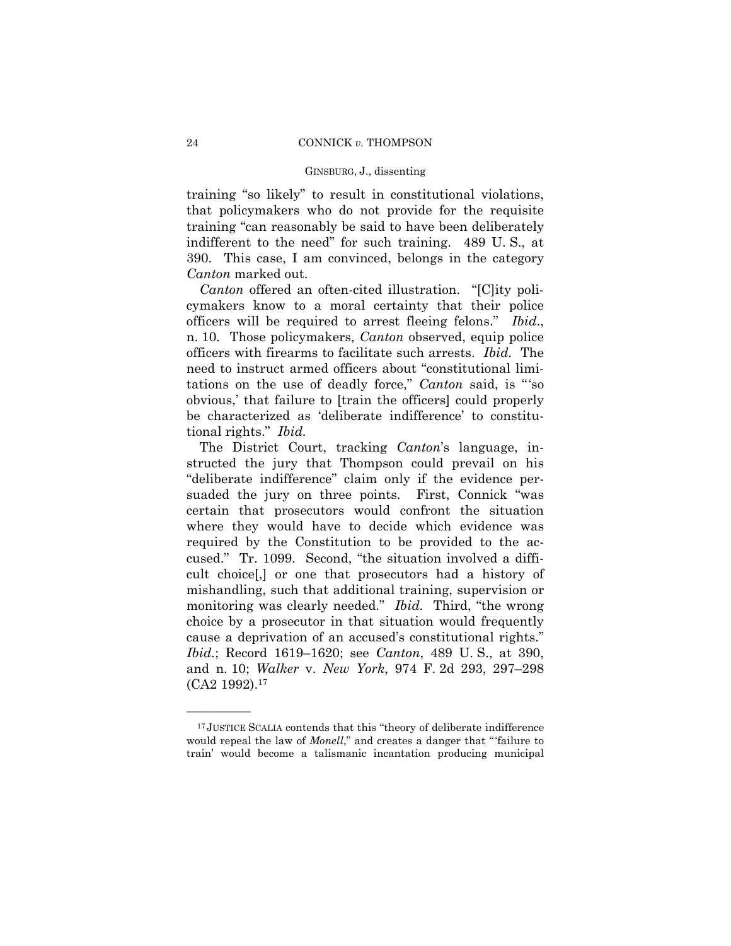training "so likely" to result in constitutional violations, that policymakers who do not provide for the requisite training "can reasonably be said to have been deliberately indifferent to the need" for such training. 489 U. S., at 390. This case, I am convinced, belongs in the category *Canton* marked out.

*Canton* offered an often-cited illustration. "[C]ity policymakers know to a moral certainty that their police officers will be required to arrest fleeing felons." *Ibid*., n. 10. Those policymakers, *Canton* observed, equip police officers with firearms to facilitate such arrests. *Ibid.* The need to instruct armed officers about "constitutional limitations on the use of deadly force," *Canton* said, is "'so obvious,' that failure to [train the officers] could properly be characterized as 'deliberate indifference' to constitutional rights." *Ibid.* 

The District Court, tracking *Canton*'s language, instructed the jury that Thompson could prevail on his "deliberate indifference" claim only if the evidence persuaded the jury on three points. First, Connick "was certain that prosecutors would confront the situation where they would have to decide which evidence was required by the Constitution to be provided to the accused." Tr. 1099. Second, "the situation involved a difficult choice[,] or one that prosecutors had a history of mishandling, such that additional training, supervision or monitoring was clearly needed." *Ibid.* Third, "the wrong choice by a prosecutor in that situation would frequently cause a deprivation of an accused's constitutional rights." *Ibid.*; Record 1619–1620; see *Canton*, 489 U. S., at 390, and n. 10; *Walker* v. *New York*, 974 F. 2d 293, 297–298 (CA2 1992).17

<sup>17</sup> JUSTICE SCALIA contends that this "theory of deliberate indifference would repeal the law of *Monell*," and creates a danger that " 'failure to train' would become a talismanic incantation producing municipal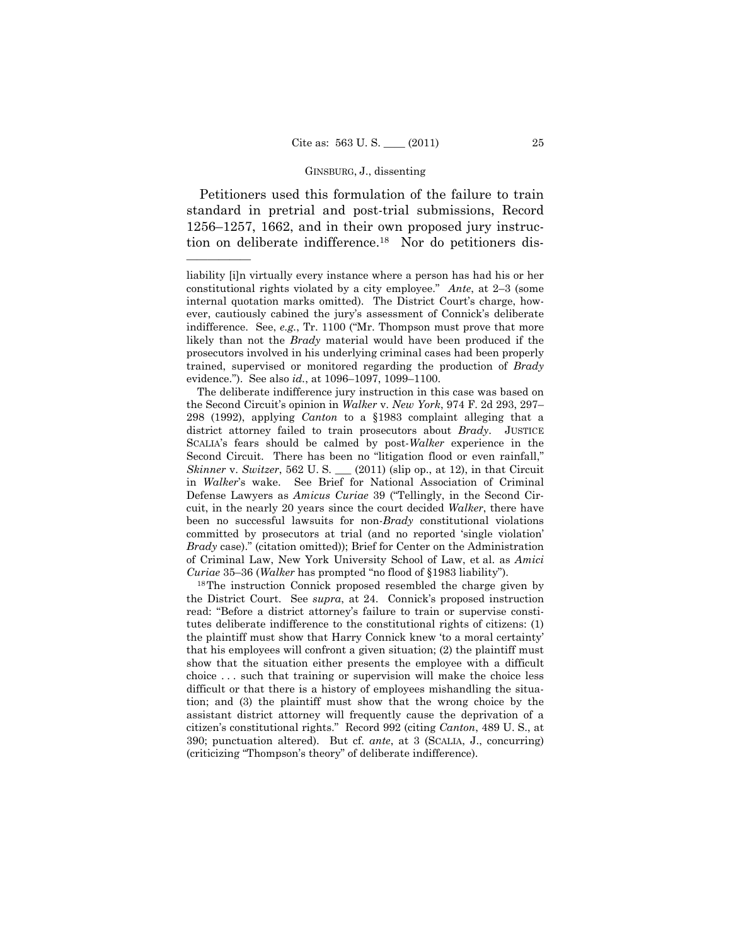Petitioners used this formulation of the failure to train standard in pretrial and post-trial submissions, Record 1256–1257, 1662, and in their own proposed jury instruction on deliberate indifference.18 Nor do petitioners dis-

——————

The deliberate indifference jury instruction in this case was based on the Second Circuit's opinion in *Walker* v. *New York*, 974 F. 2d 293, 297– 298 (1992), applying *Canton* to a §1983 complaint alleging that a district attorney failed to train prosecutors about *Brady*. JUSTICE SCALIA's fears should be calmed by post-*Walker* experience in the Second Circuit. There has been no "litigation flood or even rainfall," *Skinner* v. *Switzer*, 562 U. S. \_\_\_ (2011) (slip op., at 12), in that Circuit in *Walker*'s wake. See Brief for National Association of Criminal Defense Lawyers as *Amicus Curiae* 39 ("Tellingly, in the Second Circuit, in the nearly 20 years since the court decided *Walker*, there have been no successful lawsuits for non-*Brady* constitutional violations committed by prosecutors at trial (and no reported 'single violation' *Brady* case)." (citation omitted)); Brief for Center on the Administration of Criminal Law, New York University School of Law, et al. as *Amici Curiae* 35–36 (*Walker* has prompted "no flood of §1983 liability"). 18The instruction Connick proposed resembled the charge given by

the District Court. See *supra*, at 24. Connick's proposed instruction read: "Before a district attorney's failure to train or supervise constitutes deliberate indifference to the constitutional rights of citizens: (1) the plaintiff must show that Harry Connick knew 'to a moral certainty' that his employees will confront a given situation; (2) the plaintiff must show that the situation either presents the employee with a difficult choice . . . such that training or supervision will make the choice less difficult or that there is a history of employees mishandling the situation; and (3) the plaintiff must show that the wrong choice by the assistant district attorney will frequently cause the deprivation of a citizen's constitutional rights." Record 992 (citing *Canton*, 489 U. S., at 390; punctuation altered). But cf. *ante*, at 3 (SCALIA, J., concurring) (criticizing "Thompson's theory" of deliberate indifference).

liability [i]n virtually every instance where a person has had his or her constitutional rights violated by a city employee." *Ante*, at 2–3 (some internal quotation marks omitted). The District Court's charge, however, cautiously cabined the jury's assessment of Connick's deliberate indifference. See, *e.g.*, Tr. 1100 ("Mr. Thompson must prove that more likely than not the *Brady* material would have been produced if the prosecutors involved in his underlying criminal cases had been properly trained, supervised or monitored regarding the production of *Brady* evidence."). See also *id.*, at 1096–1097, 1099–1100.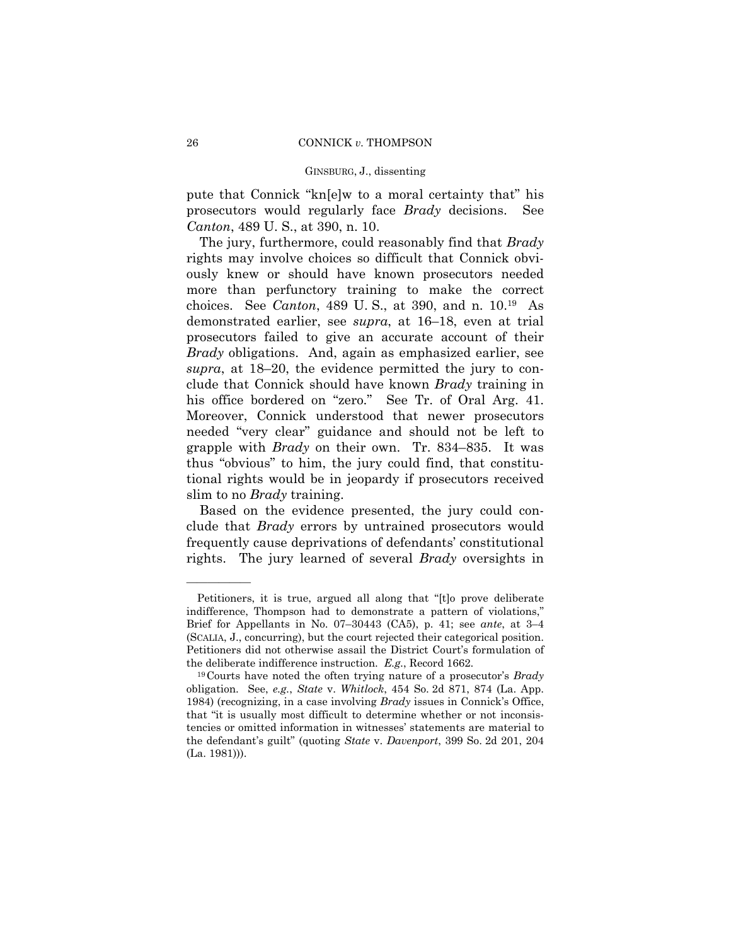pute that Connick "kn[e]w to a moral certainty that" his prosecutors would regularly face *Brady* decisions. See *Canton*, 489 U. S., at 390, n. 10.

The jury, furthermore, could reasonably find that *Brady* rights may involve choices so difficult that Connick obviously knew or should have known prosecutors needed more than perfunctory training to make the correct choices. See *Canton*, 489 U. S., at 390, and n. 10.19 As demonstrated earlier, see *supra*, at 16–18, even at trial prosecutors failed to give an accurate account of their *Brady* obligations. And, again as emphasized earlier, see *supra*, at 18–20, the evidence permitted the jury to conclude that Connick should have known *Brady* training in his office bordered on "zero." See Tr. of Oral Arg. 41. Moreover, Connick understood that newer prosecutors needed "very clear" guidance and should not be left to grapple with *Brady* on their own. Tr. 834–835. It was thus "obvious" to him, the jury could find, that constitutional rights would be in jeopardy if prosecutors received slim to no *Brady* training.

Based on the evidence presented, the jury could conclude that *Brady* errors by untrained prosecutors would frequently cause deprivations of defendants' constitutional rights. The jury learned of several *Brady* oversights in

Petitioners, it is true, argued all along that "[t]o prove deliberate indifference, Thompson had to demonstrate a pattern of violations," Brief for Appellants in No. 07–30443 (CA5), p. 41; see *ante*, at 3–4 (SCALIA, J., concurring), but the court rejected their categorical position. Petitioners did not otherwise assail the District Court's formulation of the deliberate indifference instruction. *E.g.*, Record 1662.<br><sup>19</sup>Courts have noted the often trying nature of a prosecutor's *Brady* 

obligation. See, *e.g.*, *State* v. *Whitlock*, 454 So. 2d 871, 874 (La. App. 1984) (recognizing, in a case involving *Brady* issues in Connick's Office, that "it is usually most difficult to determine whether or not inconsistencies or omitted information in witnesses' statements are material to the defendant's guilt" (quoting *State* v. *Davenport*, 399 So. 2d 201, 204 (La. 1981))).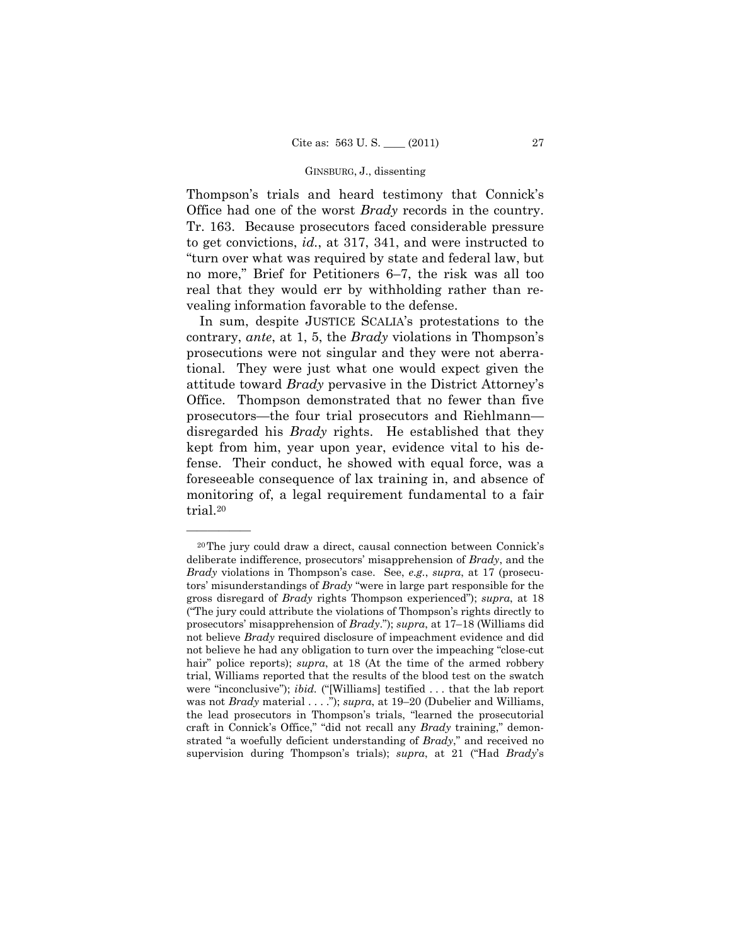Thompson's trials and heard testimony that Connick's Office had one of the worst *Brady* records in the country. Tr. 163. Because prosecutors faced considerable pressure to get convictions, *id.*, at 317, 341, and were instructed to "turn over what was required by state and federal law, but no more," Brief for Petitioners 6–7, the risk was all too real that they would err by withholding rather than revealing information favorable to the defense.

In sum, despite JUSTICE SCALIA's protestations to the contrary, *ante*, at 1, 5, the *Brady* violations in Thompson's prosecutions were not singular and they were not aberrational. They were just what one would expect given the attitude toward *Brady* pervasive in the District Attorney's Office. Thompson demonstrated that no fewer than five prosecutors—the four trial prosecutors and Riehlmann disregarded his *Brady* rights. He established that they kept from him, year upon year, evidence vital to his defense. Their conduct, he showed with equal force, was a foreseeable consequence of lax training in, and absence of monitoring of, a legal requirement fundamental to a fair trial.20

<sup>20</sup>The jury could draw a direct, causal connection between Connick's deliberate indifference, prosecutors' misapprehension of *Brady*, and the *Brady* violations in Thompson's case. See, *e.g.*, *supra*, at 17 (prosecutors' misunderstandings of *Brady* "were in large part responsible for the gross disregard of *Brady* rights Thompson experienced"); *supra*, at 18 ("The jury could attribute the violations of Thompson's rights directly to prosecutors' misapprehension of *Brady*."); *supra*, at 17–18 (Williams did not believe *Brady* required disclosure of impeachment evidence and did not believe he had any obligation to turn over the impeaching "close-cut hair" police reports); *supra*, at 18 (At the time of the armed robbery trial, Williams reported that the results of the blood test on the swatch were "inconclusive"); *ibid.* ("[Williams] testified . . . that the lab report was not *Brady* material . . . ."); *supra*, at 19-20 (Dubelier and Williams, the lead prosecutors in Thompson's trials, "learned the prosecutorial craft in Connick's Office," "did not recall any *Brady* training," demonstrated "a woefully deficient understanding of *Brady*," and received no supervision during Thompson's trials); *supra*, at 21 ("Had *Brady*'s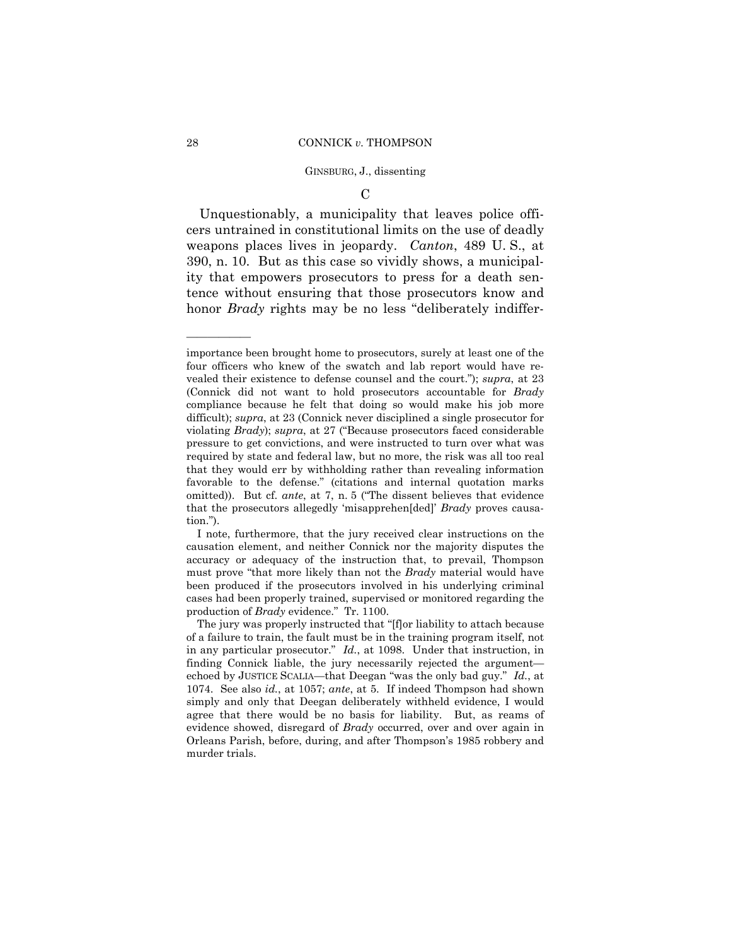$\mathcal{C}$ 

Unquestionably, a municipality that leaves police officers untrained in constitutional limits on the use of deadly weapons places lives in jeopardy. *Canton*, 489 U. S., at 390, n. 10. But as this case so vividly shows, a municipality that empowers prosecutors to press for a death sentence without ensuring that those prosecutors know and honor *Brady* rights may be no less "deliberately indiffer-

importance been brought home to prosecutors, surely at least one of the four officers who knew of the swatch and lab report would have revealed their existence to defense counsel and the court."); *supra*, at 23 (Connick did not want to hold prosecutors accountable for *Brady* compliance because he felt that doing so would make his job more difficult); *supra*, at 23 (Connick never disciplined a single prosecutor for violating *Brady*); *supra*, at 27 ("Because prosecutors faced considerable pressure to get convictions, and were instructed to turn over what was required by state and federal law, but no more, the risk was all too real that they would err by withholding rather than revealing information favorable to the defense." (citations and internal quotation marks omitted)). But cf. *ante*, at 7, n. 5 ("The dissent believes that evidence that the prosecutors allegedly 'misapprehen[ded]' *Brady* proves causation.").

I note, furthermore, that the jury received clear instructions on the causation element, and neither Connick nor the majority disputes the accuracy or adequacy of the instruction that, to prevail, Thompson must prove "that more likely than not the *Brady* material would have been produced if the prosecutors involved in his underlying criminal cases had been properly trained, supervised or monitored regarding the production of *Brady* evidence." Tr. 1100.

The jury was properly instructed that "[f]or liability to attach because of a failure to train, the fault must be in the training program itself, not in any particular prosecutor." *Id.*, at 1098. Under that instruction, in finding Connick liable, the jury necessarily rejected the argument echoed by JUSTICE SCALIA—that Deegan "was the only bad guy." *Id.*, at 1074. See also *id.*, at 1057; *ante*, at 5. If indeed Thompson had shown simply and only that Deegan deliberately withheld evidence, I would agree that there would be no basis for liability. But, as reams of evidence showed, disregard of *Brady* occurred, over and over again in Orleans Parish, before, during, and after Thompson's 1985 robbery and murder trials.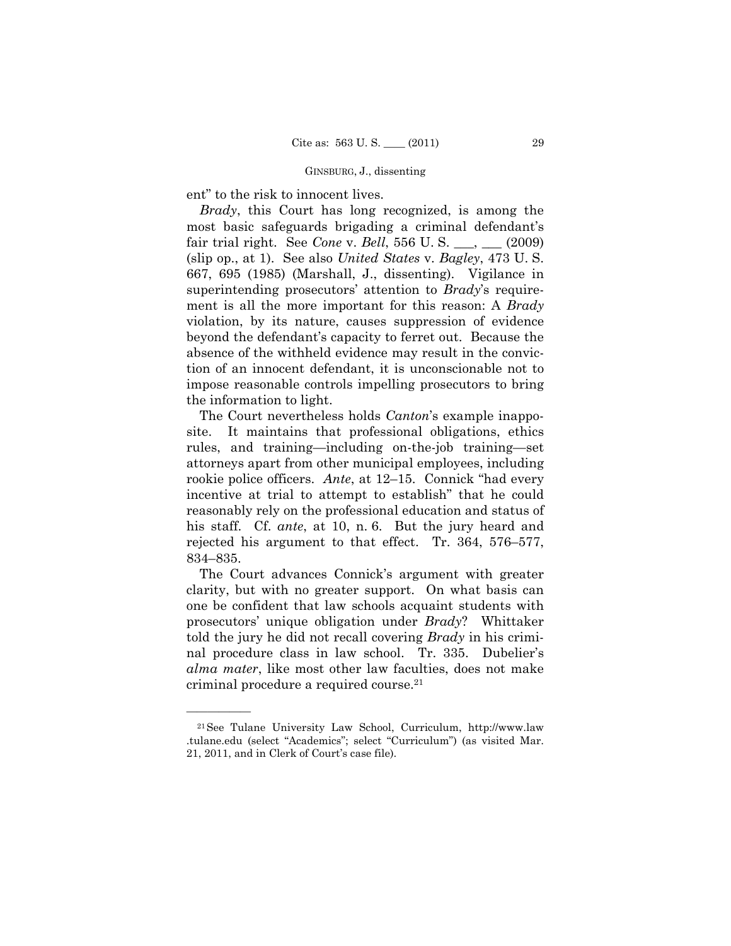ent" to the risk to innocent lives.

*Brady*, this Court has long recognized, is among the most basic safeguards brigading a criminal defendant's fair trial right. See *Cone* v. *Bell*, 556 U. S. \_\_\_, \_\_\_ (2009) (slip op., at 1). See also *United States* v. *Bagley*, 473 U. S. 667, 695 (1985) (Marshall, J., dissenting). Vigilance in superintending prosecutors' attention to *Brady*'s requirement is all the more important for this reason: A *Brady* violation, by its nature, causes suppression of evidence beyond the defendant's capacity to ferret out. Because the absence of the withheld evidence may result in the conviction of an innocent defendant, it is unconscionable not to impose reasonable controls impelling prosecutors to bring the information to light.

The Court nevertheless holds *Canton*'s example inapposite. It maintains that professional obligations, ethics rules, and training—including on-the-job training—set attorneys apart from other municipal employees, including rookie police officers. *Ante*, at 12–15. Connick "had every incentive at trial to attempt to establish" that he could reasonably rely on the professional education and status of his staff. Cf. *ante*, at 10, n. 6. But the jury heard and rejected his argument to that effect. Tr. 364, 576–577, 834–835.

The Court advances Connick's argument with greater clarity, but with no greater support. On what basis can one be confident that law schools acquaint students with prosecutors' unique obligation under *Brady*? Whittaker told the jury he did not recall covering *Brady* in his criminal procedure class in law school. Tr. 335. Dubelier's *alma mater*, like most other law faculties, does not make criminal procedure a required course.21

<sup>21</sup>See Tulane University Law School, Curriculum, http://www.law .tulane.edu (select "Academics"; select "Curriculum") (as visited Mar. 21, 2011, and in Clerk of Court's case file).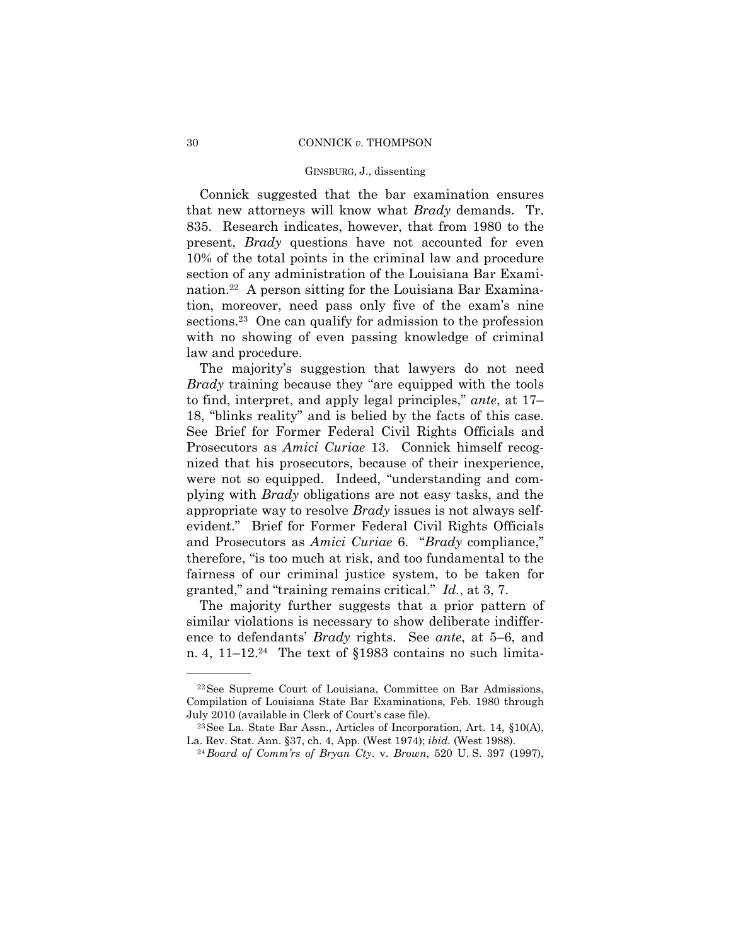#### 30 CONNICK *v.* THOMPSON

## GINSBURG, J., dissenting

Connick suggested that the bar examination ensures that new attorneys will know what *Brady* demands. Tr. 835. Research indicates, however, that from 1980 to the present, *Brady* questions have not accounted for even 10% of the total points in the criminal law and procedure section of any administration of the Louisiana Bar Examination.22 A person sitting for the Louisiana Bar Examination, moreover, need pass only five of the exam's nine sections.<sup>23</sup> One can qualify for admission to the profession with no showing of even passing knowledge of criminal law and procedure.

The majority's suggestion that lawyers do not need *Brady* training because they "are equipped with the tools to find, interpret, and apply legal principles," *ante*, at 17– 18, "blinks reality" and is belied by the facts of this case. See Brief for Former Federal Civil Rights Officials and Prosecutors as *Amici Curiae* 13. Connick himself recognized that his prosecutors, because of their inexperience, were not so equipped. Indeed, "understanding and complying with *Brady* obligations are not easy tasks, and the appropriate way to resolve *Brady* issues is not always selfevident." Brief for Former Federal Civil Rights Officials and Prosecutors as *Amici Curiae* 6. "*Brady* compliance," therefore, "is too much at risk, and too fundamental to the fairness of our criminal justice system, to be taken for granted," and "training remains critical." *Id.*, at 3, 7.

The majority further suggests that a prior pattern of similar violations is necessary to show deliberate indifference to defendants' *Brady* rights. See *ante*, at 5–6, and n. 4, 11–12.<sup>24</sup> The text of  $$1983$  contains no such limita-

<sup>22</sup>See Supreme Court of Louisiana, Committee on Bar Admissions, Compilation of Louisiana State Bar Examinations, Feb. 1980 through July 2010 (available in Clerk of Court's case file). 23See La. State Bar Assn., Articles of Incorporation, Art. 14, §10(A),

La. Rev. Stat. Ann. §37, ch. 4, App. (West 1974); *ibid.* (West 1988). 24 *Board of Comm'rs of Bryan Cty.* v. *Brown*, 520 U. S. 397 (1997),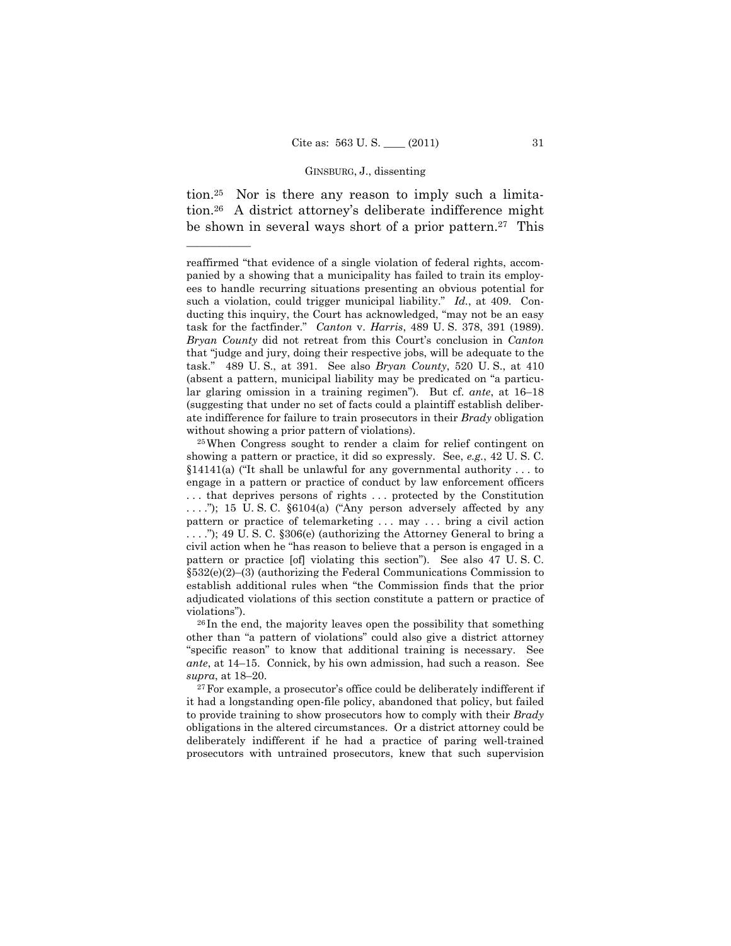tion.25 Nor is there any reason to imply such a limitation.26 A district attorney's deliberate indifference might be shown in several ways short of a prior pattern.<sup>27</sup> This

——————

other than "a pattern of violations" could also give a district attorney "specific reason" to know that additional training is necessary. See *ante*, at 14–15. Connick, by his own admission, had such a reason. See *supra*, at 18–20.<br><sup>27</sup>For example, a prosecutor's office could be deliberately indifferent if

it had a longstanding open-file policy, abandoned that policy, but failed to provide training to show prosecutors how to comply with their *Brady* obligations in the altered circumstances. Or a district attorney could be deliberately indifferent if he had a practice of paring well-trained prosecutors with untrained prosecutors, knew that such supervision

reaffirmed "that evidence of a single violation of federal rights, accompanied by a showing that a municipality has failed to train its employees to handle recurring situations presenting an obvious potential for such a violation, could trigger municipal liability." *Id.*, at 409. Conducting this inquiry, the Court has acknowledged, "may not be an easy task for the factfinder." *Canton* v. *Harris*, 489 U. S. 378, 391 (1989). *Bryan County* did not retreat from this Court's conclusion in *Canton*  that "judge and jury, doing their respective jobs, will be adequate to the task." 489 U. S., at 391. See also *Bryan County*, 520 U. S., at 410 (absent a pattern, municipal liability may be predicated on "a particular glaring omission in a training regimen"). But cf. *ante*, at 16–18 (suggesting that under no set of facts could a plaintiff establish deliberate indifference for failure to train prosecutors in their *Brady* obligation

without showing a prior pattern of violations).<br><sup>25</sup>When Congress sought to render a claim for relief contingent on showing a pattern or practice, it did so expressly. See, *e.g.*, 42 U. S. C.  $§14141(a)$  ("It shall be unlawful for any governmental authority ... to engage in a pattern or practice of conduct by law enforcement officers . . . that deprives persons of rights . . . protected by the Constitution . . . ."); 15 U. S. C. §6104(a) ("Any person adversely affected by any pattern or practice of telemarketing . . . may . . . bring a civil action . . . ."); 49 U. S. C. §306(e) (authorizing the Attorney General to bring a civil action when he "has reason to believe that a person is engaged in a pattern or practice [of] violating this section"). See also 47 U. S. C. §532(e)(2)–(3) (authorizing the Federal Communications Commission to establish additional rules when "the Commission finds that the prior adjudicated violations of this section constitute a pattern or practice of violations"). 26 In the end, the majority leaves open the possibility that something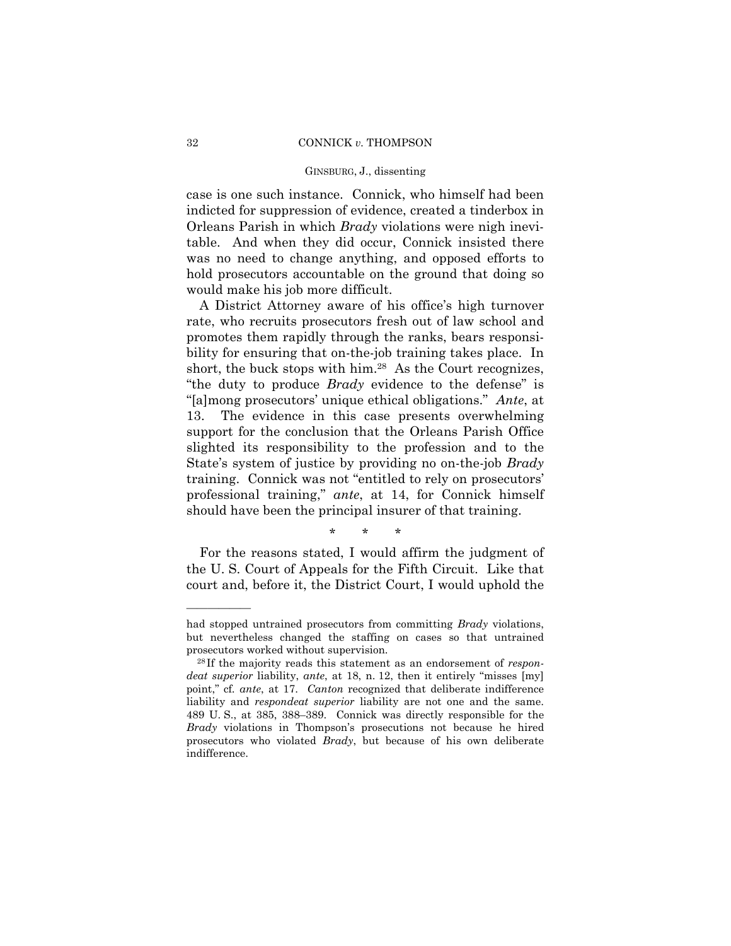## 32 CONNICK *v.* THOMPSON

# GINSBURG, J., dissenting

case is one such instance. Connick, who himself had been indicted for suppression of evidence, created a tinderbox in Orleans Parish in which *Brady* violations were nigh inevitable. And when they did occur, Connick insisted there was no need to change anything, and opposed efforts to hold prosecutors accountable on the ground that doing so would make his job more difficult.

A District Attorney aware of his office's high turnover rate, who recruits prosecutors fresh out of law school and promotes them rapidly through the ranks, bears responsibility for ensuring that on-the-job training takes place. In short, the buck stops with him.28 As the Court recognizes, "the duty to produce *Brady* evidence to the defense" is "[a]mong prosecutors' unique ethical obligations." *Ante*, at 13. The evidence in this case presents overwhelming support for the conclusion that the Orleans Parish Office slighted its responsibility to the profession and to the State's system of justice by providing no on-the-job *Brady* training. Connick was not "entitled to rely on prosecutors' professional training," *ante*, at 14, for Connick himself should have been the principal insurer of that training.

\* \* \*

For the reasons stated, I would affirm the judgment of the U. S. Court of Appeals for the Fifth Circuit. Like that court and, before it, the District Court, I would uphold the

had stopped untrained prosecutors from committing *Brady* violations, but nevertheless changed the staffing on cases so that untrained prosecutors worked without supervision. 28 If the majority reads this statement as an endorsement of *respon-*

*deat superior* liability, *ante*, at 18, n. 12, then it entirely "misses [my] point," cf*. ante*, at 17. *Canton* recognized that deliberate indifference liability and *respondeat superior* liability are not one and the same. 489 U. S., at 385, 388–389. Connick was directly responsible for the *Brady* violations in Thompson's prosecutions not because he hired prosecutors who violated *Brady*, but because of his own deliberate indifference.